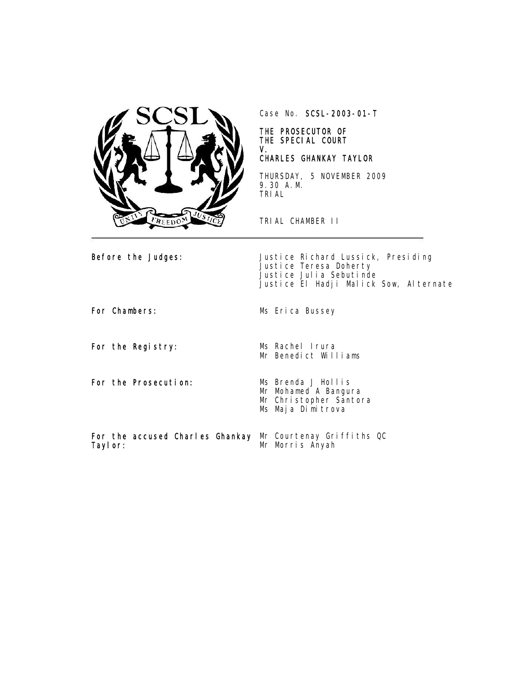

Case No. SCSL-2003-01-T

#### THE PROSECUTOR OF THE SPECIAL COURT V.

### CHARLES GHANKAY TAYLOR

THURSDAY, 5 NOVEMBER 2009 9.30 A.M. TRIAL

TRIAL CHAMBER II

Before the Judges: Justice Richard Lussick, Presiding Justice Teresa Doherty Justice Julia Sebutinde Justice El Hadji Malick Sow, Alternate

For the Registry: Ms Rachel Irura

For the Prosecution: Ms Brenda J Hollis

For Chambers: Ms Erica Bussey

Mr Benedict Williams

Mr Mohamed A Bangura Mr Christopher Santora Ms Maja Dimitrova

For the accused Charles Ghankay Mr Courtenay Griffiths QC Taylor: Mr Morris Anyah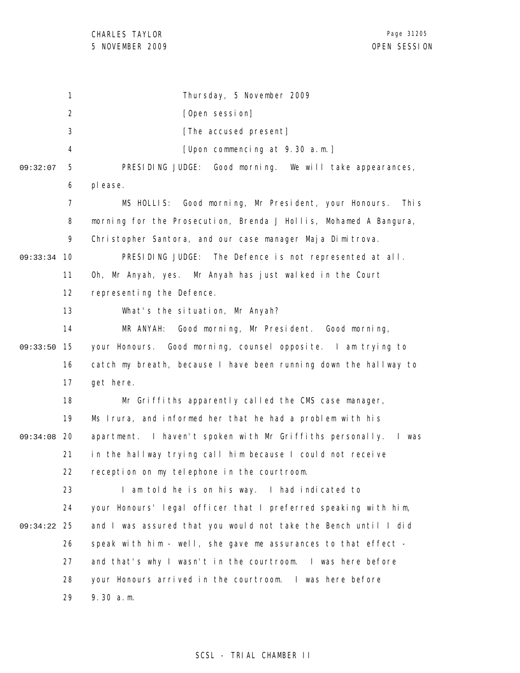1 2 3 4 5 6 7 8 9 09:33:34 10 11 12 13 14 09:33:50 15 16 17 18 19 09:34:08 20 21 22 23 24 25 09:34:22 26 27 28 29 09:32:07 Thursday, 5 November 2009 [Open session] [The accused present] [Upon commencing at 9.30 a.m.] PRESIDING JUDGE: Good morning. We will take appearances, please. MS HOLLIS: Good morning, Mr President, your Honours. This morning for the Prosecution, Brenda J Hollis, Mohamed A Bangura, Christopher Santora, and our case manager Maja Dimitrova. PRESIDING JUDGE: The Defence is not represented at all. Oh, Mr Anyah, yes. Mr Anyah has just walked in the Court representing the Defence. What's the situation, Mr Anyah? MR ANYAH: Good morning, Mr President. Good morning, your Honours. Good morning, counsel opposite. I am trying to catch my breath, because I have been running down the hallway to get here. Mr Griffiths apparently called the CMS case manager, Ms Irura, and informed her that he had a problem with his apartment. I haven't spoken with Mr Griffiths personally. I was in the hallway trying call him because I could not receive reception on my telephone in the courtroom. I am told he is on his way. I had indicated to your Honours' legal officer that I preferred speaking with him, and I was assured that you would not take the Bench until I did speak with him - well, she gave me assurances to that effect and that's why I wasn't in the courtroom. I was here before your Honours arrived in the courtroom. I was here before 9.30 a.m.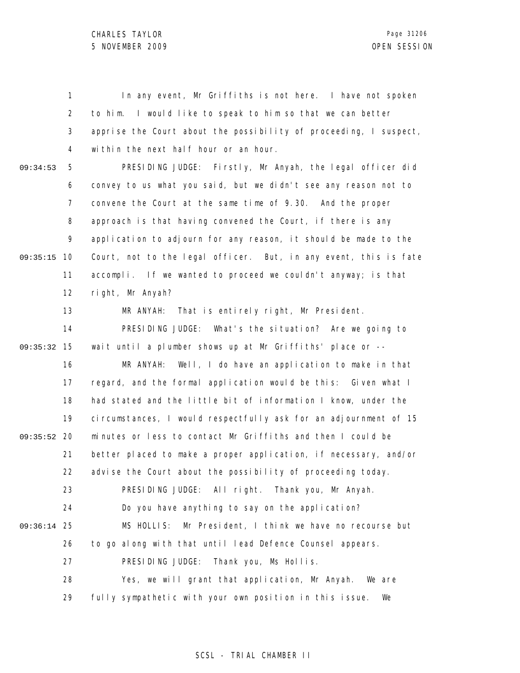1 2 3 4 5 6 7 8 9 09:35:15 10 11 12 13 14 15 09:35:32 16 17 18 19 09:35:52 20 21 22 23 24 25 09:36:14 26 27 28 29 09:34:53 In any event, Mr Griffiths is not here. I have not spoken to him. I would like to speak to him so that we can better apprise the Court about the possibility of proceeding, I suspect, within the next half hour or an hour. PRESIDING JUDGE: Firstly, Mr Anyah, the legal officer did convey to us what you said, but we didn't see any reason not to convene the Court at the same time of 9.30. And the proper approach is that having convened the Court, if there is any application to adjourn for any reason, it should be made to the Court, not to the legal officer. But, in any event, this is fate accompli. If we wanted to proceed we couldn't anyway; is that right, Mr Anyah? MR ANYAH: That is entirely right, Mr President. PRESIDING JUDGE: What's the situation? Are we going to wait until a plumber shows up at Mr Griffiths' place or -- MR ANYAH: Well, I do have an application to make in that regard, and the formal application would be this: Given what I had stated and the little bit of information I know, under the circumstances, I would respectfully ask for an adjournment of 15 minutes or less to contact Mr Griffiths and then I could be better placed to make a proper application, if necessary, and/or advise the Court about the possibility of proceeding today. PRESIDING JUDGE: All right. Thank you, Mr Anyah. Do you have anything to say on the application? MS HOLLIS: Mr President, I think we have no recourse but to go along with that until lead Defence Counsel appears. PRESIDING JUDGE: Thank you, Ms Hollis. Yes, we will grant that application, Mr Anyah. We are fully sympathetic with your own position in this issue. We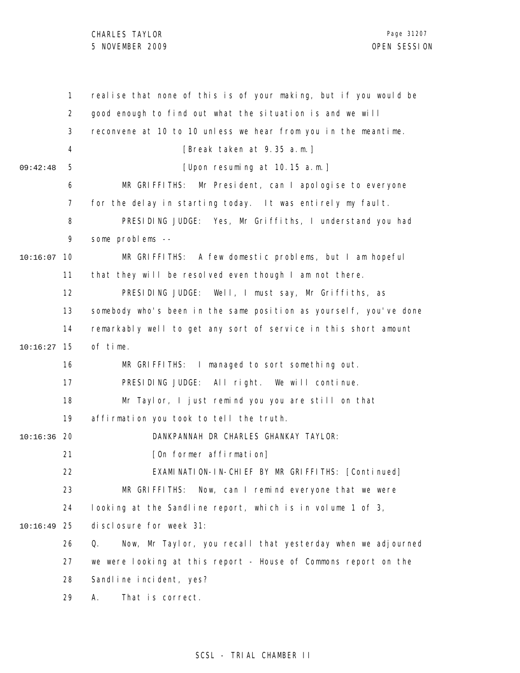|               | $\mathbf{1}$ | realise that none of this is of your making, but if you would be  |
|---------------|--------------|-------------------------------------------------------------------|
|               | 2            | good enough to find out what the situation is and we will         |
|               | 3            | reconvene at 10 to 10 unless we hear from you in the meantime.    |
|               | 4            | [Break taken at 9.35 a.m.]                                        |
| 09:42:48      | 5            | [Upon resuming at 10.15 a.m.]                                     |
|               | 6            | MR GRIFFITHS: Mr President, can I apologise to everyone           |
|               | 7            | for the delay in starting today. It was entirely my fault.        |
|               | 8            | PRESIDING JUDGE: Yes, Mr Griffiths, I understand you had          |
|               | 9            | some problems --                                                  |
| 10:16:07      | 10           | MR GRIFFITHS: A few domestic problems, but I am hopeful           |
|               | 11           | that they will be resolved even though I am not there.            |
|               | 12           | PRESIDING JUDGE: Well, I must say, Mr Griffiths, as               |
|               | 13           | somebody who's been in the same position as yourself, you've done |
|               | 14           | remarkably well to get any sort of service in this short amount   |
| 10:16:27      | 15           | of time.                                                          |
|               | 16           | MR GRIFFITHS: I managed to sort something out.                    |
|               | 17           | PRESIDING JUDGE: All right. We will continue.                     |
|               | 18           | Mr Taylor, I just remind you you are still on that                |
|               | 19           | affirmation you took to tell the truth.                           |
| $10:16:36$ 20 |              | DANKPANNAH DR CHARLES GHANKAY TAYLOR:                             |
|               | 21           | [On former affirmation]                                           |
|               | 22           | EXAMINATION-IN-CHIEF BY MR GRIFFITHS: [Continued]                 |
|               | 23           | MR GRIFFITHS:<br>Now, can I remind everyone that we were          |
|               | 24           | looking at the Sandline report, which is in volume 1 of 3,        |
| 10:16:49      | 25           | di sclosure for week 31:                                          |
|               | 26           | Now, Mr Taylor, you recall that yesterday when we adjourned<br>Q. |
|               | 27           | we were looking at this report - House of Commons report on the   |
|               | 28           | Sandline incident, yes?                                           |
|               | 29           | That is correct.<br>Α.                                            |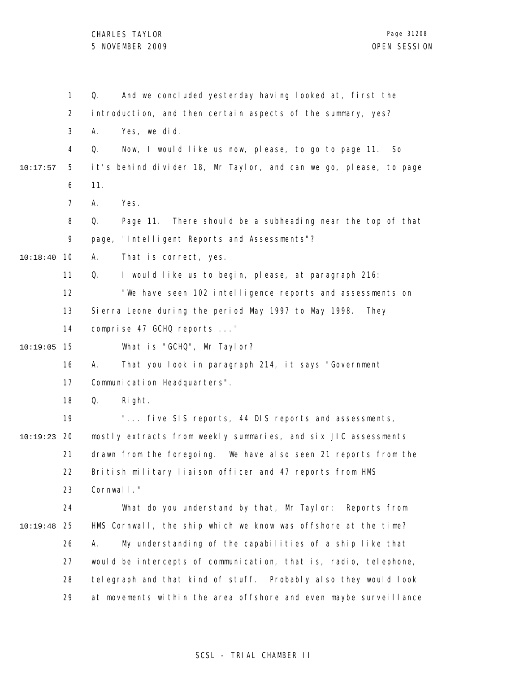|          | 1              | And we concluded yesterday having looked at, first the<br>Q.      |
|----------|----------------|-------------------------------------------------------------------|
|          | $\overline{2}$ | introduction, and then certain aspects of the summary, yes?       |
|          | 3              | Yes, we did.<br>А.                                                |
|          | 4              | Now, I would like us now, please, to go to page 11.<br>Q.<br>So   |
| 10:17:57 | 5              | it's behind divider 18, Mr Taylor, and can we go, please, to page |
|          | 6              | 11.                                                               |
|          | $\overline{7}$ | Yes.<br>А.                                                        |
|          | 8              | Page 11. There should be a subheading near the top of that<br>Q.  |
|          | 9              | page, "Intelligent Reports and Assessments"?                      |
| 10:18:40 | 10             | Α.<br>That is correct, yes.                                       |
|          | 11             | I would like us to begin, please, at paragraph 216:<br>Q.         |
|          | 12             | "We have seen 102 intelligence reports and assessments on         |
|          | 13             | Sierra Leone during the period May 1997 to May 1998.<br>They      |
|          | 14             | comprise 47 GCHQ reports "                                        |
| 10:19:05 | 15             | What is "GCHQ", Mr Taylor?                                        |
|          | 16             | That you look in paragraph 214, it says "Government<br>А.         |
|          | 17             | Communication Headquarters".                                      |
|          | 18             | Q.<br>Right.                                                      |
|          | 19             | " five SIS reports, 44 DIS reports and assessments,               |
| 10:19:23 | 20             | mostly extracts from weekly summaries, and six JIC assessments    |
|          | 21             | drawn from the foregoing. We have also seen 21 reports from the   |
|          | 22             | British military liaison officer and 47 reports from HMS          |
|          | 23             | Cornwall."                                                        |
|          | 24             | What do you understand by that, Mr Taylor: Reports from           |
| 10:19:48 | 25             | HMS Cornwall, the ship which we know was offshore at the time?    |
|          | 26             | My understanding of the capabilities of a ship like that<br>А.    |
|          | 27             | would be intercepts of communication, that is, radio, telephone,  |
|          | 28             | telegraph and that kind of stuff. Probably also they would look   |
|          | 29             | at movements within the area offshore and even maybe surveillance |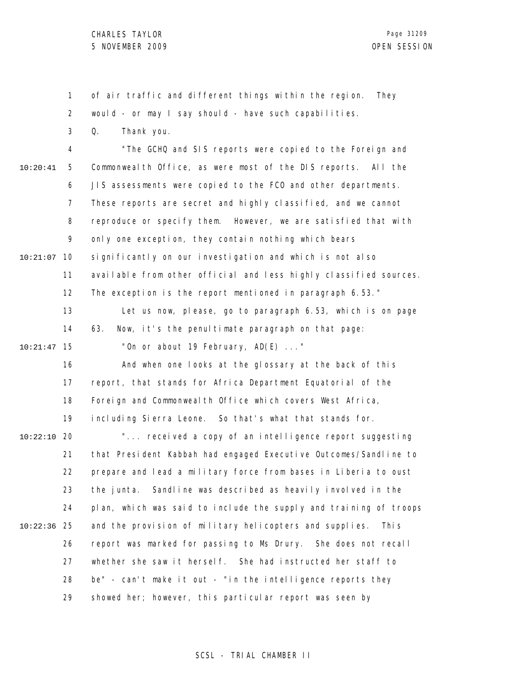1 2 3 4 5 6 7 8 9 10 10:21:07 11 12 13 14 15 10:21:47 16 17 18 19 20 10:22:10 21 22 23 24 25 10:22:36 26 27 28 29 10:20:41 of air traffic and different things within the region. They would - or may I say should - have such capabilities. Q. Thank you. "The GCHQ and SIS reports were copied to the Foreign and Commonwealth Office, as were most of the DIS reports. All the JIS assessments were copied to the FCO and other departments. These reports are secret and highly classified, and we cannot reproduce or specify them. However, we are satisfied that with only one exception, they contain nothing which bears significantly on our investigation and which is not also available from other official and less highly classified sources. The exception is the report mentioned in paragraph 6.53." Let us now, please, go to paragraph 6.53, which is on page 63. Now, it's the penultimate paragraph on that page: "On or about 19 February, AD(E) ..." And when one looks at the glossary at the back of this report, that stands for Africa Department Equatorial of the Foreign and Commonwealth Office which covers West Africa, including Sierra Leone. So that's what that stands for. "... received a copy of an intelligence report suggesting that President Kabbah had engaged Executive Outcomes/Sandline to prepare and lead a military force from bases in Liberia to oust the junta. Sandline was described as heavily involved in the plan, which was said to include the supply and training of troops and the provision of military helicopters and supplies. This report was marked for passing to Ms Drury. She does not recall whether she saw it herself. She had instructed her staff to be" - can't make it out - "in the intelligence reports they showed her; however, this particular report was seen by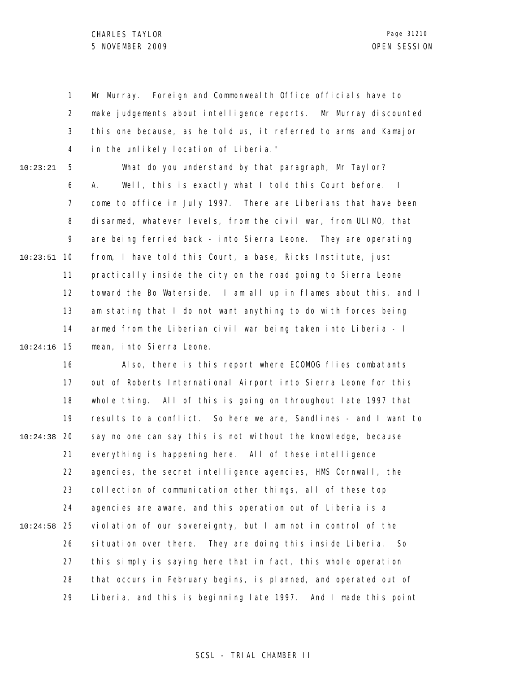1 2 3 4 Mr Murray. Foreign and Commonwealth Office officials have to make judgements about intelligence reports. Mr Murray discounted this one because, as he told us, it referred to arms and Kamajor in the unlikely location of Liberia."

10:23:21

5 6 7 8 9 10 10:23:51 11 12 13 14 15 10:24:16 What do you understand by that paragraph, Mr Taylor? A. Well, this is exactly what I told this Court before. I come to office in July 1997. There are Liberians that have been disarmed, whatever levels, from the civil war, from ULIMO, that are being ferried back - into Sierra Leone. They are operating from, I have told this Court, a base, Ricks Institute, just practically inside the city on the road going to Sierra Leone toward the Bo Waterside. I am all up in flames about this, and I am stating that I do not want anything to do with forces being armed from the Liberian civil war being taken into Liberia - I mean, into Sierra Leone.

16 17 18 19 20 10:24:38 21 22 23 24 25 10:24:58 26 27 28 29 Also, there is this report where ECOMOG flies combatants out of Roberts International Airport into Sierra Leone for this whole thing. All of this is going on throughout late 1997 that results to a conflict. So here we are, Sandlines - and I want to say no one can say this is not without the knowledge, because everything is happening here. All of these intelligence agencies, the secret intelligence agencies, HMS Cornwall, the collection of communication other things, all of these top agencies are aware, and this operation out of Liberia is a violation of our sovereignty, but I am not in control of the situation over there. They are doing this inside Liberia. So this simply is saying here that in fact, this whole operation that occurs in February begins, is planned, and operated out of Liberia, and this is beginning late 1997. And I made this point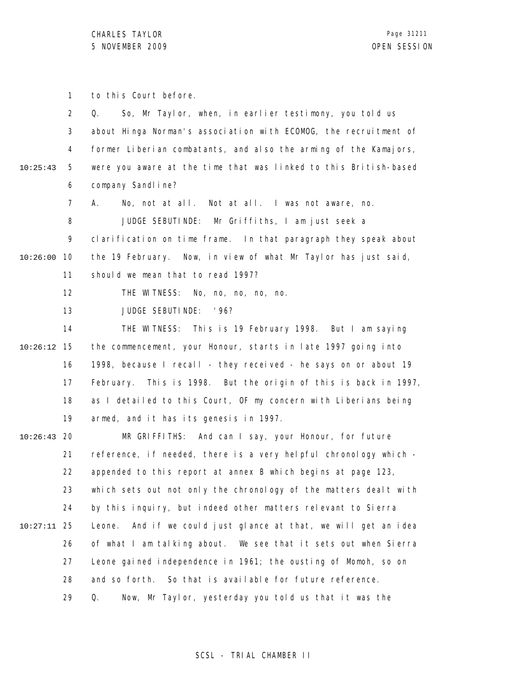1 to this Court before.

|          | $\overline{2}$ | So, Mr Taylor, when, in earlier testimony, you told us<br>Q.       |
|----------|----------------|--------------------------------------------------------------------|
|          | 3              | about Hinga Norman's association with ECOMOG, the recruitment of   |
|          | 4              | former Liberian combatants, and also the arming of the Kamajors,   |
| 10:25:43 | 5              | were you aware at the time that was linked to this British-based   |
|          | 6              | company Sandl i ne?                                                |
|          | 7              | А.<br>No, not at all. Not at all. I was not aware, no.             |
|          | 8              | JUDGE SEBUTINDE: Mr Griffiths, I am just seek a                    |
|          | 9              | clarification on time frame. In that paragraph they speak about    |
| 10:26:00 | 10             | the 19 February. Now, in view of what Mr Taylor has just said,     |
|          | 11             | should we mean that to read 1997?                                  |
|          | 12             | THE WITNESS: No, no, no, no, no.                                   |
|          | 13             | JUDGE SEBUTINDE:<br>' 96?                                          |
|          | 14             | THE WITNESS: This is 19 February 1998. But I am saying             |
| 10:26:12 | 15             | the commencement, your Honour, starts in late 1997 going into      |
|          | 16             | 1998, because I recall - they received - he says on or about 19    |
|          | 17             | February. This is 1998. But the origin of this is back in 1997,    |
|          | 18             | as I detailed to this Court, OF my concern with Liberians being    |
|          | 19             | armed, and it has its genesis in 1997.                             |
| 10:26:43 | 20             | MR GRIFFITHS: And can I say, your Honour, for future               |
|          | 21             | reference, if needed, there is a very helpful chronology which -   |
|          | 22             | appended to this report at annex B which begins at page 123,       |
|          | 23             | which sets out not only the chronology of the matters dealt with   |
|          | 24             | by this inquiry, but indeed other matters relevant to Sierra       |
| 10:27:11 | 25             | And if we could just glance at that, we will get an idea<br>Leone. |
|          | 26             | of what I am talking about. We see that it sets out when Sierra    |
|          | 27             | Leone gained independence in 1961; the ousting of Momoh, so on     |
|          | 28             | So that is available for future reference.<br>and so forth.        |
|          | 29             | Now, Mr Taylor, yesterday you told us that it was the<br>Q.        |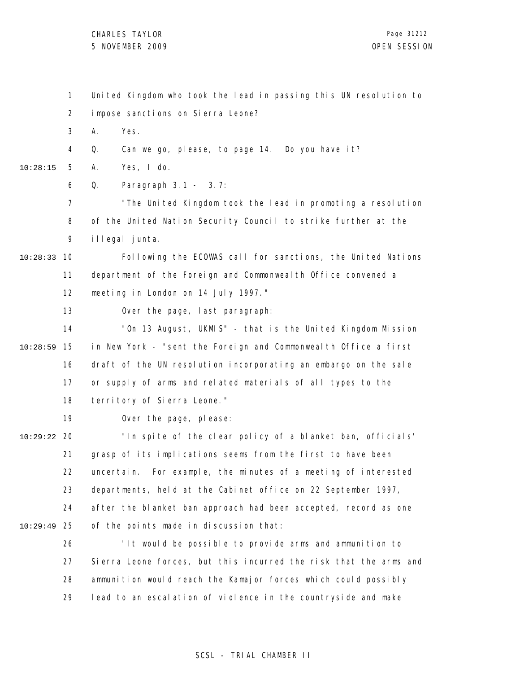CHARLES TAYLOR 5 NOVEMBER 2009 OPEN SESSION

1 2 3 4 5 6 7 8 9 10 10:28:33 11 12 13 14 15 10:28:59 16 17 18 19 20 10:29:22 21 22 23 24 25 10:29:49 26 27 28 29 10:28:15 United Kingdom who took the lead in passing this UN resolution to impose sanctions on Sierra Leone? A. Yes. Q. Can we go, please, to page 14. Do you have it? A. Yes, I do. Q. Paragraph 3.1 - 3.7: "The United Kingdom took the lead in promoting a resolution of the United Nation Security Council to strike further at the illegal junta. Following the ECOWAS call for sanctions, the United Nations department of the Foreign and Commonwealth Office convened a meeting in London on 14 July 1997." Over the page, last paragraph: "On 13 August, UKMIS" - that is the United Kingdom Mission in New York - "sent the Foreign and Commonwealth Office a first draft of the UN resolution incorporating an embargo on the sale or supply of arms and related materials of all types to the territory of Sierra Leone." Over the page, please: "In spite of the clear policy of a blanket ban, officials' grasp of its implications seems from the first to have been uncertain. For example, the minutes of a meeting of interested departments, held at the Cabinet office on 22 September 1997, after the blanket ban approach had been accepted, record as one of the points made in discussion that: 'It would be possible to provide arms and ammunition to Sierra Leone forces, but this incurred the risk that the arms and ammunition would reach the Kamajor forces which could possibly lead to an escalation of violence in the countryside and make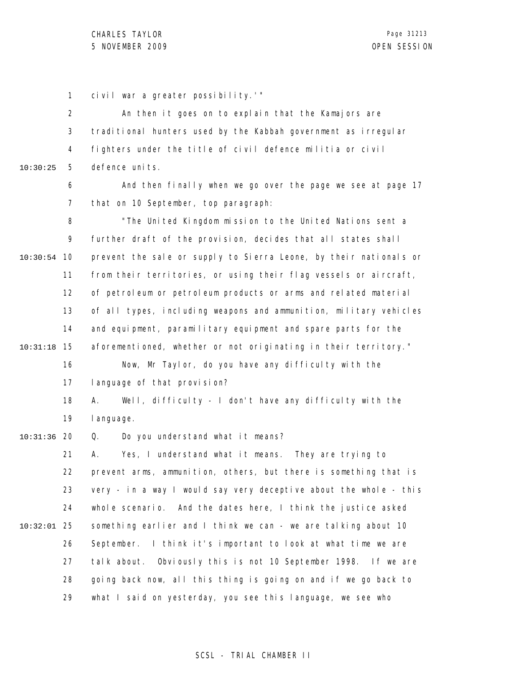1 civil war a greater possibility.'"

2 3 4 5 10:30:25 An then it goes on to explain that the Kamajors are traditional hunters used by the Kabbah government as irregular fighters under the title of civil defence militia or civil defence units.

> 6 7 And then finally when we go over the page we see at page  $17$ that on 10 September, top paragraph:

8 9 10 10:30:54 11 12 13 14 15 10:31:18 16 17 18 19 20 10:31:36 21 22 "The United Kingdom mission to the United Nations sent a further draft of the provision, decides that all states shall prevent the sale or supply to Sierra Leone, by their nationals or from their territories, or using their flag vessels or aircraft, of petroleum or petroleum products or arms and related material of all types, including weapons and ammunition, military vehicles and equipment, paramilitary equipment and spare parts for the aforementioned, whether or not originating in their territory." Now, Mr Taylor, do you have any difficulty with the language of that provision? A. Well, difficulty - I don't have any difficulty with the language. Q. Do you understand what it means? A. Yes, I understand what it means. They are trying to prevent arms, ammunition, others, but there is something that is

23 24 25 10:32:01 26 27 28 29 very - in a way I would say very deceptive about the whole - this whole scenario. And the dates here, I think the justice asked something earlier and I think we can - we are talking about 10 September. I think it's important to look at what time we are talk about. Obviously this is not 10 September 1998. If we are going back now, all this thing is going on and if we go back to what I said on yesterday, you see this language, we see who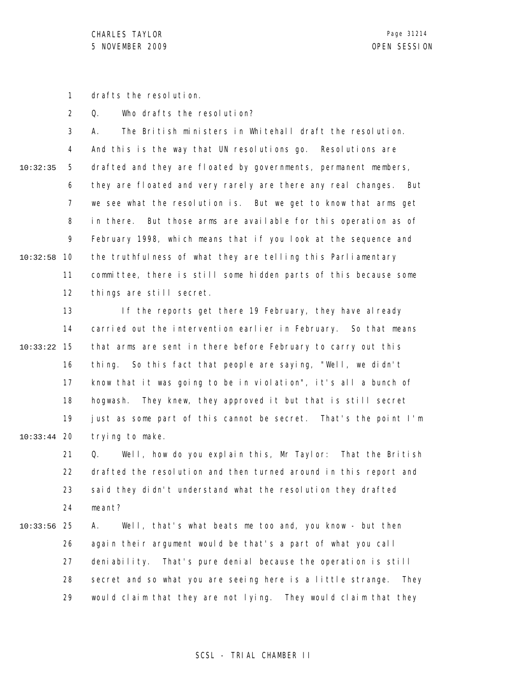1 drafts the resolution.

2 Q. Who drafts the resolution?

3 4 5 6 7 8 9 10 10:32:58 11 12 10:32:35 A. The British ministers in Whitehall draft the resolution. And this is the way that UN resolutions go. Resolutions are drafted and they are floated by governments, permanent members, they are floated and very rarely are there any real changes. But we see what the resolution is. But we get to know that arms get in there. But those arms are available for this operation as of February 1998, which means that if you look at the sequence and the truthfulness of what they are telling this Parliamentary committee, there is still some hidden parts of this because some things are still secret.

13 14 15 10:33:22 16 17 18 19 20 10:33:44 If the reports get there 19 February, they have already carried out the intervention earlier in February. So that means that arms are sent in there before February to carry out this thing. So this fact that people are saying, "Well, we didn't know that it was going to be in violation", it's all a bunch of hogwash. They knew, they approved it but that is still secret just as some part of this cannot be secret. That's the point I'm trying to make.

21 22 23 24 Q. Well, how do you explain this, Mr Taylor: That the British drafted the resolution and then turned around in this report and said they didn't understand what the resolution they drafted meant?

25 10:33:56 26 27 28 29 A. Well, that's what beats me too and, you know - but then again their argument would be that's a part of what you call deniability. That's pure denial because the operation is still secret and so what you are seeing here is a little strange. They would claim that they are not lying. They would claim that they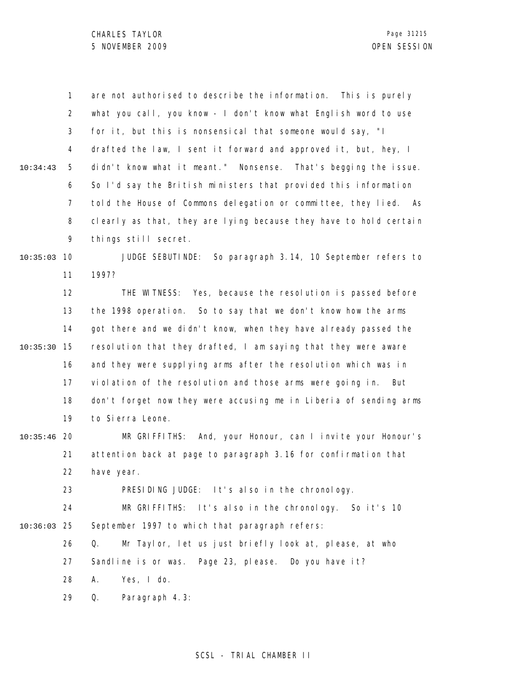|               | $\mathbf{1}$   | are not authorised to describe the information. This is purely    |
|---------------|----------------|-------------------------------------------------------------------|
|               | $\overline{2}$ | what you call, you know - I don't know what English word to use   |
|               | 3              | for it, but this is nonsensical that someone would say, "I        |
|               | 4              | drafted the law, I sent it forward and approved it, but, hey, I   |
| 10:34:43      | 5              | didn't know what it meant." Nonsense. That's begging the issue.   |
|               | 6              | So I'd say the British ministers that provided this information   |
|               | $\overline{7}$ | told the House of Commons delegation or committee, they lied. As  |
|               | 8              | clearly as that, they are lying because they have to hold certain |
|               | 9              | things still secret.                                              |
| 10:35:03      | 10             | JUDGE SEBUTINDE: So paragraph 3.14, 10 September refers to        |
|               | 11             | 1997?                                                             |
|               | 12             | THE WITNESS: Yes, because the resolution is passed before         |
|               | 13             | the 1998 operation. So to say that we don't know how the arms     |
|               | 14             | got there and we didn't know, when they have already passed the   |
| 10:35:30      | 15             | resolution that they drafted, I am saying that they were aware    |
|               | 16             | and they were supplying arms after the resolution which was in    |
|               | 17             | violation of the resolution and those arms were going in. But     |
|               | 18             | don't forget now they were accusing me in Liberia of sending arms |
|               | 19             | to Sierra Leone.                                                  |
| $10:35:46$ 20 |                | MR GRIFFITHS: And, your Honour, can I invite your Honour's        |
|               | 21             | attention back at page to paragraph 3.16 for confirmation that    |
|               | 22             | have year.                                                        |
|               | 23             | PRESIDING JUDGE: It's also in the chronology.                     |
|               | 24             | MR GRIFFITHS: It's also in the chronology. So it's 10             |
| 10:36:03      | 25             | September 1997 to which that paragraph refers:                    |
|               | 26             | Mr Taylor, let us just briefly look at, please, at who<br>Q.      |
|               | 27             | Sandline is or was. Page 23, please. Do you have it?              |
|               | 28             | Yes, I do.<br>Α.                                                  |
|               | 29             | Q.<br>Paragraph 4.3:                                              |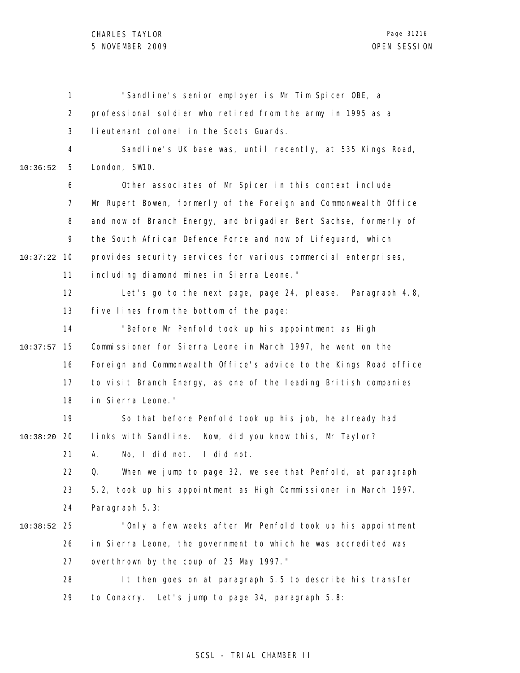1 2 3 4 5 6 7 8 9 10 10:37:22 11 12 13 14 15 10:37:57 16 17 18 19 20 10:38:20 21 22 23 24 25 10:38:52 26 27 28 29 10:36:52 "Sandline's senior employer is Mr Tim Spicer OBE, a professional soldier who retired from the army in 1995 as a lieutenant colonel in the Scots Guards. Sandline's UK base was, until recently, at 535 Kings Road, London, SW10. Other associates of Mr Spicer in this context include Mr Rupert Bowen, formerly of the Foreign and Commonwealth Office and now of Branch Energy, and brigadier Bert Sachse, formerly of the South African Defence Force and now of Lifeguard, which provides security services for various commercial enterprises, including diamond mines in Sierra Leone." Let's go to the next page, page 24, please. Paragraph 4.8, five lines from the bottom of the page: "Before Mr Penfold took up his appointment as High Commissioner for Sierra Leone in March 1997, he went on the Foreign and Commonwealth Office's advice to the Kings Road office to visit Branch Energy, as one of the leading British companies in Sierra Leone." So that before Penfold took up his job, he already had links with Sandline. Now, did you know this, Mr Taylor? A. No, I did not. I did not. Q. When we jump to page 32, we see that Penfold, at paragraph 5.2, took up his appointment as High Commissioner in March 1997. Paragraph 5.3: "Only a few weeks after Mr Penfold took up his appointment in Sierra Leone, the government to which he was accredited was overthrown by the coup of 25 May 1997." It then goes on at paragraph 5.5 to describe his transfer to Conakry. Let's jump to page 34, paragraph 5.8: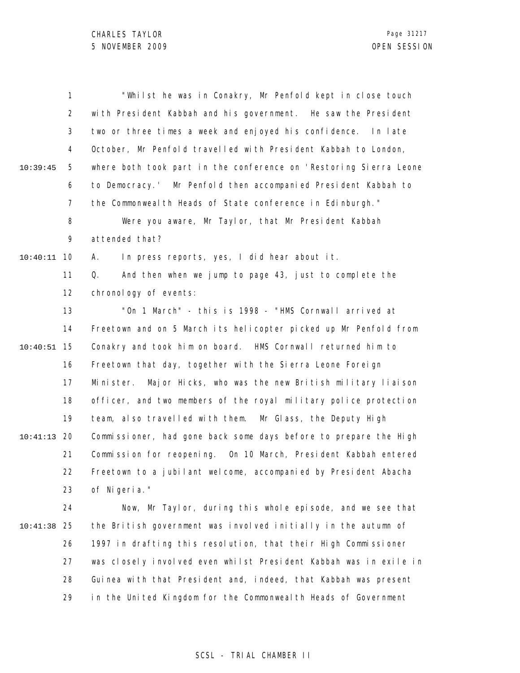|          | 1              | "Whilst he was in Conakry, Mr Penfold kept in close touch            |
|----------|----------------|----------------------------------------------------------------------|
|          | 2              | with President Kabbah and his government. He saw the President       |
|          | 3              | two or three times a week and enjoyed his confidence. In late        |
|          | 4              | October, Mr Penfold travelled with President Kabbah to London,       |
| 10:39:45 | 5              | where both took part in the conference on 'Restoring Sierra Leone    |
|          | 6              | to Democracy.' Mr Penfold then accompanied President Kabbah to       |
|          | $\overline{7}$ | the Commonweal th Heads of State conference in Edinburgh."           |
|          | 8              | Were you aware, Mr Taylor, that Mr President Kabbah                  |
|          | 9              | attended that?                                                       |
| 10:40:11 | 10             | In press reports, yes, I did hear about it.<br>А.                    |
|          | 11             | And then when we jump to page 43, just to complete the<br>Q.         |
|          | 12             | chronology of events:                                                |
|          | 13             | "On 1 March" - this is 1998 - "HMS Cornwall arrived at               |
|          | 14             | Freetown and on 5 March its helicopter picked up Mr Penfold from     |
| 10:40:51 | 15             | Conakry and took him on board. HMS Cornwall returned him to          |
|          | 16             | Freetown that day, together with the Sierra Leone Foreign            |
|          | 17             | Major Hicks, who was the new British military liaison<br>Mi ni ster. |
|          | 18             | officer, and two members of the royal military police protection     |
|          | 19             | team, also travelled with them. Mr Glass, the Deputy High            |
| 10:41:13 | 20             | Commissioner, had gone back some days before to prepare the High     |
|          | 21             | Commission for reopening. On 10 March, President Kabbah entered      |
|          | 22             | Freetown to a jubilant welcome, accompanied by President Abacha      |
|          | 23             | of Nigeria."                                                         |
|          | 24             | Now, Mr Taylor, during this whole episode, and we see that           |
| 10:41:38 | 25             | the British government was involved initially in the autumn of       |
|          | 26             | 1997 in drafting this resolution, that their High Commissioner       |
|          | 27             | was closely involved even whilst President Kabbah was in exile in    |
|          | 28             | Guinea with that President and, indeed, that Kabbah was present      |
|          | 29             | in the United Kingdom for the Commonweal th Heads of Government      |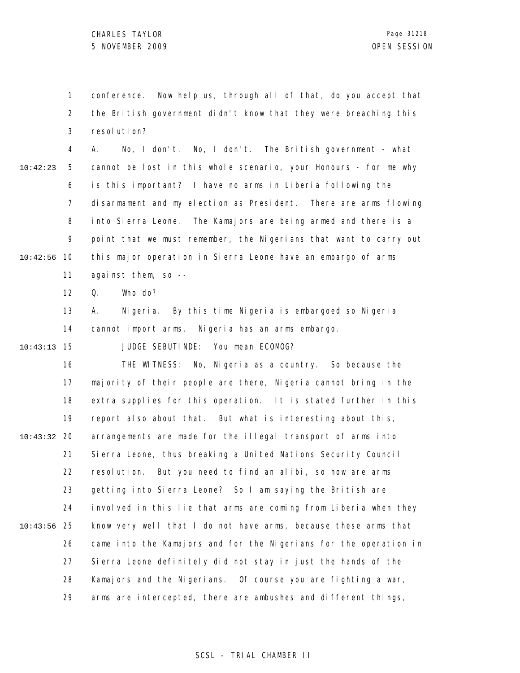1 2 3 conference. Now help us, through all of that, do you accept that the British government didn't know that they were breaching this resolution?

4 5 6 7 8 9 10 10:42:56 11 10:42:23 A. No, I don't. No, I don't. The British government - what cannot be lost in this whole scenario, your Honours - for me why is this important? I have no arms in Liberia following the disarmament and my election as President. There are arms flowing into Sierra Leone. The Kamajors are being armed and there is a point that we must remember, the Nigerians that want to carry out this major operation in Sierra Leone have an embargo of arms against them, so --

> 12 Q. Who do?

13 14 A. Nigeria. By this time Nigeria is embargoed so Nigeria cannot import arms. Nigeria has an arms embargo.

15 10:43:13

JUDGE SEBUTINDE: You mean ECOMOG?

16 17 18 19 20 10:43:32 21 22 23 24 25 10:43:56 26 27 28 29 THE WITNESS: No, Nigeria as a country. So because the majority of their people are there, Nigeria cannot bring in the extra supplies for this operation. It is stated further in this report also about that. But what is interesting about this, arrangements are made for the illegal transport of arms into Sierra Leone, thus breaking a United Nations Security Council resolution. But you need to find an alibi, so how are arms getting into Sierra Leone? So I am saying the British are involved in this lie that arms are coming from Liberia when they know very well that I do not have arms, because these arms that came into the Kamajors and for the Nigerians for the operation in Sierra Leone definitely did not stay in just the hands of the Kamajors and the Nigerians. Of course you are fighting a war, arms are intercepted, there are ambushes and different things,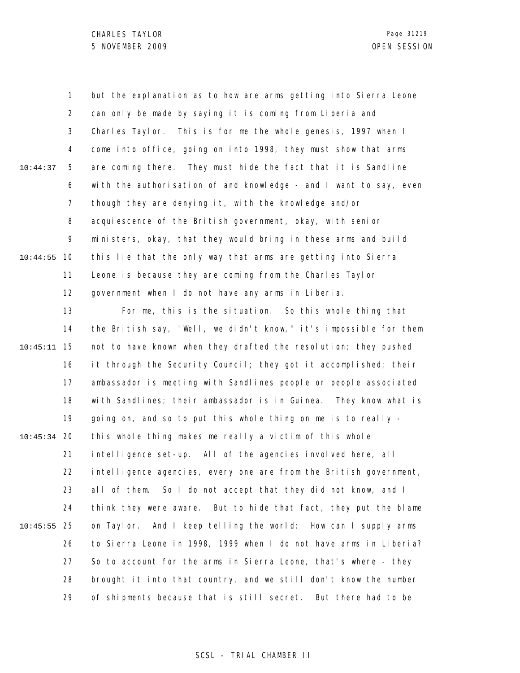1 2 3 4 5 6 7 8 9 10 10:44:55 11 12 13 14 15 10:45:11 16 17 18 19 20 10:45:34 21 22 23 24 25 10:45:55 26 27 28 29 10:44:37 but the explanation as to how are arms getting into Sierra Leone can only be made by saying it is coming from Liberia and Charles Taylor. This is for me the whole genesis, 1997 when I come into office, going on into 1998, they must show that arms are coming there. They must hide the fact that it is Sandline with the authorisation of and knowledge - and I want to say, even though they are denying it, with the knowledge and/or acquiescence of the British government, okay, with senior ministers, okay, that they would bring in these arms and build this lie that the only way that arms are getting into Sierra Leone is because they are coming from the Charles Taylor government when I do not have any arms in Liberia. For me, this is the situation. So this whole thing that the British say, "Well, we didn't know," it's impossible for them not to have known when they drafted the resolution; they pushed it through the Security Council; they got it accomplished; their ambassador is meeting with Sandlines people or people associated with Sandlines; their ambassador is in Guinea. They know what is going on, and so to put this whole thing on me is to really this whole thing makes me really a victim of this whole intelligence set-up. All of the agencies involved here, all intelligence agencies, every one are from the British government, all of them. So I do not accept that they did not know, and I think they were aware. But to hide that fact, they put the blame on Taylor. And I keep telling the world: How can I supply arms to Sierra Leone in 1998, 1999 when I do not have arms in Liberia? So to account for the arms in Sierra Leone, that's where - they brought it into that country, and we still don't know the number of shipments because that is still secret. But there had to be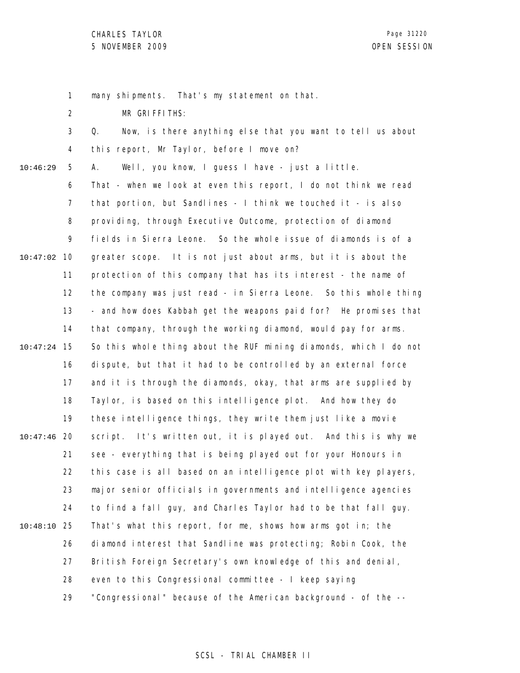1 many shipments. That's my statement on that.

2 MR GRIFFITHS:

|          | 3              | Now, is there anything else that you want to tell us about<br>Q.  |
|----------|----------------|-------------------------------------------------------------------|
|          | 4              | this report, Mr Taylor, before I move on?                         |
| 10:46:29 | 5              | Well, you know, I guess I have - just a little.<br>А.             |
|          | 6              | That - when we look at even this report, I do not think we read   |
|          | $\overline{7}$ | that portion, but Sandlines - I think we touched it - is also     |
|          | 8              | providing, through Executive Outcome, protection of diamond       |
|          | 9              | fields in Sierra Leone. So the whole issue of diamonds is of a    |
| 10:47:02 | 10             | greater scope. It is not just about arms, but it is about the     |
|          | 11             | protection of this company that has its interest - the name of    |
|          | 12             | the company was just read - in Sierra Leone. So this whole thing  |
|          | 13             | - and how does Kabbah get the weapons paid for? He promises that  |
|          | 14             | that company, through the working diamond, would pay for arms.    |
| 10:47:24 | 15             | So this whole thing about the RUF mining diamonds, which I do not |
|          | 16             | dispute, but that it had to be controlled by an external force    |
|          | 17             | and it is through the diamonds, okay, that arms are supplied by   |
|          | 18             | Taylor, is based on this intelligence plot. And how they do       |
|          | 19             | these intelligence things, they write them just like a movie      |
| 10:47:46 | 20             | script. It's written out, it is played out. And this is why we    |
|          | 21             | see - everything that is being played out for your Honours in     |
|          | 22             | this case is all based on an intelligence plot with key players,  |
|          | 23             | major senior officials in governments and intelligence agencies   |
|          | 24             | to find a fall guy, and Charles Taylor had to be that fall guy.   |
| 10:48:10 | 25             | That's what this report, for me, shows how arms got in; the       |
|          | 26             | diamond interest that Sandline was protecting; Robin Cook, the    |
|          | 27             | British Foreign Secretary's own knowledge of this and denial,     |
|          | 28             | even to this Congressional committee - I keep saying              |
|          | 29             | "Congressional" because of the American background - of the --    |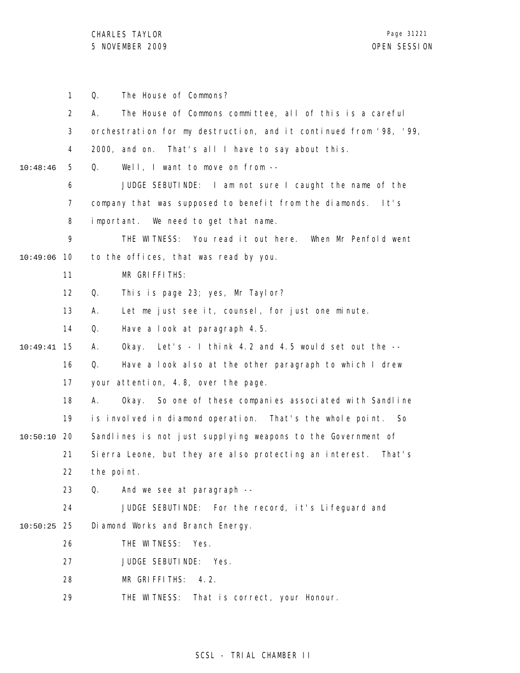1 2 3 4 5 6 7 8 9 10 10:49:06 11 12 13 14 15 10:49:41 16 17 18 19 20 10:50:10 21 22 23 24 25 10:50:25 26 27 28 29 10:48:46 Q. The House of Commons? A. The House of Commons committee, all of this is a careful orchestration for my destruction, and it continued from '98, '99, 2000, and on. That's all I have to say about this. Q. Well, I want to move on from -- JUDGE SEBUTINDE: I am not sure I caught the name of the company that was supposed to benefit from the diamonds. It's important. We need to get that name. THE WITNESS: You read it out here. When Mr Penfold went to the offices, that was read by you. MR GRIFFITHS: Q. This is page 23; yes, Mr Taylor? A. Let me just see it, counsel, for just one minute. Q. Have a look at paragraph 4.5. A. Okay. Let's - I think 4.2 and 4.5 would set out the -- Q. Have a look also at the other paragraph to which I drew your attention, 4.8, over the page. A. Okay. So one of these companies associated with Sandline is involved in diamond operation. That's the whole point. So Sandlines is not just supplying weapons to the Government of Sierra Leone, but they are also protecting an interest. That's the point. Q. And we see at paragraph -- JUDGE SEBUTINDE: For the record, it's Lifeguard and Diamond Works and Branch Energy. THE WITNESS: Yes. JUDGE SEBUTINDE: Yes. MR GRIFFITHS: 4.2. THE WITNESS: That is correct, your Honour.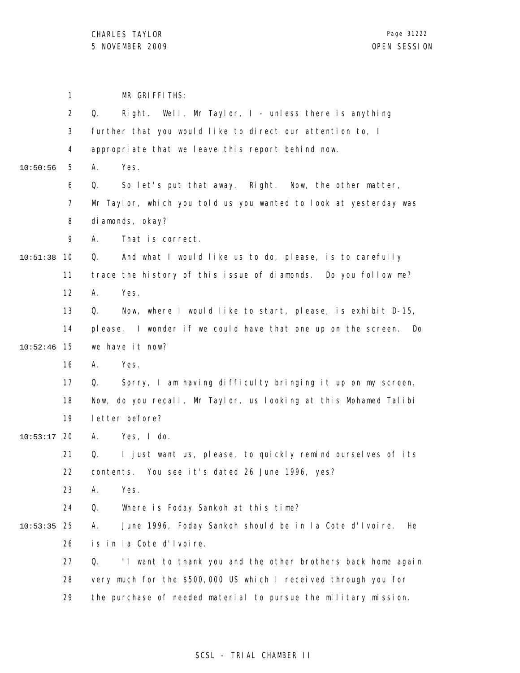1 MR GRIFFITHS:

|          | $\overline{2}$ | Right. Well, Mr Taylor, $I -$ unless there is anything<br>Q.        |
|----------|----------------|---------------------------------------------------------------------|
|          | 3              | further that you would like to direct our attention to, I           |
|          | 4              | appropriate that we leave this report behind now.                   |
| 10:50:56 | 5              | Α.<br>Yes.                                                          |
|          | 6              | So let's put that away. Right. Now, the other matter,<br>Q.         |
|          | $\overline{7}$ | Mr Taylor, which you told us you wanted to look at yesterday was    |
|          | 8              | di amonds, okay?                                                    |
|          | 9              | That is correct.<br>А.                                              |
| 10:51:38 | 10             | And what I would like us to do, please, is to carefully<br>Q.       |
|          | 11             | trace the history of this issue of diamonds. Do you follow me?      |
|          | 12             | Yes.<br>Α.                                                          |
|          | 13             | Now, where I would like to start, please, is exhibit D-15,<br>Q.    |
|          | 14             | please. I wonder if we could have that one up on the screen.<br>Do. |
| 10:52:46 | 15             | we have it now?                                                     |
|          | 16             | Yes.<br>А.                                                          |
|          | 17             | Sorry, I am having difficulty bringing it up on my screen.<br>Q.    |
|          | 18             | Now, do you recall, Mr Taylor, us looking at this Mohamed Talibi    |
|          | 19             | letter before?                                                      |
| 10:53:17 | 20             | Yes, I do.<br>А.                                                    |
|          | 21             | I just want us, please, to quickly remind ourselves of its<br>Q.    |
|          | 22             | You see it's dated 26 June 1996, yes?<br>contents.                  |
|          | 23             | Α.<br>Yes.                                                          |
|          | 24             | Q.<br>Where is Foday Sankoh at this time?                           |
| 10:53:35 | 25             | June 1996, Foday Sankoh should be in la Cote d'Ivoire.<br>А.<br>He  |
|          | 26             | is in la Cote d'Ivoire.                                             |
|          | 27             | "I want to thank you and the other brothers back home again<br>Q.   |
|          | 28             | very much for the \$500,000 US which I received through you for     |
|          | 29             | the purchase of needed material to pursue the military mission.     |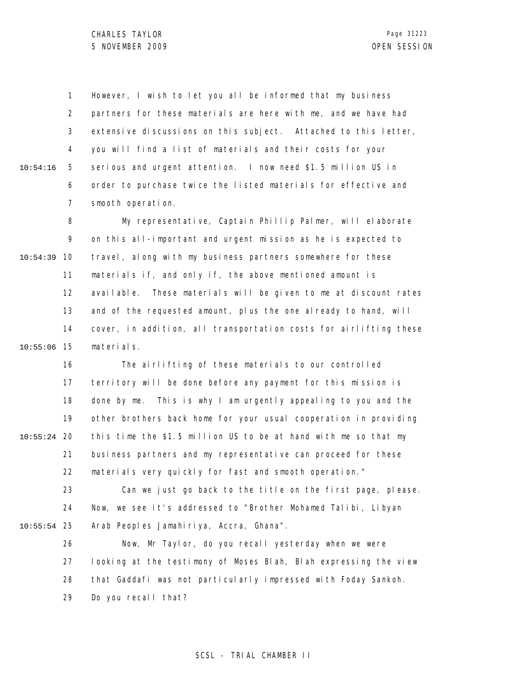1 2 3 4 5 6 7 10:54:16 However, I wish to let you all be informed that my business partners for these materials are here with me, and we have had extensive discussions on this subject. Attached to this letter, you will find a list of materials and their costs for your serious and urgent attention. I now need \$1.5 million US in order to purchase twice the listed materials for effective and smooth operation.

8 9 10 10:54:39 11 12 13 14 15 10:55:06 My representative, Captain Phillip Palmer, will elaborate on this all-important and urgent mission as he is expected to travel, along with my business partners somewhere for these materials if, and only if, the above mentioned amount is available. These materials will be given to me at discount rates and of the requested amount, plus the one already to hand, will cover, in addition, all transportation costs for airlifting these materials.

16 17 18 19 20 10:55:24 21 22 23 24 25 10:55:54 The airlifting of these materials to our controlled territory will be done before any payment for this mission is done by me. This is why I am urgently appealing to you and the other brothers back home for your usual cooperation in providing this time the \$1.5 million US to be at hand with me so that my business partners and my representative can proceed for these materials very quickly for fast and smooth operation." Can we just go back to the title on the first page, please. Now, we see it's addressed to "Brother Mohamed Talibi, Libyan Arab Peoples Jamahiriya, Accra, Ghana".

26 27 28 29 Now, Mr Taylor, do you recall yesterday when we were looking at the testimony of Moses Blah, Blah expressing the view that Gaddafi was not particularly impressed with Foday Sankoh. Do you recall that?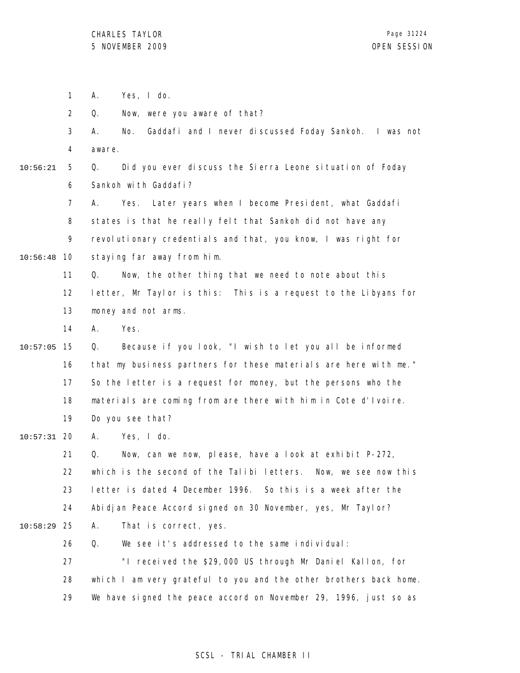1 A. Yes, I do.

2 Q. Now, were you aware of that?

3 4 A. No. Gaddafi and I never discussed Foday Sankoh. I was not aware.

10:56:21

5 6 Q. Did you ever discuss the Sierra Leone situation of Foday Sankoh with Gaddafi?

7 8 9 10 10:56:48 A. Yes. Later years when I become President, what Gaddafi states is that he really felt that Sankoh did not have any revolutionary credentials and that, you know, I was right for staying far away from him.

> 11 12 13 Q. Now, the other thing that we need to note about this letter, Mr Taylor is this: This is a request to the Libyans for money and not arms.

14 A. Yes.

15 10:57:05 16 17 18 19 Q. Because if you look, "I wish to let you all be informed that my business partners for these materials are here with me." So the letter is a request for money, but the persons who the materials are coming from are there with him in Cote d'Ivoire. Do you see that?

20 10:57:31 A. Yes, I do.

21 22 23 24 25 10:58:29 26 27 28 29 Q. Now, can we now, please, have a look at exhibit P-272, which is the second of the Talibi letters. Now, we see now this letter is dated 4 December 1996. So this is a week after the Abidjan Peace Accord signed on 30 November, yes, Mr Taylor? A. That is correct, yes. Q. We see it's addressed to the same individual: "I received the \$29,000 US through Mr Daniel Kallon, for which I am very grateful to you and the other brothers back home. We have signed the peace accord on November 29, 1996, just so as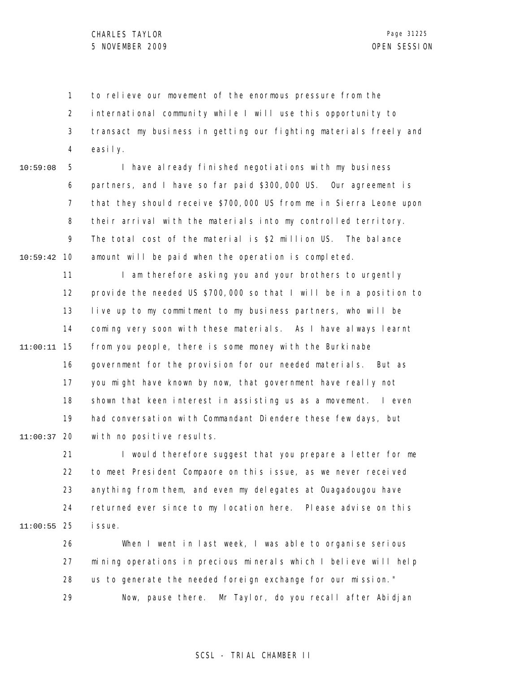1 2 3 4 to relieve our movement of the enormous pressure from the international community while I will use this opportunity to transact my business in getting our fighting materials freely and easily.

5 6 7 8 9 10 10:59:42 10:59:08 I have already finished negotiations with my business partners, and I have so far paid \$300,000 US. Our agreement is that they should receive \$700,000 US from me in Sierra Leone upon their arrival with the materials into my controlled territory. The total cost of the material is \$2 million US. The balance amount will be paid when the operation is completed.

11 12 13 14 15 11:00:11 16 17 18 19 20 11:00:37 I am therefore asking you and your brothers to urgently provide the needed US \$700,000 so that I will be in a position to live up to my commitment to my business partners, who will be coming very soon with these materials. As I have always learnt from you people, there is some money with the Burkinabe government for the provision for our needed materials. But as you might have known by now, that government have really not shown that keen interest in assisting us as a movement. I even had conversation with Commandant Diendere these few days, but with no positive results.

21 22 23 24 25 11:00:55 I would therefore suggest that you prepare a letter for me to meet President Compaore on this issue, as we never received anything from them, and even my delegates at Ouagadougou have returned ever since to my location here. Please advise on this i ssue.

26 27 28 29 When I went in last week, I was able to organise serious mining operations in precious minerals which I believe will help us to generate the needed foreign exchange for our mission." Now, pause there. Mr Taylor, do you recall after Abidjan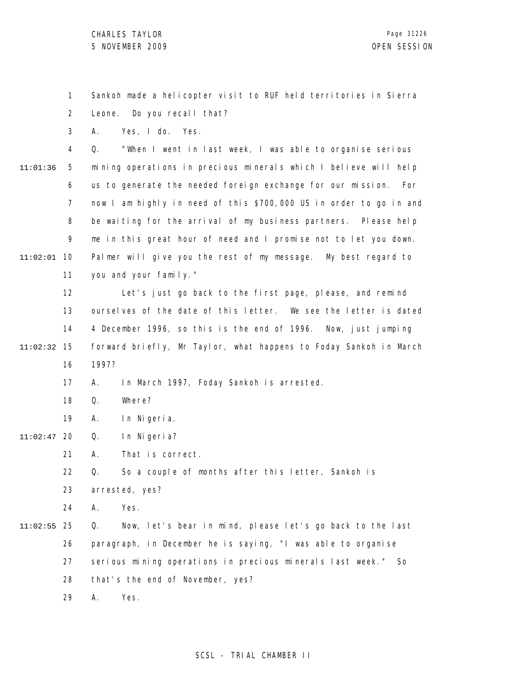1 2 Sankoh made a helicopter visit to RUF held territories in Sierra Leone. Do you recall that?

3 A. Yes, I do. Yes.

4 5 6 7 8 9 10 11:02:01 11 11:01:36 Q. "When I went in last week, I was able to organise serious mining operations in precious minerals which I believe will help us to generate the needed foreign exchange for our mission. For now I am highly in need of this \$700,000 US in order to go in and be waiting for the arrival of my business partners. Please help me in this great hour of need and I promise not to let you down. Palmer will give you the rest of my message. My best regard to you and your family."

12 13 14 15 11:02:32 16 Let's just go back to the first page, please, and remind ourselves of the date of this letter. We see the letter is dated 4 December 1996, so this is the end of 1996. Now, just jumping forward briefly, Mr Taylor, what happens to Foday Sankoh in March 1997?

> 17 A. In March 1997, Foday Sankoh is arrested.

- 18 Q. Where?
- 19 A. In Nigeria.

20 11:02:47 Q. In Nigeria?

> 21 A. That is correct.

22 Q. So a couple of months after this letter, Sankoh is

23 arrested, yes?

24 A. Yes.

25 11:02:55 26 27 28 Q. Now, let's bear in mind, please let's go back to the last paragraph, in December he is saying, "I was able to organise serious mining operations in precious minerals last week." So that's the end of November, yes?

> 29 A. Yes.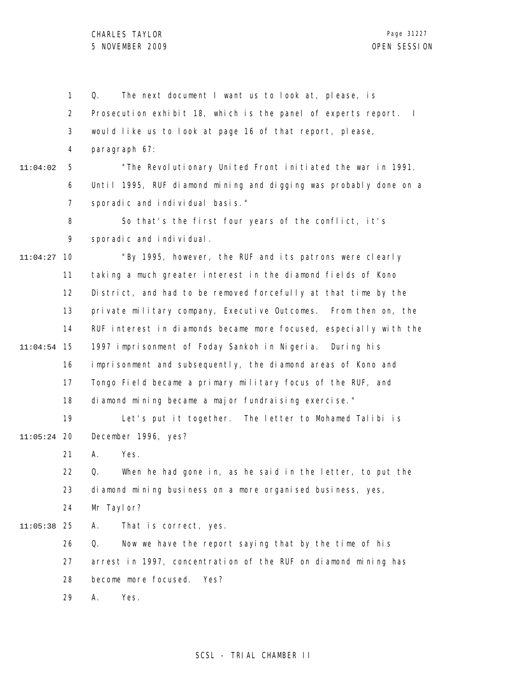1 2 3 4 5 6 7 8 9 10 11:04:27 11 12 13 14 15 11:04:54 16 17 18 19 20 11:05:24 21 22 23 24 25 11:05:38 26 27 28 29 11:04:02 Q. The next document I want us to look at, please, is Prosecution exhibit 18, which is the panel of experts report. I would like us to look at page 16 of that report, please, paragraph 67: "The Revolutionary United Front initiated the war in 1991. Until 1995, RUF diamond mining and digging was probably done on a sporadic and individual basis." So that's the first four years of the conflict, it's sporadic and individual. "By 1995, however, the RUF and its patrons were clearly taking a much greater interest in the diamond fields of Kono District, and had to be removed forcefully at that time by the private military company, Executive Outcomes. From then on, the RUF interest in diamonds became more focused, especially with the 1997 imprisonment of Foday Sankoh in Nigeria. During his imprisonment and subsequently, the diamond areas of Kono and Tongo Field became a primary military focus of the RUF, and diamond mining became a major fundraising exercise." Let's put it together. The letter to Mohamed Talibi is December 1996, yes? A. Yes. Q. When he had gone in, as he said in the letter, to put the diamond mining business on a more organised business, yes, Mr Taylor? A. That is correct, yes. Q. Now we have the report saying that by the time of his arrest in 1997, concentration of the RUF on diamond mining has become more focused. Yes? A. Yes.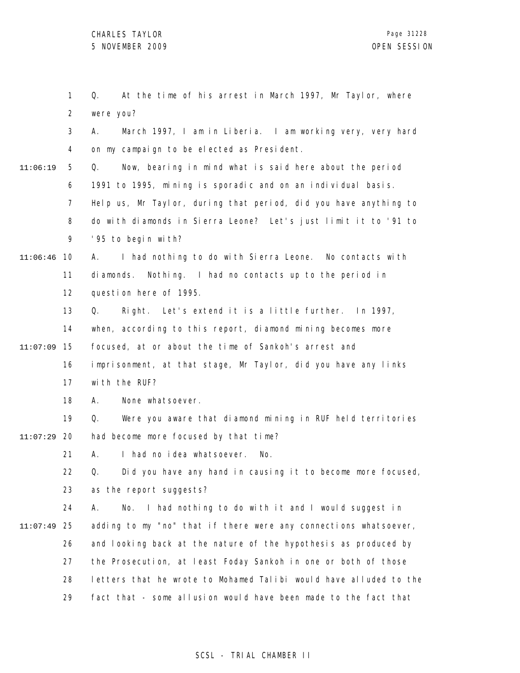1 2 3 4 5 6 7 8 9 10 11:06:46 11 12 13 14 15 11:07:09 16 17 18 19 20 11:07:29 21 22 23 24 25 11:07:49 26 27 28 29 11:06:19 Q. At the time of his arrest in March 1997, Mr Taylor, where were you? A. March 1997, I am in Liberia. I am working very, very hard on my campaign to be elected as President. Q. Now, bearing in mind what is said here about the period 1991 to 1995, mining is sporadic and on an individual basis. Help us, Mr Taylor, during that period, did you have anything to do with diamonds in Sierra Leone? Let's just limit it to '91 to '95 to begin with? A. I had nothing to do with Sierra Leone. No contacts with diamonds. Nothing. I had no contacts up to the period in question here of 1995. Q. Right. Let's extend it is a little further. In 1997, when, according to this report, diamond mining becomes more focused, at or about the time of Sankoh's arrest and imprisonment, at that stage, Mr Taylor, did you have any links with the RUF? A. None whatsoever. Q. Were you aware that diamond mining in RUF held territories had become more focused by that time? A. I had no idea whatsoever. No. Q. Did you have any hand in causing it to become more focused, as the report suggests? A. No. I had nothing to do with it and I would suggest in adding to my "no" that if there were any connections whatsoever, and looking back at the nature of the hypothesis as produced by the Prosecution, at least Foday Sankoh in one or both of those letters that he wrote to Mohamed Talibi would have alluded to the fact that - some allusion would have been made to the fact that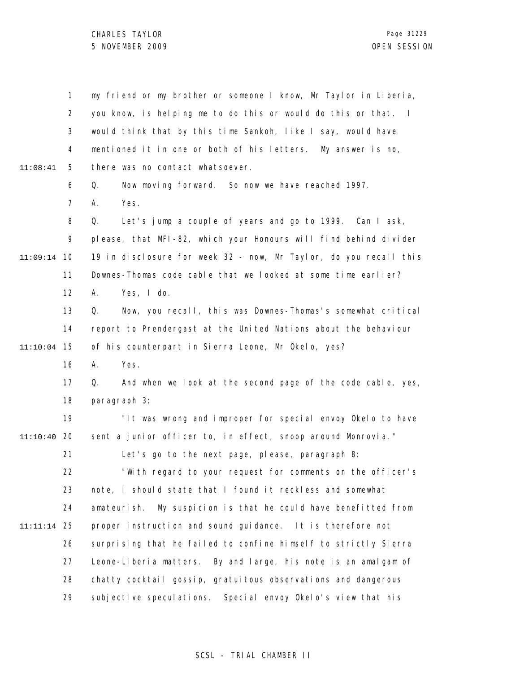1 2 3 4 5 6 7 8 9 10 11:09:14 11 12 13 14 15 11:10:04 16 17 18 19 20 11:10:40 21 22 23 24 25 11:11:14 26 27 28 29 11:08:41 my friend or my brother or someone I know, Mr Taylor in Liberia, you know, is helping me to do this or would do this or that. I would think that by this time Sankoh, like I say, would have mentioned it in one or both of his letters. My answer is no, there was no contact whatsoever. Q. Now moving forward. So now we have reached 1997. A. Yes. Q. Let's jump a couple of years and go to 1999. Can I ask, please, that MFI-82, which your Honours will find behind divider 19 in disclosure for week 32 - now, Mr Taylor, do you recall this Downes-Thomas code cable that we looked at some time earlier? A. Yes, I do. Q. Now, you recall, this was Downes-Thomas's somewhat critical report to Prendergast at the United Nations about the behaviour of his counterpart in Sierra Leone, Mr Okelo, yes? A. Yes. Q. And when we look at the second page of the code cable, yes, paragraph 3: "It was wrong and improper for special envoy Okelo to have sent a junior officer to, in effect, snoop around Monrovia." Let's go to the next page, please, paragraph 8: "With regard to your request for comments on the officer's note, I should state that I found it reckless and somewhat amateurish. My suspicion is that he could have benefitted from proper instruction and sound guidance. It is therefore not surprising that he failed to confine himself to strictly Sierra Leone-Liberia matters. By and large, his note is an amalgam of chatty cocktail gossip, gratuitous observations and dangerous subjective speculations. Special envoy Okelo's view that his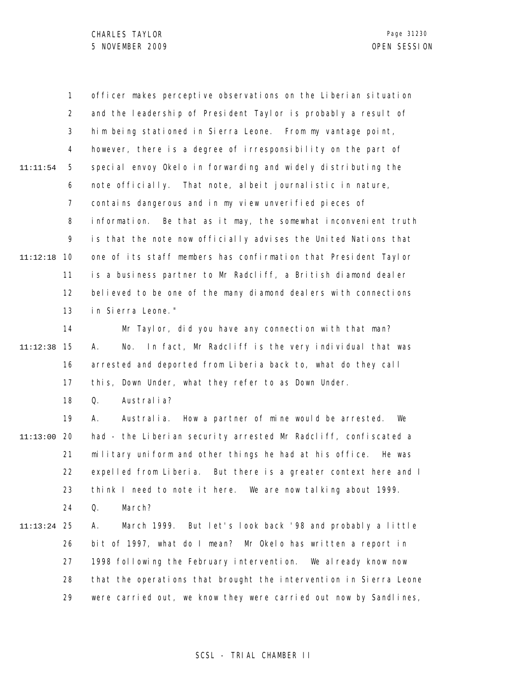1 2 3 4 5 6 7 8 9 10 11:12:18 11 12 13 14 15 11:12:38 16 17 18 19 20 11:13:00 21 22 23 24 25 11:13:24 26 27 28 29 11:11:54 officer makes perceptive observations on the Liberian situation and the leadership of President Taylor is probably a result of him being stationed in Sierra Leone. From my vantage point, however, there is a degree of irresponsibility on the part of special envoy Okelo in forwarding and widely distributing the note officially. That note, albeit journalistic in nature, contains dangerous and in my view unverified pieces of information. Be that as it may, the somewhat inconvenient truth is that the note now officially advises the United Nations that one of its staff members has confirmation that President Taylor is a business partner to Mr Radcliff, a British diamond dealer believed to be one of the many diamond dealers with connections in Sierra Leone." Mr Taylor, did you have any connection with that man? A. No. In fact, Mr Radcliff is the very individual that was arrested and deported from Liberia back to, what do they call this, Down Under, what they refer to as Down Under. Q. Australia? A. Australia. How a partner of mine would be arrested. We had - the Liberian security arrested Mr Radcliff, confiscated a military uniform and other things he had at his office. He was expelled from Liberia. But there is a greater context here and I think I need to note it here. We are now talking about 1999. Q. March? A. March 1999. But let's look back '98 and probably a little bit of 1997, what do I mean? Mr Okelo has written a report in 1998 following the February intervention. We already know now that the operations that brought the intervention in Sierra Leone were carried out, we know they were carried out now by Sandlines,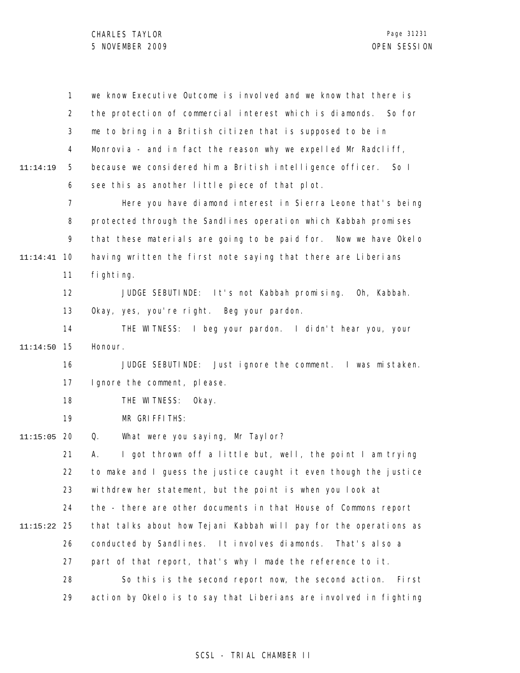|          | $\mathbf{1}$   | we know Executive Outcome is involved and we know that there is   |
|----------|----------------|-------------------------------------------------------------------|
|          | $\overline{2}$ | the protection of commercial interest which is diamonds. So for   |
|          | 3              | me to bring in a British citizen that is supposed to be in        |
|          | 4              | Monrovia - and in fact the reason why we expelled Mr Radcliff,    |
| 11:14:19 | 5              | because we considered him a British intelligence officer. So I    |
|          | 6              | see this as another little piece of that plot.                    |
|          | 7              | Here you have diamond interest in Sierra Leone that's being       |
|          | 8              | protected through the Sandlines operation which Kabbah promises   |
|          | 9              | that these materials are going to be paid for. Now we have Okelo  |
| 11:14:41 | 10             | having written the first note saying that there are Liberians     |
|          | 11             | fi ghti ng.                                                       |
|          | 12             | JUDGE SEBUTINDE: It's not Kabbah promising. Oh, Kabbah.           |
|          | 13             | Okay, yes, you're right. Beg your pardon.                         |
|          | 14             | THE WITNESS: I beg your pardon. I didn't hear you, your           |
| 11:14:50 | 15             | Honour.                                                           |
|          | 16             | JUDGE SEBUTINDE: Just ignore the comment. I was mistaken.         |
|          | 17             | I gnore the comment, please.                                      |
|          | 18             | THE WITNESS:<br>Okay.                                             |
|          | 19             | MR GRIFFITHS:                                                     |
| 11:15:05 | 20             | What were you saying, Mr Taylor?<br>Q.                            |
|          | 21             | I got thrown off a little but, well, the point I am trying<br>А.  |
|          | 22             | to make and I guess the justice caught it even though the justice |
|          | 23             | withdrew her statement, but the point is when you look at         |
|          | 24             | the - there are other documents in that House of Commons report   |
| 11:15:22 | 25             | that talks about how Tejani Kabbah will pay for the operations as |
|          | 26             | conducted by Sandlines. It involves diamonds.<br>That's also a    |
|          | 27             | part of that report, that's why I made the reference to it.       |
|          | 28             | So this is the second report now, the second action.<br>Fi rst    |
|          | 29             | action by Okelo is to say that Liberians are involved in fighting |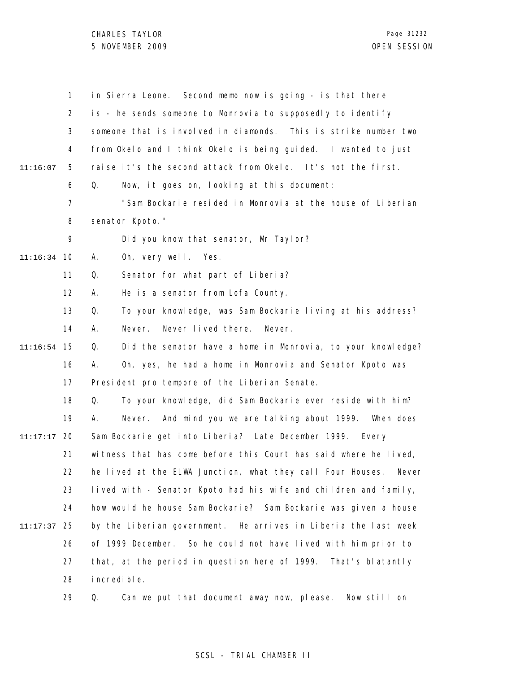CHARLES TAYLOR 5 NOVEMBER 2009 OPEN SESSION

Page 31232

|          | 1              | in Sierra Leone. Second memo now is going - is that there           |
|----------|----------------|---------------------------------------------------------------------|
|          | $\overline{2}$ | is - he sends someone to Monrovia to supposedly to identify         |
|          | 3              | someone that is involved in diamonds. This is strike number two     |
|          | 4              | from Okelo and I think Okelo is being guided. I wanted to just      |
| 11:16:07 | 5              | raise it's the second attack from Okelo. It's not the first.        |
|          | 6              | Now, it goes on, looking at this document:<br>Q.                    |
|          | 7              | "Sam Bockarie resided in Monrovia at the house of Liberian          |
|          | 8              | senator Kpoto."                                                     |
|          | 9              | Did you know that senator, Mr Taylor?                               |
| 11:16:34 | 10             | Oh, very well. Yes.<br>А.                                           |
|          | 11             | Senator for what part of Liberia?<br>Q.                             |
|          | 12             | He is a senator from Lofa County.<br>А.                             |
|          | 13             | Q.<br>To your knowledge, was Sam Bockarie living at his address?    |
|          | 14             | Never.<br>Never lived there.<br>Never.<br>А.                        |
| 11:16:54 | 15             | Did the senator have a home in Monrovia, to your knowledge?<br>Q.   |
|          | 16             | Oh, yes, he had a home in Monrovia and Senator Kpoto was<br>А.      |
|          | 17             | President pro tempore of the Liberian Senate.                       |
|          | 18             | To your knowledge, did Sam Bockarie ever reside with him?<br>Q.     |
|          | 19             | Never. And mind you we are talking about 1999. When does<br>А.      |
| 11:17:17 | 20             | Sam Bockarie get into Liberia? Late December 1999. Every            |
|          | 21             | witness that has come before this Court has said where he lived,    |
|          | 22             | he lived at the ELWA Junction, what they call Four Houses.<br>Never |
|          | 23             | lived with - Senator Kpoto had his wife and children and family,    |
|          | 24             | how would he house Sam Bockarie? Sam Bockarie was given a house     |
| 11:17:37 | 25             | by the Liberian government. He arrives in Liberia the last week     |
|          | 26             | of 1999 December. So he could not have lived with him prior to      |
|          | 27             | that, at the period in question here of 1999. That's blatantly      |
|          | 28             | i ncredi bl e.                                                      |
|          | 29             | Can we put that document away now, please.<br>Now still on<br>Q.    |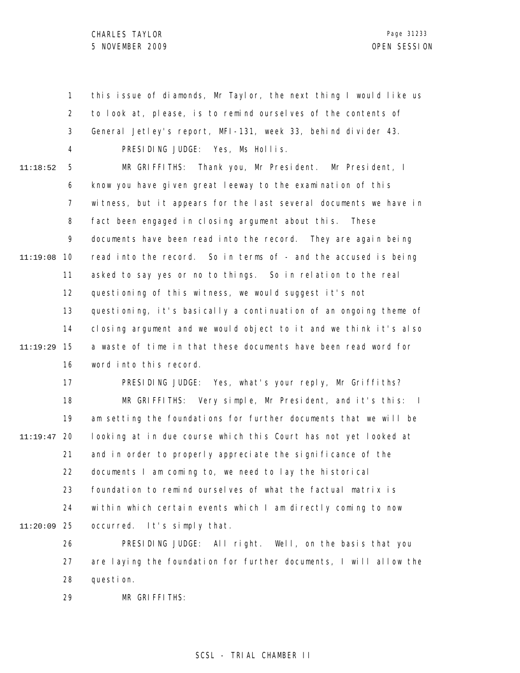1 2 3 4 5 6 7 8 9 11:19:08 10 11 12 13 14 15 11:19:29 16 17 18 19 20 11:19:47 21 22 23 24 25 11:20:09 26 27 11:18:52 this issue of diamonds, Mr Taylor, the next thing I would like us to look at, please, is to remind ourselves of the contents of General Jetley's report, MFI-131, week 33, behind divider 43. PRESIDING JUDGE: Yes, Ms Hollis. MR GRIFFITHS: Thank you, Mr President. Mr President, I know you have given great leeway to the examination of this witness, but it appears for the last several documents we have in fact been engaged in closing argument about this. These documents have been read into the record. They are again being read into the record. So in terms of - and the accused is being asked to say yes or no to things. So in relation to the real questioning of this witness, we would suggest it's not questioning, it's basically a continuation of an ongoing theme of closing argument and we would object to it and we think it's also a waste of time in that these documents have been read word for word into this record. PRESIDING JUDGE: Yes, what's your reply, Mr Griffiths? MR GRIFFITHS: Very simple, Mr President, and it's this: I am setting the foundations for further documents that we will be looking at in due course which this Court has not yet looked at and in order to properly appreciate the significance of the documents I am coming to, we need to lay the historical foundation to remind ourselves of what the factual matrix is within which certain events which I am directly coming to now occurred. It's simply that. PRESIDING JUDGE: All right. Well, on the basis that you are laying the foundation for further documents, I will allow the

> 28 question.

29 MR GRIFFITHS: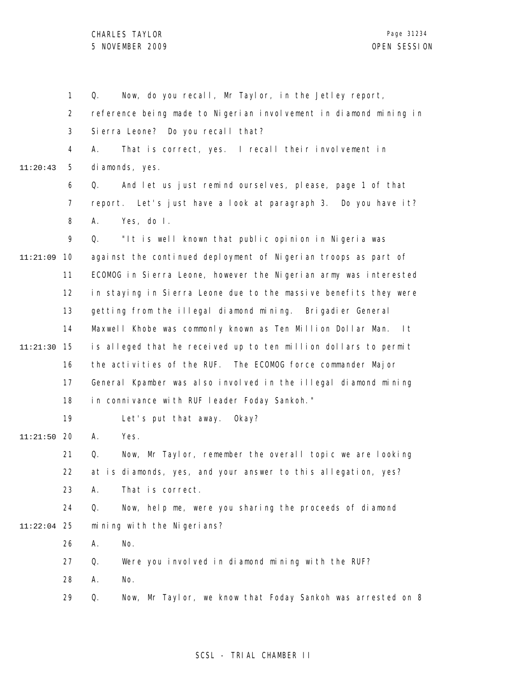1 2 3 4 5 6 7 8 9 10 11:21:09 11 12 13 14 15 11:21:30 16 17 18 19 20 11:21:50 21 22 23 24 25 11:22:04 26 27 28 29 11:20:43 Q. Now, do you recall, Mr Taylor, in the Jetley report, reference being made to Nigerian involvement in diamond mining in Sierra Leone? Do you recall that? A. That is correct, yes. I recall their involvement in diamonds, yes. Q. And let us just remind ourselves, please, page 1 of that report. Let's just have a look at paragraph 3. Do you have it? A. Yes, do I. Q. "It is well known that public opinion in Nigeria was against the continued deployment of Nigerian troops as part of ECOMOG in Sierra Leone, however the Nigerian army was interested in staying in Sierra Leone due to the massive benefits they were getting from the illegal diamond mining. Brigadier General Maxwell Khobe was commonly known as Ten Million Dollar Man. It is alleged that he received up to ten million dollars to permit the activities of the RUF. The ECOMOG force commander Major General Kpamber was also involved in the illegal diamond mining in connivance with RUF leader Foday Sankoh." Let's put that away. Okay? A. Yes. Q. Now, Mr Taylor, remember the overall topic we are looking at is diamonds, yes, and your answer to this allegation, yes? A. That is correct. Q. Now, help me, were you sharing the proceeds of diamond mining with the Nigerians? A. No. Q. Were you involved in diamond mining with the RUF? A. No. Q. Now, Mr Taylor, we know that Foday Sankoh was arrested on 8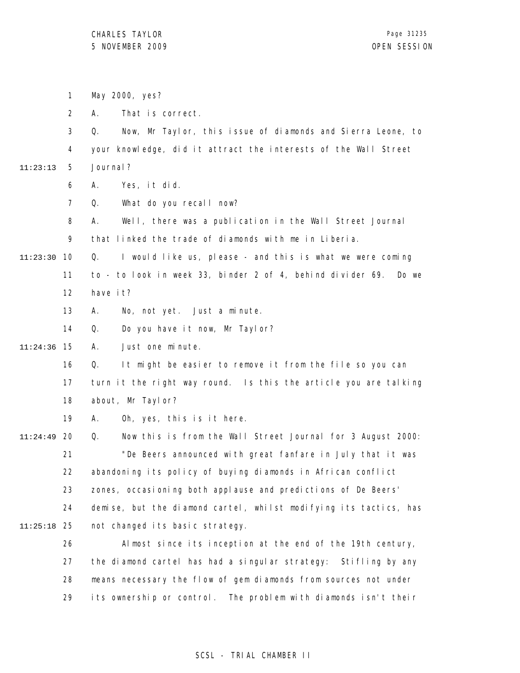1 2 3 4 5 6 7 8 9 10 11:23:30 11 12 13 14 15 11:24:36 16 17 18 19 20 11:24:49 21 22 23 24 25 11:25:18 26 27 28 29 11:23:13 May 2000, yes? A. That is correct. Q. Now, Mr Taylor, this issue of diamonds and Sierra Leone, to your knowledge, did it attract the interests of the Wall Street Journal? A. Yes, it did. Q. What do you recall now? A. Well, there was a publication in the Wall Street Journal that linked the trade of diamonds with me in Liberia. Q. I would like us, please - and this is what we were coming to - to look in week 33, binder 2 of 4, behind divider 69. Do we have it? A. No, not yet. Just a minute. Q. Do you have it now, Mr Taylor? A. Just one minute. Q. It might be easier to remove it from the file so you can turn it the right way round. Is this the article you are talking about, Mr Taylor? A. Oh, yes, this is it here. Q. Now this is from the Wall Street Journal for 3 August 2000: "De Beers announced with great fanfare in July that it was abandoning its policy of buying diamonds in African conflict zones, occasioning both applause and predictions of De Beers' demise, but the diamond cartel, whilst modifying its tactics, has not changed its basic strategy. Almost since its inception at the end of the 19th century, the diamond cartel has had a singular strategy: Stifling by any means necessary the flow of gem diamonds from sources not under its ownership or control. The problem with diamonds isn't their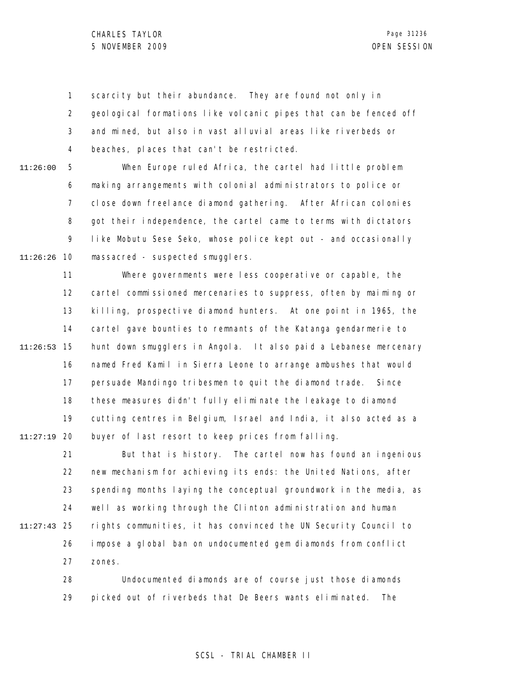1 2 3 4 scarcity but their abundance. They are found not only in geological formations like volcanic pipes that can be fenced off and mined, but also in vast alluvial areas like riverbeds or beaches, places that can't be restricted.

5 6 7 8 9 10 11:26:26 11:26:00 When Europe ruled Africa, the cartel had little problem making arrangements with colonial administrators to police or close down freelance diamond gathering. After African colonies got their independence, the cartel came to terms with dictators like Mobutu Sese Seko, whose police kept out - and occasionally massacred - suspected smugglers.

11 12 13 14 15 11:26:53 16 17 18 19 20 11:27:19 Where governments were less cooperative or capable, the cartel commissioned mercenaries to suppress, often by maiming or killing, prospective diamond hunters. At one point in 1965, the cartel gave bounties to remnants of the Katanga gendarmerie to hunt down smugglers in Angola. It also paid a Lebanese mercenary named Fred Kamil in Sierra Leone to arrange ambushes that would persuade Mandingo tribesmen to quit the diamond trade. Since these measures didn't fully eliminate the leakage to diamond cutting centres in Belgium, Israel and India, it also acted as a buyer of last resort to keep prices from falling.

21 22 23 24 25 11:27:43 26 27 But that is history. The cartel now has found an ingenious new mechanism for achieving its ends: the United Nations, after spending months laying the conceptual groundwork in the media, as well as working through the Clinton administration and human rights communities, it has convinced the UN Security Council to impose a global ban on undocumented gem diamonds from conflict zones.

> 28 29 Undocumented diamonds are of course just those diamonds picked out of riverbeds that De Beers wants eliminated. The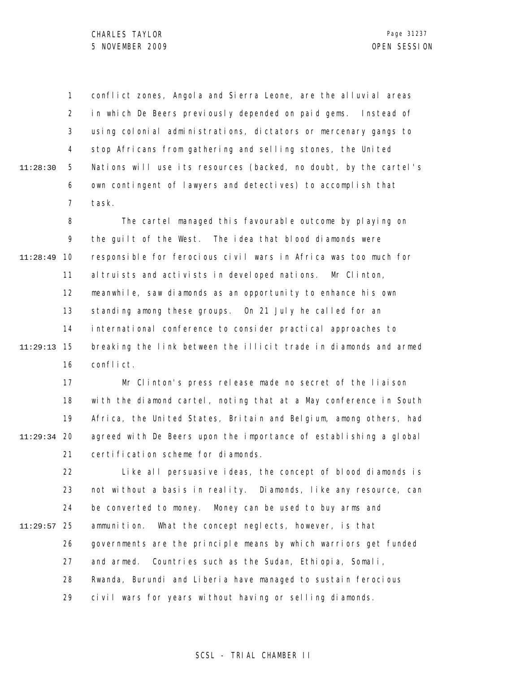1 2 3 4 5 6 7 11:28:30 conflict zones, Angola and Sierra Leone, are the alluvial areas in which De Beers previously depended on paid gems. Instead of using colonial administrations, dictators or mercenary gangs to stop Africans from gathering and selling stones, the United Nations will use its resources (backed, no doubt, by the cartel's own contingent of lawyers and detectives) to accomplish that task.

8 9 10 11:28:49 11 12 13 14 15 11:29:13 16 The cartel managed this favourable outcome by playing on the guilt of the West. The idea that blood diamonds were responsible for ferocious civil wars in Africa was too much for altruists and activists in developed nations. Mr Clinton, meanwhile, saw diamonds as an opportunity to enhance his own standing among these groups. On 21 July he called for an international conference to consider practical approaches to breaking the link between the illicit trade in diamonds and armed conflict.

17 18 19 20 11:29:34 21 Mr Clinton's press release made no secret of the liaison with the diamond cartel, noting that at a May conference in South Africa, the United States, Britain and Belgium, among others, had agreed with De Beers upon the importance of establishing a global certification scheme for diamonds.

22 23 24 25 11:29:57 26 27 28 29 Like all persuasive ideas, the concept of blood diamonds is not without a basis in reality. Diamonds, like any resource, can be converted to money. Money can be used to buy arms and ammunition. What the concept neglects, however, is that governments are the principle means by which warriors get funded and armed. Countries such as the Sudan, Ethiopia, Somali, Rwanda, Burundi and Liberia have managed to sustain ferocious civil wars for years without having or selling diamonds.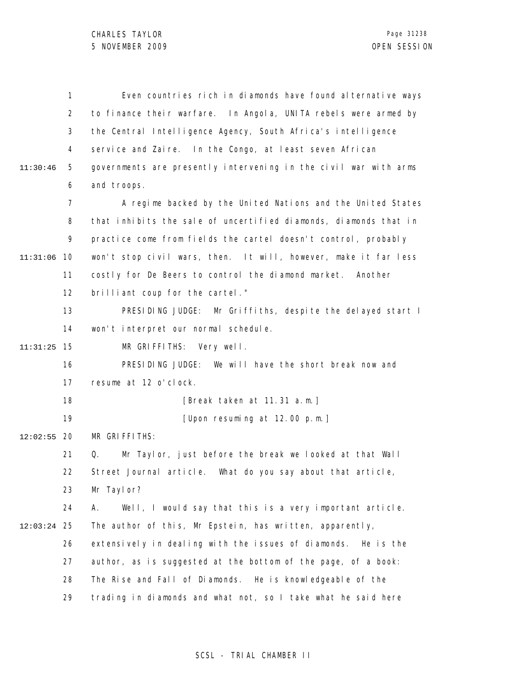|          | 1              | Even countries rich in diamonds have found alternative ways      |
|----------|----------------|------------------------------------------------------------------|
|          | 2              | to finance their warfare. In Angola, UNITA rebels were armed by  |
|          | 3              | the Central Intelligence Agency, South Africa's intelligence     |
|          | 4              | service and Zaire. In the Congo, at least seven African          |
| 11:30:46 | 5              | governments are presently intervening in the civil war with arms |
|          | 6              | and troops.                                                      |
|          | $\overline{7}$ | A regime backed by the United Nations and the United States      |
|          | 8              | that inhibits the sale of uncertified diamonds, diamonds that in |
|          | 9              | practice come from fields the cartel doesn't control, probably   |
| 11:31:06 | 10             | won't stop civil wars, then. It will, however, make it far less  |
|          | 11             | costly for De Beers to control the diamond market.<br>Another    |
|          | 12             | brilliant coup for the cartel."                                  |
|          | 13             | PRESIDING JUDGE: Mr Griffiths, despite the delayed start I       |
|          | 14             | won't interpret our normal schedule.                             |
| 11:31:25 | 15             | MR GRIFFITHS: Very well.                                         |
|          | 16             | PRESIDING JUDGE: We will have the short break now and            |
|          | 17             | resume at 12 o'clock.                                            |
|          | 18             | [Break taken at 11.31 a.m.]                                      |
|          | 19             | [Upon resuming at 12.00 p.m.]                                    |
| 12:02:55 | 20             | MR GRIFFITHS:                                                    |
|          | 21             | Mr Taylor, just before the break we looked at that Wall<br>Q.    |
|          | 22             | Street Journal article. What do you say about that article       |
|          | 23             | Mr Taylor?                                                       |
|          | 24             | Well, I would say that this is a very important article.<br>А.   |
| 12:03:24 | 25             | The author of this, Mr Epstein, has written, apparently,         |
|          | 26             | extensively in dealing with the issues of diamonds.<br>He is the |
|          | 27             | author, as is suggested at the bottom of the page, of a book:    |
|          | 28             | The Rise and Fall of Diamonds. He is knowledgeable of the        |
|          | 29             | trading in diamonds and what not, so I take what he said here    |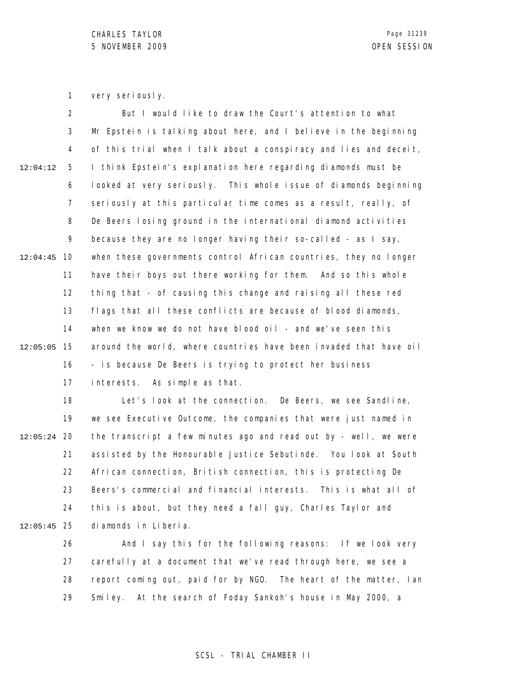1 very seriously.

2 3 4 5 6 7 8 9 10 12:04:45 11 12 13 14 15 12:05:05 16 17 12:04:12 But I would like to draw the Court's attention to what Mr Epstein is talking about here, and I believe in the beginning of this trial when I talk about a conspiracy and lies and deceit, I think Epstein's explanation here regarding diamonds must be looked at very seriously. This whole issue of diamonds beginning seriously at this particular time comes as a result, really, of De Beers losing ground in the international diamond activities because they are no longer having their so-called - as I say, when these governments control African countries, they no longer have their boys out there working for them. And so this whole thing that - of causing this change and raising all these red flags that all these conflicts are because of blood diamonds, when we know we do not have blood oil - and we've seen this around the world, where countries have been invaded that have oil - is because De Beers is trying to protect her business interests. As simple as that.

18 19 12:05:24 20 21 22 23 24 25 12:05:45 Let's look at the connection. De Beers, we see Sandline, we see Executive Outcome, the companies that were just named in the transcript a few minutes ago and read out by - well, we were assisted by the Honourable Justice Sebutinde. You look at South African connection, British connection, this is protecting De Beers's commercial and financial interests. This is what all of this is about, but they need a fall guy, Charles Taylor and diamonds in Liberia.

26 27 28 29 And I say this for the following reasons: If we look very carefully at a document that we've read through here, we see a report coming out, paid for by NGO. The heart of the matter, Ian Smiley. At the search of Foday Sankoh's house in May 2000, a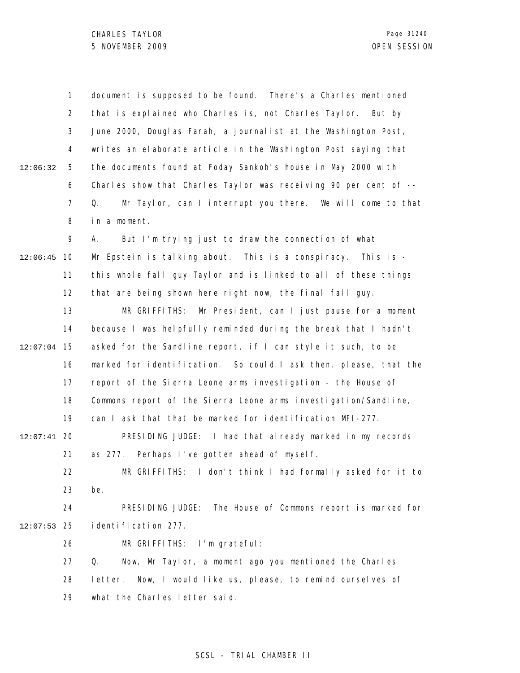1 2 3 4 5 6 7 8 9 10 12:06:45 11 12 13 14 15 12:07:04 16 17 18 19 20 12:07:41 21 22 23 24 25 12:07:53 26 27 28 29 12:06:32 document is supposed to be found. There's a Charles mentioned that is explained who Charles is, not Charles Taylor. But by June 2000, Douglas Farah, a journalist at the Washington Post, writes an elaborate article in the Washington Post saying that the documents found at Foday Sankoh's house in May 2000 with Charles show that Charles Taylor was receiving 90 per cent of --Q. Mr Taylor, can I interrupt you there. We will come to that in a moment. A. But I'm trying just to draw the connection of what Mr Epstein is talking about. This is a conspiracy. This is this whole fall guy Taylor and is linked to all of these things that are being shown here right now, the final fall guy. MR GRIFFITHS: Mr President, can I just pause for a moment because I was helpfully reminded during the break that I hadn't asked for the Sandline report, if I can style it such, to be marked for identification. So could I ask then, please, that the report of the Sierra Leone arms investigation - the House of Commons report of the Sierra Leone arms investigation/Sandline, can I ask that that be marked for identification MFI-277. PRESIDING JUDGE: I had that already marked in my records as 277. Perhaps I've gotten ahead of myself. MR GRIFFITHS: I don't think I had formally asked for it to be. PRESIDING JUDGE: The House of Commons report is marked for identification 277. MR GRIFFITHS: I'm grateful: Q. Now, Mr Taylor, a moment ago you mentioned the Charles letter. Now, I would like us, please, to remind ourselves of what the Charles letter said.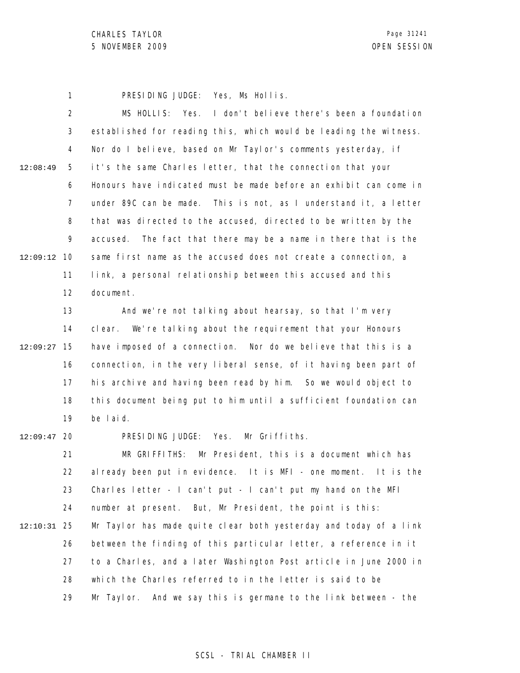1 PRESIDING JUDGE: Yes, Ms Hollis.

2 3 4 5 6 7 8 9 10 12:09:12 11 12 13 14 15 12:09:27 16 17 18 19 12:09:47 20 21 22 23 24 12:08:49 MS HOLLIS: Yes. I don't believe there's been a foundation established for reading this, which would be leading the witness. Nor do I believe, based on Mr Taylor's comments yesterday, if it's the same Charles letter, that the connection that your Honours have indicated must be made before an exhibit can come in under 89C can be made. This is not, as I understand it, a letter that was directed to the accused, directed to be written by the accused. The fact that there may be a name in there that is the same first name as the accused does not create a connection, a link, a personal relationship between this accused and this document. And we're not talking about hearsay, so that I'm very clear. We're talking about the requirement that your Honours have imposed of a connection. Nor do we believe that this is a connection, in the very liberal sense, of it having been part of his archive and having been read by him. So we would object to this document being put to him until a sufficient foundation can be laid. PRESIDING JUDGE: Yes. Mr Griffiths. MR GRIFFITHS: Mr President, this is a document which has already been put in evidence. It is MFI - one moment. It is the Charles letter - I can't put - I can't put my hand on the MFI number at present. But, Mr President, the point is this:

25 12:10:31 26 27 28 29 Mr Taylor has made quite clear both yesterday and today of a link between the finding of this particular letter, a reference in it to a Charles, and a later Washington Post article in June 2000 in which the Charles referred to in the letter is said to be Mr Taylor. And we say this is germane to the link between - the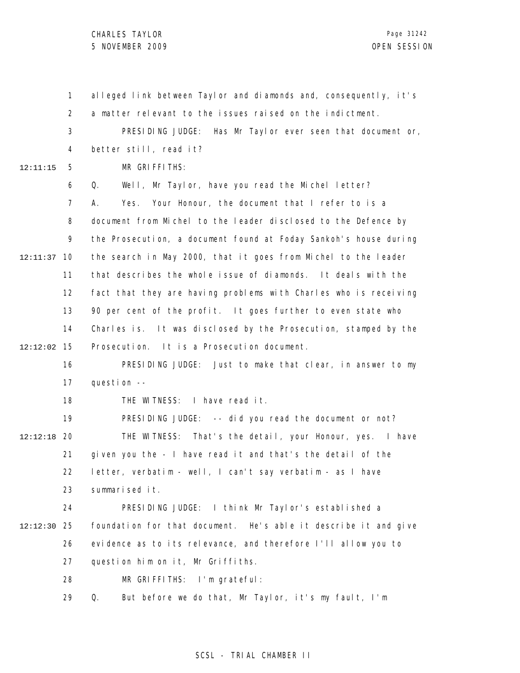1 2 3 4 5 6 7 8 9 10 12:11:37 11 12 13 14 15 12:12:02 16 17 18 19 20 12:12:18 21 22 23 24 25 12:12:30 26 27 28 29 12:11:15 alleged link between Taylor and diamonds and, consequently, it's a matter relevant to the issues raised on the indictment. PRESIDING JUDGE: Has Mr Taylor ever seen that document or, better still, read it? MR GRIFFITHS: Q. Well, Mr Taylor, have you read the Michel letter? A. Yes. Your Honour, the document that I refer to is a document from Michel to the leader disclosed to the Defence by the Prosecution, a document found at Foday Sankoh's house during the search in May 2000, that it goes from Michel to the leader that describes the whole issue of diamonds. It deals with the fact that they are having problems with Charles who is receiving 90 per cent of the profit. It goes further to even state who Charles is. It was disclosed by the Prosecution, stamped by the Prosecution. It is a Prosecution document. PRESIDING JUDGE: Just to make that clear, in answer to my question -- THE WITNESS: I have read it. PRESIDING JUDGE: -- did you read the document or not? THE WITNESS: That's the detail, your Honour, yes. I have given you the - I have read it and that's the detail of the letter, verbatim - well, I can't say verbatim - as I have summarised it. PRESIDING JUDGE: I think Mr Taylor's established a foundation for that document. He's able it describe it and give evidence as to its relevance, and therefore I'll allow you to question him on it, Mr Griffiths. MR GRIFFITHS: I'm grateful: Q. But before we do that, Mr Taylor, it's my fault, I'm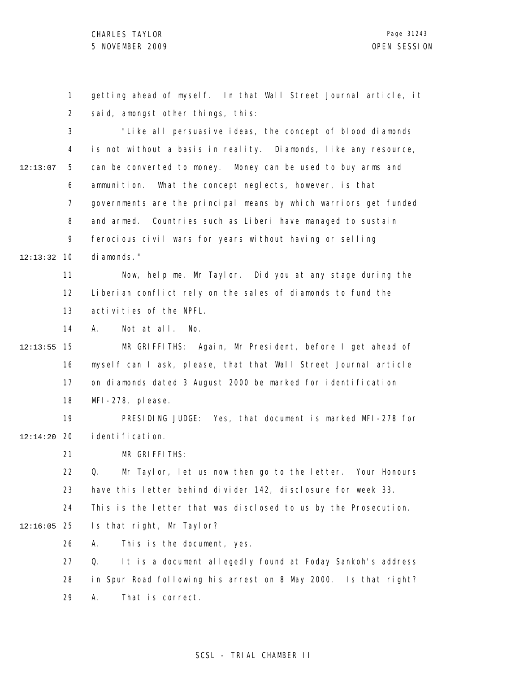CHARLES TAYLOR 5 NOVEMBER 2009 OPEN SESSION

1 2 3 4 5 12:13:07 getting ahead of myself. In that Wall Street Journal article, it said, amongst other things, this: "Like all persuasive ideas, the concept of blood diamonds is not without a basis in reality. Diamonds, like any resource, can be converted to money. Money can be used to buy arms and

6 7 8 9 10 12:13:32 ammunition. What the concept neglects, however, is that governments are the principal means by which warriors get funded and armed. Countries such as Liberi have managed to sustain ferocious civil wars for years without having or selling diamonds."

11 12 13 Now, help me, Mr Taylor. Did you at any stage during the Liberian conflict rely on the sales of diamonds to fund the activities of the NPFL.

14 A. Not at all. No.

15 12:13:55 16 17 18 MR GRIFFITHS: Again, Mr President, before I get ahead of myself can I ask, please, that that Wall Street Journal article on diamonds dated 3 August 2000 be marked for identification MFI-278, please.

19 20 12:14:20 PRESIDING JUDGE: Yes, that document is marked MFI-278 for identification.

> 21 MR GRIFFITHS:

22 23 Q. Mr Taylor, let us now then go to the letter. Your Honours have this letter behind divider 142, disclosure for week 33.

24 This is the letter that was disclosed to us by the Prosecution.

25 12:16:05 Is that right, Mr Taylor?

> 26 A. This is the document, yes.

27 28 29 Q. It is a document allegedly found at Foday Sankoh's address in Spur Road following his arrest on 8 May 2000. Is that right? A. That is correct.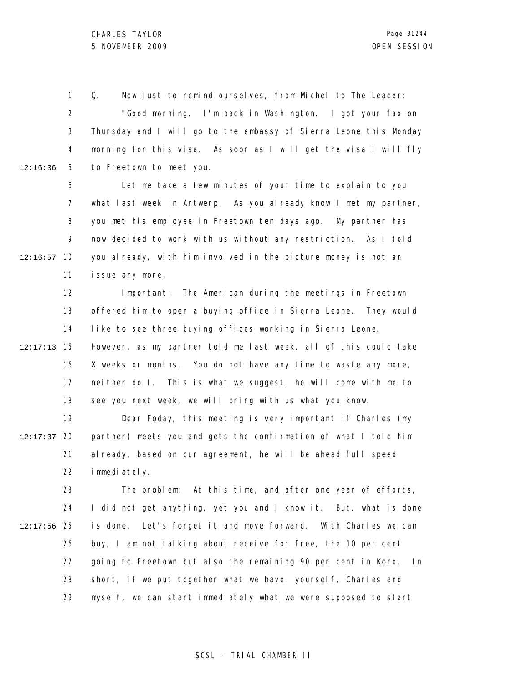1 2 3 4 5 12:16:36 Q. Now just to remind ourselves, from Michel to The Leader: "Good morning. I'm back in Washington. I got your fax on Thursday and I will go to the embassy of Sierra Leone this Monday morning for this visa. As soon as I will get the visa I will fly to Freetown to meet you.

6 7 8 9 10 12:16:57 11 Let me take a few minutes of your time to explain to you what last week in Antwerp. As you already know I met my partner, you met his employee in Freetown ten days ago. My partner has now decided to work with us without any restriction. As I told you already, with him involved in the picture money is not an issue any more.

12 13 14 Important: The American during the meetings in Freetown offered him to open a buying office in Sierra Leone. They would like to see three buying offices working in Sierra Leone.

15 12:17:13 16 17 18 However, as my partner told me last week, all of this could take X weeks or months. You do not have any time to waste any more, neither do I. This is what we suggest, he will come with me to see you next week, we will bring with us what you know.

19 12:17:37 20 21 22 Dear Foday, this meeting is very important if Charles (my partner) meets you and gets the confirmation of what I told him already, based on our agreement, he will be ahead full speed immediately.

23 24 25 12:17:56 26 27 28 29 The problem: At this time, and after one year of efforts, I did not get anything, yet you and I know it. But, what is done is done. Let's forget it and move forward. With Charles we can buy, I am not talking about receive for free, the 10 per cent going to Freetown but also the remaining 90 per cent in Kono. In short, if we put together what we have, yourself, Charles and myself, we can start immediately what we were supposed to start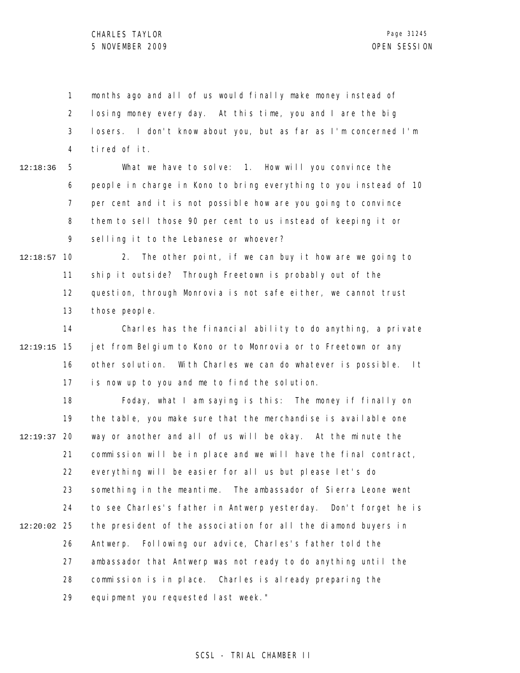1 2 3 4 months ago and all of us would finally make money instead of losing money every day. At this time, you and I are the big losers. I don't know about you, but as far as I'm concerned I'm tired of it.

5 6 7 8 9 12:18:36 What we have to solve: 1. How will you convince the people in charge in Kono to bring everything to you instead of 10 per cent and it is not possible how are you going to convince them to sell those 90 per cent to us instead of keeping it or selling it to the Lebanese or whoever?

10 12:18:57 11 12 13 2. The other point, if we can buy it how are we going to ship it outside? Through Freetown is probably out of the question, through Monrovia is not safe either, we cannot trust those people.

14 15 12:19:15 16 17 Charles has the financial ability to do anything, a private jet from Belgium to Kono or to Monrovia or to Freetown or any other solution. With Charles we can do whatever is possible. It is now up to you and me to find the solution.

18 19 12:19:37 20 21 22 23 24 25 12:20:02 26 27 28 29 Foday, what I am saying is this: The money if finally on the table, you make sure that the merchandise is available one way or another and all of us will be okay. At the minute the commission will be in place and we will have the final contract, everything will be easier for all us but please let's do something in the meantime. The ambassador of Sierra Leone went to see Charles's father in Antwerp yesterday. Don't forget he is the president of the association for all the diamond buyers in Antwerp. Following our advice, Charles's father told the ambassador that Antwerp was not ready to do anything until the commission is in place. Charles is already preparing the equipment you requested last week."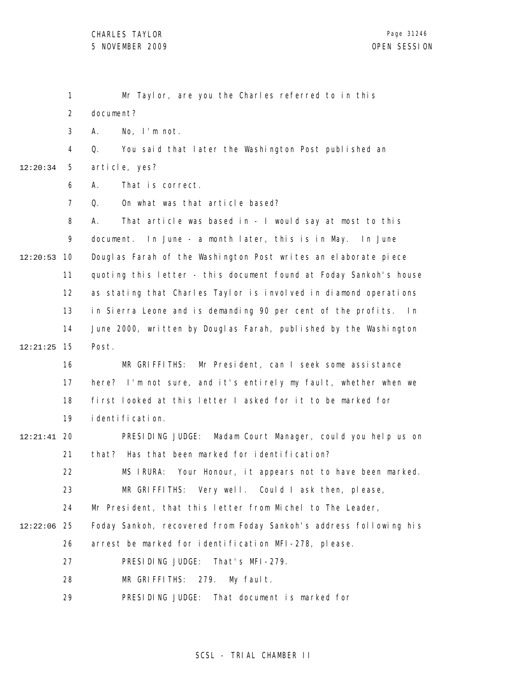|          | $\mathbf{1}$   | Mr Taylor, are you the Charles referred to in this                  |
|----------|----------------|---------------------------------------------------------------------|
|          | $\overline{2}$ | document?                                                           |
|          | 3              | No, I'm not.<br>А.                                                  |
|          | 4              | You said that later the Washington Post published an<br>Q.          |
| 12:20:34 | 5              | article, yes?                                                       |
|          | 6              | That is correct.<br>А.                                              |
|          | $\overline{7}$ | On what was that article based?<br>Q.                               |
|          | 8              | That article was based in - I would say at most to this<br>А.       |
|          | 9              | document. In June - a month later, this is in May. In June          |
| 12:20:53 | 10             | Douglas Farah of the Washington Post writes an elaborate piece      |
|          | 11             | quoting this letter - this document found at Foday Sankoh's house   |
|          | 12             | as stating that Charles Taylor is involved in diamond operations    |
|          | 13             | in Sierra Leone and is demanding 90 per cent of the profits.<br>l n |
|          | 14             | June 2000, written by Douglas Farah, published by the Washington    |
| 12:21:25 | 15             | Post.                                                               |
|          | 16             | MR GRIFFITHS: Mr President, can I seek some assistance              |
|          | 17             | here? I'm not sure, and it's entirely my fault, whether when we     |
|          | 18             | first looked at this letter I asked for it to be marked for         |
|          | 19             | i denti fi cati on.                                                 |
| 12:21:41 | 20             | Madam Court Manager, could you help us on<br>PRESIDING JUDGE:       |
|          | 21             | that? Has that been marked for identification?                      |
|          | 22             | MS IRURA: Your Honour, it appears not to have been marked.          |
|          | 23             | MR GRIFFITHS: Very well. Could I ask then, please,                  |
|          | 24             | Mr President, that this letter from Michel to The Leader,           |
| 12:22:06 | 25             | Foday Sankoh, recovered from Foday Sankoh's address following his   |
|          | 26             | arrest be marked for identification MFI-278, please.                |
|          | 27             | That's MFI-279.<br>PRESIDING JUDGE:                                 |
|          | 28             | MR GRIFFITHS: 279.<br>My faul t.                                    |
|          | 29             | PRESIDING JUDGE: That document is marked for                        |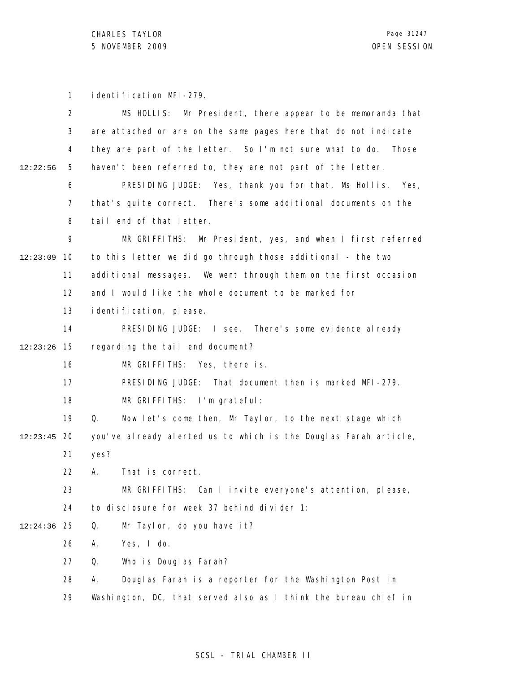CHARLES TAYLOR 5 NOVEMBER 2009 OPEN SESSION

1 identification MFI-279.

|          | 2  | MS HOLLIS: Mr President, there appear to be memoranda that       |
|----------|----|------------------------------------------------------------------|
|          | 3  | are attached or are on the same pages here that do not indicate  |
|          | 4  | they are part of the letter. So I'm not sure what to do. Those   |
| 12:22:56 | 5  | haven't been referred to, they are not part of the letter.       |
|          | 6  | PRESIDING JUDGE: Yes, thank you for that, Ms Hollis. Yes,        |
|          | 7  | that's quite correct. There's some additional documents on the   |
|          | 8  | tail end of that letter.                                         |
|          | 9  | MR GRIFFITHS: Mr President, yes, and when I first referred       |
| 12:23:09 | 10 | to this letter we did go through those additional - the two      |
|          | 11 | additional messages. We went through them on the first occasion  |
|          | 12 | and I would like the whole document to be marked for             |
|          | 13 | i denti fi cati on, please.                                      |
|          | 14 | PRESIDING JUDGE: I see. There's some evidence al ready           |
| 12:23:26 | 15 | regarding the tail end document?                                 |
|          | 16 | MR GRIFFITHS: Yes, there is.                                     |
|          | 17 | PRESIDING JUDGE: That document then is marked MFI-279.           |
|          | 18 | MR GRIFFITHS: I'm grateful:                                      |
|          | 19 | Now let's come then, Mr Taylor, to the next stage which<br>Q.    |
| 12:23:45 | 20 | you've already alerted us to which is the Douglas Farah article, |
|          | 21 | yes?                                                             |
|          | 22 | А.<br>That is correct.                                           |
|          | 23 | MR GRIFFITHS: Can I invite everyone's attention, please,         |
|          | 24 | to disclosure for week 37 behind divider 1:                      |
| 12:24:36 | 25 | Mr Taylor, do you have it?<br>Q.                                 |
|          | 26 | Yes, I do.<br>Α.                                                 |
|          | 27 | Q.<br>Who is Douglas Farah?                                      |
|          | 28 | Douglas Farah is a reporter for the Washington Post in<br>А.     |
|          | 29 | Washington, DC, that served also as I think the bureau chief in  |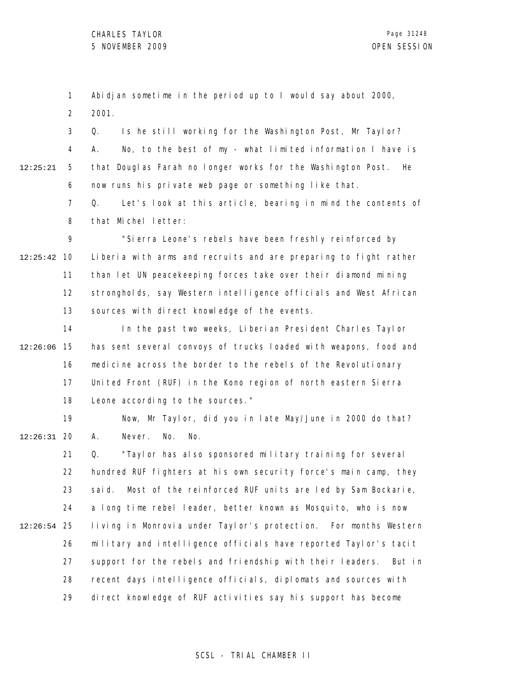1 2 Abidjan sometime in the period up to I would say about 2000, 2001.

3 4 5 6 12:25:21 Q. Is he still working for the Washington Post, Mr Taylor? A. No, to the best of my - what limited information I have is that Douglas Farah no longer works for the Washington Post. He now runs his private web page or something like that.

> 7 8 Q. Let's look at this article, bearing in mind the contents of that Michel letter:

9 10 12:25:42 11 12 13 "Sierra Leone's rebels have been freshly reinforced by Liberia with arms and recruits and are preparing to fight rather than let UN peacekeeping forces take over their diamond mining strongholds, say Western intelligence officials and West African sources with direct knowledge of the events.

14 15 12:26:06 16 17 18 In the past two weeks, Liberian President Charles Taylor has sent several convoys of trucks loaded with weapons, food and medicine across the border to the rebels of the Revolutionary United Front (RUF) in the Kono region of north eastern Sierra Leone according to the sources."

19 20 12:26:31 Now, Mr Taylor, did you in late May/June in 2000 do that? A. Never. No. No.

21 22 23 24 25 12:26:54 26 27 28 29 Q. "Taylor has also sponsored military training for several hundred RUF fighters at his own security force's main camp, they said. Most of the reinforced RUF units are led by Sam Bockarie, a long time rebel leader, better known as Mosquito, who is now living in Monrovia under Taylor's protection. For months Western military and intelligence officials have reported Taylor's tacit support for the rebels and friendship with their leaders. But in recent days intelligence officials, diplomats and sources with direct knowledge of RUF activities say his support has become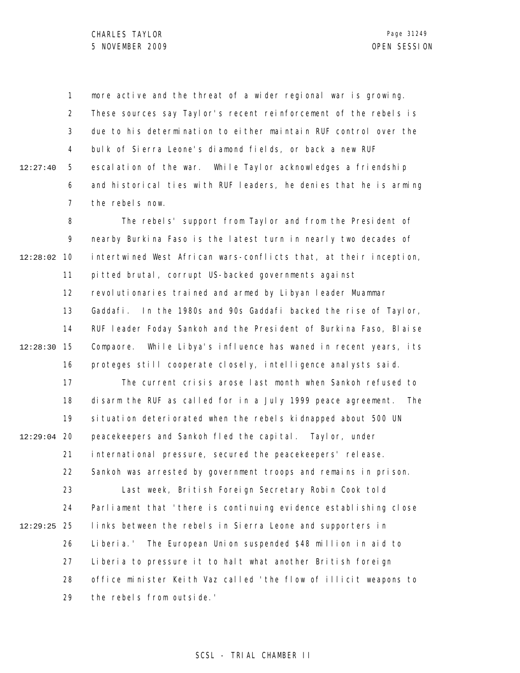1 2 3 4 5 6 7 12:27:40 more active and the threat of a wider regional war is growing. These sources say Taylor's recent reinforcement of the rebels is due to his determination to either maintain RUF control over the bulk of Sierra Leone's diamond fields, or back a new RUF escalation of the war. While Taylor acknowledges a friendship and historical ties with RUF leaders, he denies that he is arming the rebels now.

8 9 10 12:28:02 11 12 13 14 15 12:28:30 16 17 18 19 12:29:04 20 21 22 23 24 25 12:29:25 26 27 28 29 The rebels' support from Taylor and from the President of nearby Burkina Faso is the latest turn in nearly two decades of intertwined West African wars-conflicts that, at their inception, pitted brutal, corrupt US-backed governments against revolutionaries trained and armed by Libyan leader Muammar Gaddafi. In the 1980s and 90s Gaddafi backed the rise of Taylor, RUF leader Foday Sankoh and the President of Burkina Faso, Blaise Compaore. While Libya's influence has waned in recent years, its proteges still cooperate closely, intelligence analysts said. The current crisis arose last month when Sankoh refused to disarm the RUF as called for in a July 1999 peace agreement. The situation deteriorated when the rebels kidnapped about 500 UN peacekeepers and Sankoh fled the capital. Taylor, under international pressure, secured the peacekeepers' release. Sankoh was arrested by government troops and remains in prison. Last week, British Foreign Secretary Robin Cook told Parliament that 'there is continuing evidence establishing close links between the rebels in Sierra Leone and supporters in Liberia.' The European Union suspended \$48 million in aid to Liberia to pressure it to halt what another British foreign office minister Keith Vaz called 'the flow of illicit weapons to the rebels from outside.'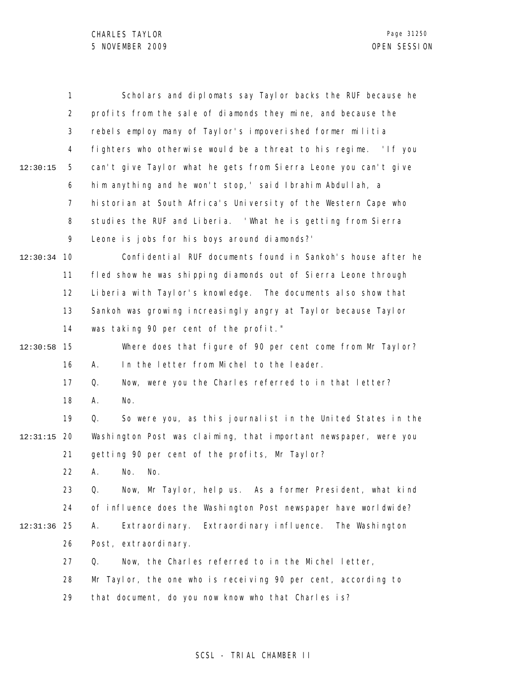|          | 1              | Scholars and diplomats say Taylor backs the RUF because he        |
|----------|----------------|-------------------------------------------------------------------|
|          | $\overline{2}$ | profits from the sale of diamonds they mine, and because the      |
|          | 3              | rebels employ many of Taylor's impoverished former militia        |
|          | 4              | fighters who otherwise would be a threat to his regime. 'If you   |
| 12:30:15 | 5              | can't give Taylor what he gets from Sierra Leone you can't give   |
|          | 6              | him anything and he won't stop,' said Ibrahim Abdullah, a         |
|          | $\overline{7}$ | historian at South Africa's University of the Western Cape who    |
|          | 8              | studies the RUF and Liberia. 'What he is getting from Sierra      |
|          | 9              | Leone is jobs for his boys around diamonds?'                      |
| 12:30:34 | 10             | Confidential RUF documents found in Sankoh's house after he       |
|          | 11             | fled show he was shipping diamonds out of Sierra Leone through    |
|          | 12             | Liberia with Taylor's knowledge. The documents also show that     |
|          | 13             | Sankoh was growing increasingly angry at Taylor because Taylor    |
|          | 14             | was taking 90 per cent of the profit."                            |
| 12:30:58 | 15             | Where does that figure of 90 per cent come from Mr Taylor?        |
|          | 16             | In the letter from Michel to the leader.<br>А.                    |
|          | 17             | Now, were you the Charles referred to in that letter?<br>Q.       |
|          | 18             | No.<br>А.                                                         |
|          | 19             | Q.<br>So were you, as this journalist in the United States in the |
| 12:31:15 | 20             | Washington Post was claiming, that important newspaper, were you  |
|          | 21             | getting 90 per cent of the profits, Mr Taylor?                    |
|          | 22             | A. No. No.                                                        |
|          | 23             | Q.<br>Now, Mr Taylor, help us. As a former President, what kind   |
|          | 24             | of influence does the Washington Post newspaper have worldwide?   |
| 12:31:36 | 25             | Extraordinary influence. The Washington<br>Α.<br>Extraordinary.   |
|          | 26             | Post, extraordinary.                                              |
|          | 27             | Now, the Charles referred to in the Michel letter,<br>Q.          |
|          | 28             | Mr Taylor, the one who is receiving 90 per cent, according to     |
|          | 29             | that document, do you now know who that Charles is?               |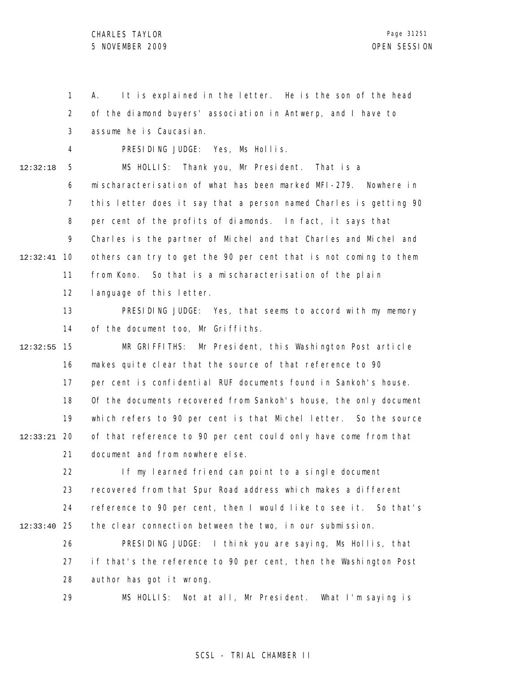1 2 3 4 5 6 7 8 9 10 12:32:41 11 12 13 14 15 12:32:55 16 17 18 19 20 12:33:21 21 22 23 24 25 12:33:40 26 27 28 29 12:32:18 A. It is explained in the letter. He is the son of the head of the diamond buyers' association in Antwerp, and I have to assume he is Caucasian. PRESIDING JUDGE: Yes, Ms Hollis. MS HOLLIS: Thank you, Mr President. That is a mischaracterisation of what has been marked MFI-279. Nowhere in this letter does it say that a person named Charles is getting 90 per cent of the profits of diamonds. In fact, it says that Charles is the partner of Michel and that Charles and Michel and others can try to get the 90 per cent that is not coming to them from Kono. So that is a mischaracterisation of the plain language of this letter. PRESIDING JUDGE: Yes, that seems to accord with my memory of the document too, Mr Griffiths. MR GRIFFITHS: Mr President, this Washington Post article makes quite clear that the source of that reference to 90 per cent is confidential RUF documents found in Sankoh's house. Of the documents recovered from Sankoh's house, the only document which refers to 90 per cent is that Michel letter. So the source of that reference to 90 per cent could only have come from that document and from nowhere else. If my learned friend can point to a single document recovered from that Spur Road address which makes a different reference to 90 per cent, then I would like to see it. So that's the clear connection between the two, in our submission. PRESIDING JUDGE: I think you are saying, Ms Hollis, that if that's the reference to 90 per cent, then the Washington Post author has got it wrong. MS HOLLIS: Not at all, Mr President. What I'm saying is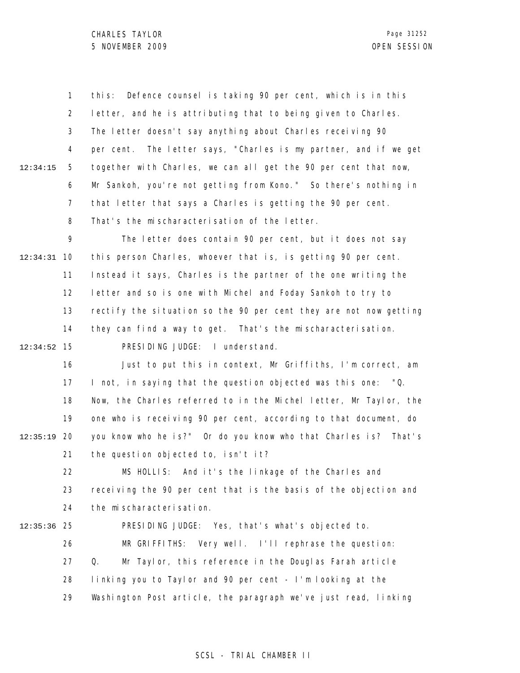1 2 3 4 5 6 7 8 12:34:15 this: Defence counsel is taking 90 per cent, which is in this letter, and he is attributing that to being given to Charles. The letter doesn't say anything about Charles receiving 90 per cent. The letter says, "Charles is my partner, and if we get together with Charles, we can all get the 90 per cent that now, Mr Sankoh, you're not getting from Kono." So there's nothing in that letter that says a Charles is getting the 90 per cent. That's the mischaracterisation of the letter.

9 10 12:34:31 11 12 13 14 15 12:34:52 The letter does contain 90 per cent, but it does not say this person Charles, whoever that is, is getting 90 per cent. Instead it says, Charles is the partner of the one writing the letter and so is one with Michel and Foday Sankoh to try to rectify the situation so the 90 per cent they are not now getting they can find a way to get. That's the mischaracterisation. PRESIDING JUDGE: I understand.

16 17 18 19 12:35:19 20 21 Just to put this in context, Mr Griffiths, I'm correct, am I not, in saying that the question objected was this one: "Q. Now, the Charles referred to in the Michel letter, Mr Taylor, the one who is receiving 90 per cent, according to that document, do you know who he is?" Or do you know who that Charles is? That's the question objected to, isn't it?

22 23 24 MS HOLLIS: And it's the linkage of the Charles and receiving the 90 per cent that is the basis of the objection and the mischaracterisation.

25 12:35:36 26 27 28 29 PRESIDING JUDGE: Yes, that's what's objected to. MR GRIFFITHS: Very well. I'll rephrase the question: Q. Mr Taylor, this reference in the Douglas Farah article linking you to Taylor and 90 per cent - I'm looking at the Washington Post article, the paragraph we've just read, linking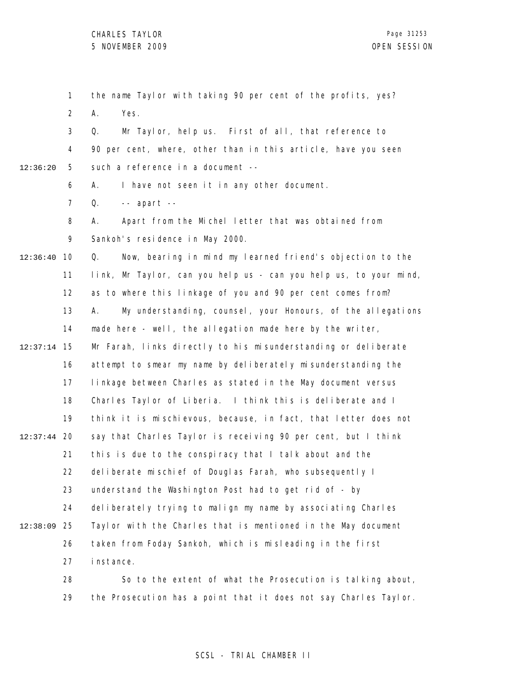1 2 3 4 5 6 7 8 9 10 12:36:40 11 12 13 14 15 12:37:14 16 17 18 19 12:37:44 20 21 22 23 24 25 12:38:09 26 27 28 29 12:36:20 the name Taylor with taking 90 per cent of the profits, yes? A. Yes. Q. Mr Taylor, help us. First of all, that reference to 90 per cent, where, other than in this article, have you seen such a reference in a document -- A. I have not seen it in any other document. Q. -- apart -- A. Apart from the Michel letter that was obtained from Sankoh's residence in May 2000. Q. Now, bearing in mind my learned friend's objection to the link, Mr Taylor, can you help us - can you help us, to your mind, as to where this linkage of you and 90 per cent comes from? A. My understanding, counsel, your Honours, of the allegations made here - well, the allegation made here by the writer, Mr Farah, links directly to his misunderstanding or deliberate attempt to smear my name by deliberately misunderstanding the linkage between Charles as stated in the May document versus Charles Taylor of Liberia. I think this is deliberate and I think it is mischievous, because, in fact, that letter does not say that Charles Taylor is receiving 90 per cent, but I think this is due to the conspiracy that I talk about and the del i berate mischief of Douglas Farah, who subsequently I understand the Washington Post had to get rid of - by deliberately trying to malign my name by associating Charles Taylor with the Charles that is mentioned in the May document taken from Foday Sankoh, which is misleading in the first instance. So to the extent of what the Prosecution is talking about, the Prosecution has a point that it does not say Charles Taylor.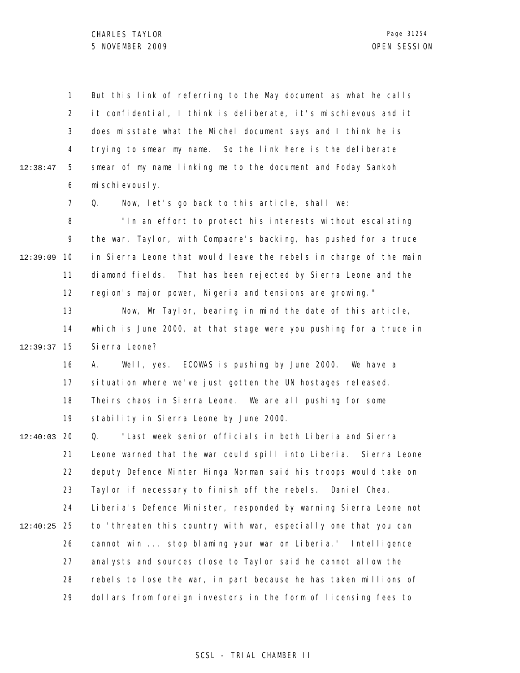1 2 3 4 5 6 7 8 9 12:39:09 10 11 12 13 14 15 12:39:37 16 17 18 19 12:40:03 20 21 22 23 24 25 12:40:25 26 27 28 29 12:38:47 But this link of referring to the May document as what he calls it confidential, I think is deliberate, it's mischievous and it does misstate what the Michel document says and I think he is trying to smear my name. So the link here is the deliberate smear of my name linking me to the document and Foday Sankoh mischievously. Q. Now, let's go back to this article, shall we: "In an effort to protect his interests without escalating the war, Taylor, with Compaore's backing, has pushed for a truce in Sierra Leone that would leave the rebels in charge of the main diamond fields. That has been rejected by Sierra Leone and the region's major power, Nigeria and tensions are growing." Now, Mr Taylor, bearing in mind the date of this article, which is June 2000, at that stage were you pushing for a truce in Sierra Leone? A. Well, yes. ECOWAS is pushing by June 2000. We have a situation where we've just gotten the UN hostages released. Theirs chaos in Sierra Leone. We are all pushing for some stability in Sierra Leone by June 2000. Q. "Last week senior officials in both Liberia and Sierra Leone warned that the war could spill into Liberia. Sierra Leone deputy Defence Minter Hinga Norman said his troops would take on Taylor if necessary to finish off the rebels. Daniel Chea, Liberia's Defence Minister, responded by warning Sierra Leone not to 'threaten this country with war, especially one that you can cannot win ... stop blaming your war on Liberia.' Intelligence analysts and sources close to Taylor said he cannot allow the rebels to lose the war, in part because he has taken millions of dollars from foreign investors in the form of licensing fees to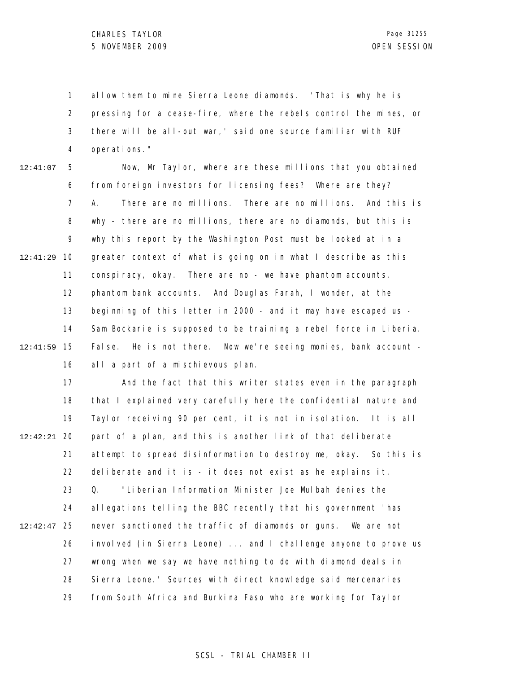1 2 3 4 allow them to mine Sierra Leone diamonds. 'That is why he is pressing for a cease-fire, where the rebels control the mines, or there will be all-out war,' said one source familiar with RUF operations."

5 6 7 8 9 10 12:41:29 11 12 13 14 15 12:41:59 16 12:41:07 Now, Mr Taylor, where are these millions that you obtained from foreign investors for licensing fees? Where are they? A. There are no millions. There are no millions. And this is why - there are no millions, there are no diamonds, but this is why this report by the Washington Post must be looked at in a greater context of what is going on in what I describe as this conspiracy, okay. There are no - we have phantom accounts, phantom bank accounts. And Douglas Farah, I wonder, at the beginning of this letter in 2000 - and it may have escaped us - Sam Bockarie is supposed to be training a rebel force in Liberia. False. He is not there. Now we're seeing monies, bank account all a part of a mischievous plan.

17 18 19 20 12:42:21 21 22 23 24 25 12:42:47 26 27 28 29 And the fact that this writer states even in the paragraph that I explained very carefully here the confidential nature and Taylor receiving 90 per cent, it is not in isolation. It is all part of a plan, and this is another link of that deliberate attempt to spread disinformation to destroy me, okay. So this is deliberate and it is - it does not exist as he explains it. Q. "Liberian Information Minister Joe Mulbah denies the allegations telling the BBC recently that his government 'has never sanctioned the traffic of diamonds or guns. We are not involved (in Sierra Leone) ... and I challenge anyone to prove us wrong when we say we have nothing to do with diamond deals in Sierra Leone.' Sources with direct knowledge said mercenaries from South Africa and Burkina Faso who are working for Taylor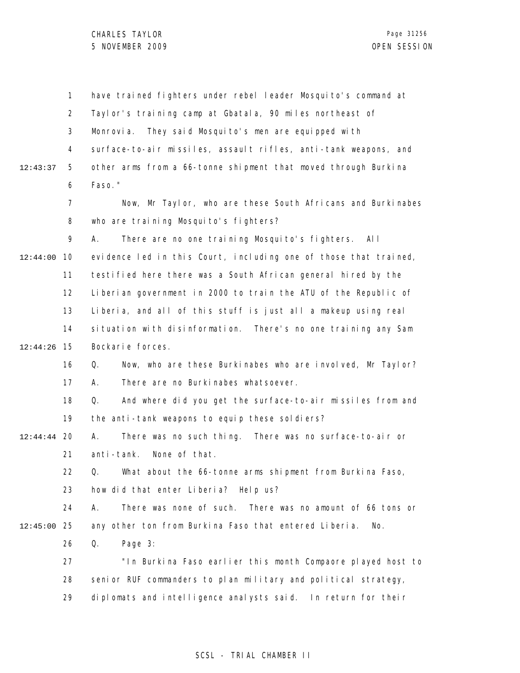|               | $\mathbf 1$    | have trained fighters under rebel leader Mosquito's command at   |
|---------------|----------------|------------------------------------------------------------------|
|               | $\overline{2}$ | Taylor's training camp at Gbatala, 90 miles northeast of         |
|               | 3              | They said Mosquito's men are equipped with<br>Monrovia.          |
|               | 4              | surface-to-air missiles, assault rifles, anti-tank weapons, and  |
| 12:43:37      | 5              | other arms from a 66-tonne shipment that moved through Burkina   |
|               | 6              | Faso."                                                           |
|               | $\overline{7}$ | Now, Mr Taylor, who are these South Africans and Burkinabes      |
|               | 8              | who are training Mosquito's fighters?                            |
|               | 9              | There are no one training Mosquito's fighters. All<br>А.         |
| 12:44:00      | 10             | evidence led in this Court, including one of those that trained, |
|               | 11             | testified here there was a South African general hired by the    |
|               | 12             | Liberian government in 2000 to train the ATU of the Republic of  |
|               | 13             | Liberia, and all of this stuff is just all a makeup using real   |
|               | 14             | situation with disinformation. There's no one training any Sam   |
| 12:44:26      | 15             | Bockarie forces.                                                 |
|               | 16             | Now, who are these Burkinabes who are involved, Mr Taylor?<br>Q. |
|               | 17             | There are no Burkinabes whatsoever.<br>А.                        |
|               | 18             | Q.<br>And where did you get the surface-to-air missiles from and |
|               | 19             | the anti-tank weapons to equip these soldiers?                   |
| $12:44:44$ 20 |                | There was no such thing. There was no surface-to-air or<br>А.    |
|               | 21             | anti-tank.<br>None of that.                                      |
|               | 22.            | Q. What about the 66-tonne arms shipment from Burkina Faso,      |
|               | 23             | how did that enter Liberia? Help us?                             |
|               | 24             | There was none of such. There was no amount of 66 tons or<br>А.  |
| 12:45:00      | 25             | any other ton from Burkina Faso that entered Liberia.<br>No.     |
|               | 26             | Page 3:<br>Q.                                                    |
|               | 27             | "In Burkina Faso earlier this month Compaore played host to      |
|               | 28             | senior RUF commanders to plan military and political strategy,   |
|               | 29             | diplomats and intelligence analysts said. In return for their    |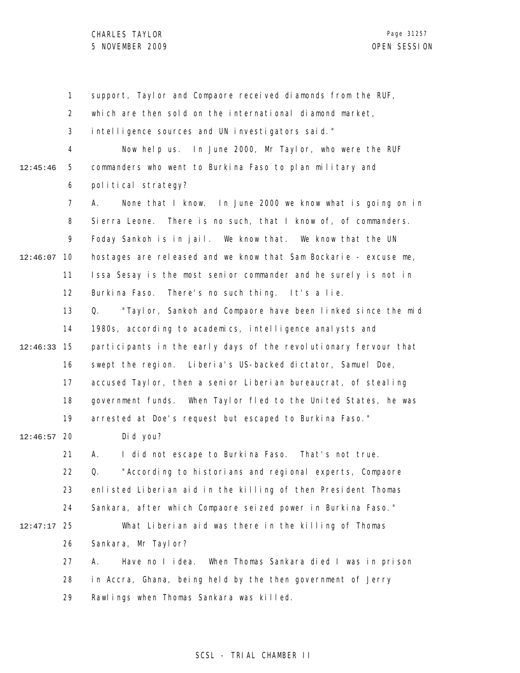1 2 3 4 5 6 7 8 9 12:46:07 10 11 12 13 14 15 12:46:33 16 17 18 19 12:46:57 20 21 22 23 24 25 12:47:17 26 27 28 29 12:45:46 support, Taylor and Compaore received diamonds from the RUF, which are then sold on the international diamond market, intelligence sources and UN investigators said." Now help us. In June 2000, Mr Taylor, who were the RUF commanders who went to Burkina Faso to plan military and political strategy? A. None that I know. In June 2000 we know what is going on in Sierra Leone. There is no such, that I know of, of commanders. Foday Sankoh is in jail. We know that. We know that the UN hostages are released and we know that Sam Bockarie - excuse me, Issa Sesay is the most senior commander and he surely is not in Burkina Faso. There's no such thing. It's a lie. Q. "Taylor, Sankoh and Compaore have been linked since the mid 1980s, according to academics, intelligence analysts and participants in the early days of the revolutionary fervour that swept the region. Liberia's US-backed dictator, Samuel Doe, accused Taylor, then a senior Liberian bureaucrat, of stealing government funds. When Taylor fled to the United States, he was arrested at Doe's request but escaped to Burkina Faso." Did you? A. I did not escape to Burkina Faso. That's not true. Q. "According to historians and regional experts, Compaore enlisted Liberian aid in the killing of then President Thomas Sankara, after which Compaore seized power in Burkina Faso." What Liberian aid was there in the killing of Thomas Sankara, Mr Taylor? A. Have no I idea. When Thomas Sankara died I was in prison in Accra, Ghana, being held by the then government of Jerry Rawlings when Thomas Sankara was killed.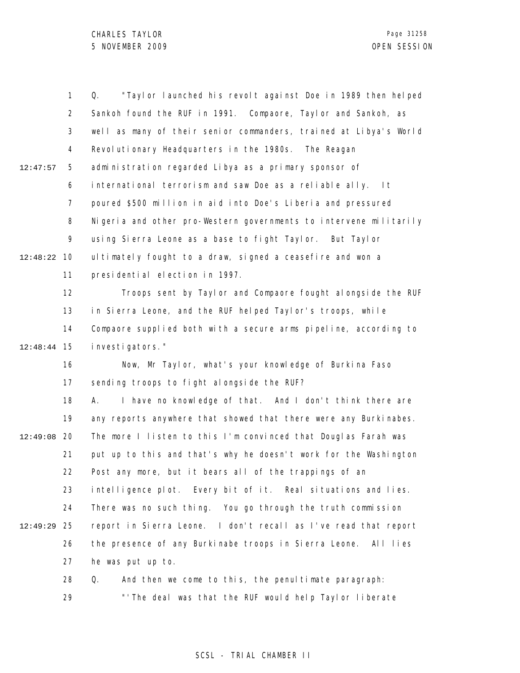|          | $\mathbf{1}$   | "Taylor launched his revolt against Doe in 1989 then helped<br>Q. |
|----------|----------------|-------------------------------------------------------------------|
|          | $\overline{2}$ | Sankoh found the RUF in 1991. Compaore, Taylor and Sankoh, as     |
|          | 3              | well as many of their senior commanders, trained at Libya's World |
|          | 4              | Revolutionary Headquarters in the 1980s. The Reagan               |
| 12:47:57 | 5              | administration regarded Libya as a primary sponsor of             |
|          | 6              | international terrorism and saw Doe as a reliable ally.<br>l t    |
|          | 7              | poured \$500 million in aid into Doe's Liberia and pressured      |
|          | 8              | Nigeria and other pro-Western governments to intervene militarily |
|          | 9              | using Sierra Leone as a base to fight Taylor. But Taylor          |
| 12:48:22 | 10             | ultimately fought to a draw, signed a ceasefire and won a         |
|          | 11             | presidential election in 1997.                                    |
|          | 12             | Troops sent by Taylor and Compaore fought alongside the RUF       |
|          | 13             | in Sierra Leone, and the RUF helped Taylor's troops, while        |
|          | 14             | Compaore supplied both with a secure arms pipeline, according to  |
| 12:48:44 | 15             | i nvesti gators."                                                 |
|          | 16             | Now, Mr Taylor, what's your knowledge of Burkina Faso             |
|          | 17             | sending troops to fight alongside the RUF?                        |
|          | 18             | I have no knowledge of that. And I don't think there are<br>А.    |
|          | 19             | any reports anywhere that showed that there were any Burkinabes.  |
| 12:49:08 | 20             | The more I listen to this I'm convinced that Douglas Farah was    |
|          | 21             | put up to this and that's why he doesn't work for the Washington  |
|          | 22             | Post any more, but it bears all of the trappings of an            |
|          | 23             | intelligence plot. Every bit of it. Real situations and lies.     |
|          | 24             | There was no such thing. You go through the truth commission      |
| 12:49:29 | 25             | report in Sierra Leone. I don't recall as I've read that report   |
|          | 26             | the presence of any Burkinabe troops in Sierra Leone. All lies    |
|          | 27             | he was put up to.                                                 |
|          | 28             | And then we come to this, the penul timate paragraph:<br>Q.       |

29 "'The deal was that the RUF would help Taylor liberate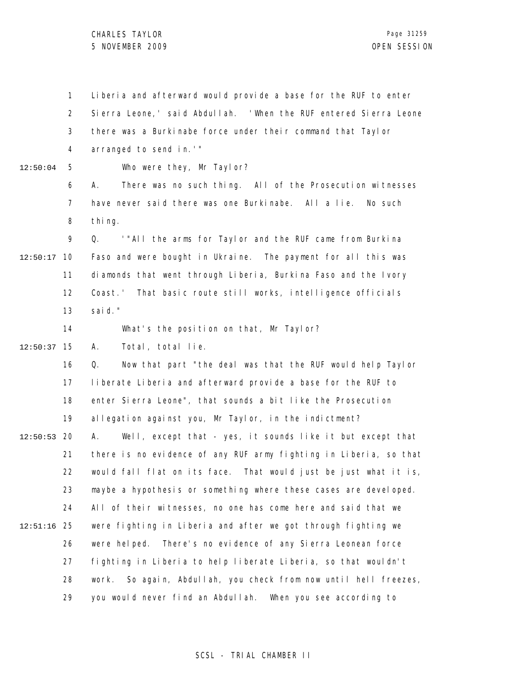## CHARLES TAYLOR 5 NOVEMBER 2009 OPEN SESSION

1 2 3 4 5 6 7 8 9 10 12:50:17 11 12 13 14 15 12:50:37 16 17 18 19 12:50:53 20 21 22 23 24 25 12:51:16 26 27 28 29 12:50:04 Liberia and afterward would provide a base for the RUF to enter Sierra Leone,' said Abdullah. 'When the RUF entered Sierra Leone there was a Burkinabe force under their command that Taylor arranged to send in.'" Who were they, Mr Taylor? A. There was no such thing. All of the Prosecution witnesses have never said there was one Burkinabe. All a lie. No such thing. Q. '"All the arms for Taylor and the RUF came from Burkina Faso and were bought in Ukraine. The payment for all this was diamonds that went through Liberia, Burkina Faso and the Ivory Coast.' That basic route still works, intelligence officials said." What's the position on that, Mr Taylor? A. Total, total lie. Q. Now that part "the deal was that the RUF would help Taylor liberate Liberia and afterward provide a base for the RUF to enter Sierra Leone", that sounds a bit like the Prosecution allegation against you, Mr Taylor, in the indictment? A. Well, except that - yes, it sounds like it but except that there is no evidence of any RUF army fighting in Liberia, so that would fall flat on its face. That would just be just what it is, maybe a hypothesis or something where these cases are developed. All of their witnesses, no one has come here and said that we were fighting in Liberia and after we got through fighting we were helped. There's no evidence of any Sierra Leonean force fighting in Liberia to help liberate Liberia, so that wouldn't work. So again, Abdullah, you check from now until hell freezes, you would never find an Abdullah. When you see according to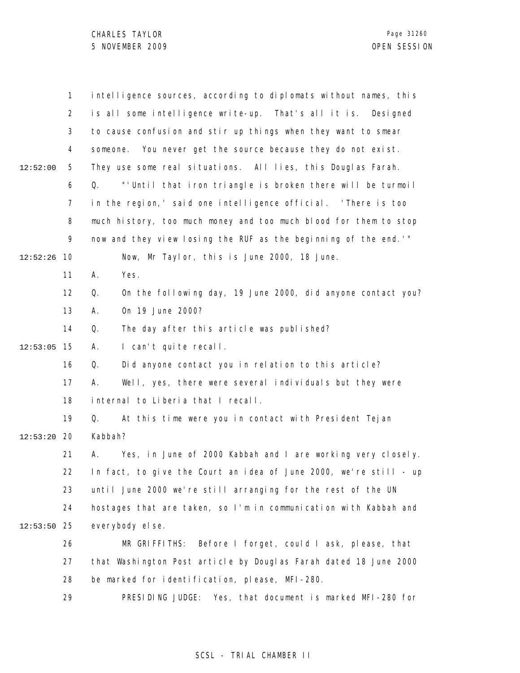|          | $\mathbf{1}$   | intelligence sources, according to diplomats without names, this  |
|----------|----------------|-------------------------------------------------------------------|
|          | $\overline{2}$ | is all some intelligence write-up. That's all it is. Designed     |
|          | 3              | to cause confusion and stir up things when they want to smear     |
|          | 4              | You never get the source because they do not exist.<br>someone.   |
| 12:52:00 | 5              | They use some real situations. All lies, this Douglas Farah.      |
|          | 6              | "'Until that iron triangle is broken there will be turmoil"<br>Q. |
|          | 7              | in the region, 'said one intelligence official. 'There is too     |
|          | 8              | much history, too much money and too much blood for them to stop  |
|          | 9              | now and they view losing the RUF as the beginning of the end. "   |
| 12:52:26 | 10             | Now, Mr Taylor, this is June 2000, 18 June.                       |
|          | 11             | Yes.<br>А.                                                        |
|          | 12             | On the following day, 19 June 2000, did anyone contact you?<br>Q. |
|          | 13             | 0n 19 June 2000?<br>А.                                            |
|          | 14             | The day after this article was published?<br>Q.                   |
| 12:53:05 | 15             | I can't quite recall.<br>Α.                                       |
|          | 16             | Q.<br>Did anyone contact you in relation to this article?         |
|          | 17             | Well, yes, there were several individuals but they were<br>А.     |
|          | 18             | internal to Liberia that I recall.                                |
|          | 19             | At this time were you in contact with President Tejan<br>Q.       |
| 12:53:20 | 20             | Kabbah?                                                           |
|          | 21             | Yes, in June of 2000 Kabbah and I are working very closely.<br>А. |
|          | 22             | In fact, to give the Court an idea of June 2000, we're still - up |
|          | 23             | until June 2000 we're still arranging for the rest of the UN      |
|          | 24             | hostages that are taken, so I'm in communication with Kabbah and  |
| 12:53:50 | 25             | everybody el se.                                                  |
|          | 26             | MR GRIFFITHS:<br>Before I forget, could I ask, please, that       |
|          | 27             | that Washington Post article by Douglas Farah dated 18 June 2000  |
|          | 28             | be marked for identification, please, MFI-280.                    |
|          | 29             | PRESIDING JUDGE:<br>Yes, that document is marked MFI-280 for      |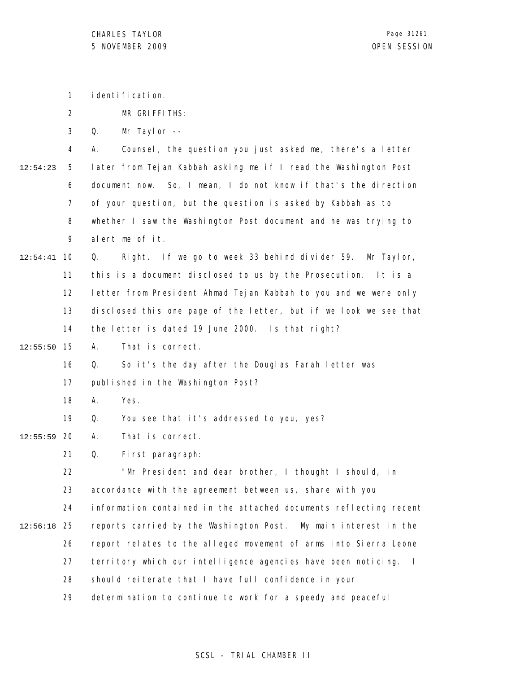identification.

1

|          | $\overline{2}$ | MR GRIFFITHS:                                                           |
|----------|----------------|-------------------------------------------------------------------------|
|          | 3              | Mr Taylor --<br>Q.                                                      |
|          | 4              | Counsel, the question you just asked me, there's a letter<br>А.         |
| 12:54:23 | 5              | later from Tejan Kabbah asking me if I read the Washington Post         |
|          | 6              | document now. So, I mean, I do not know if that's the direction         |
|          | 7              | of your question, but the question is asked by Kabbah as to             |
|          | 8              | whether I saw the Washington Post document and he was trying to         |
|          | 9              | alert me of it.                                                         |
| 12:54:41 | 10             | Right. If we go to week 33 behind divider 59. Mr Taylor,<br>Q.          |
|          | 11             | this is a document disclosed to us by the Prosecution. It is a          |
|          | 12             | letter from President Ahmad Tejan Kabbah to you and we were only        |
|          | 13             | disclosed this one page of the letter, but if we look we see that       |
|          | 14             | the letter is dated 19 June 2000. Is that right?                        |
| 12:55:50 | 15             | That is correct.<br>А.                                                  |
|          | 16             | So it's the day after the Douglas Farah letter was<br>Q.                |
|          | 17             | published in the Washington Post?                                       |
|          | 18             | Yes.<br>А.                                                              |
|          | 19             | You see that it's addressed to you, yes?<br>Q.                          |
| 12:55:59 | 20             | That is correct.<br>Α.                                                  |
|          | 21             | Q.<br>First paragraph:                                                  |
|          | 22             | "Mr President and dear brother, I thought I should, in                  |
|          | 23             | accordance with the agreement between us, share with you                |
|          | 24             | information contained in the attached documents reflecting recent       |
| 12:56:18 | 25             | reports carried by the Washington Post. My main interest in the         |
|          | 26             | report relates to the alleged movement of arms into Sierra Leone        |
|          | 27             | territory which our intelligence agencies have been noticing.<br>$\sim$ |
|          | 28             | should reiterate that I have full confidence in your                    |
|          | 29             | determination to continue to work for a speedy and peaceful             |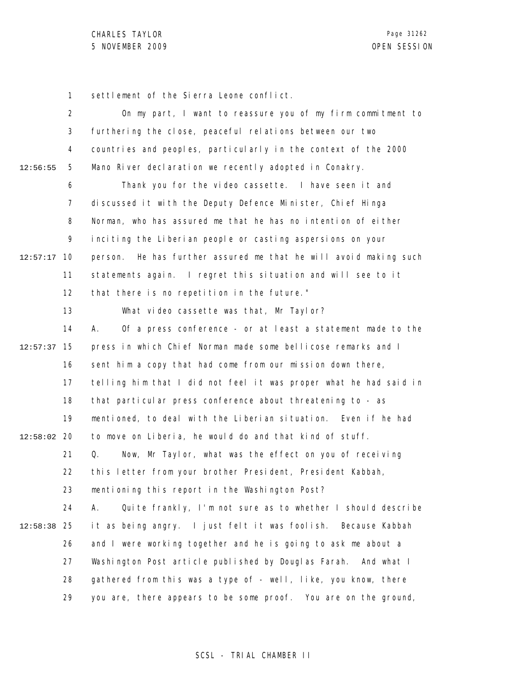1 settlement of the Sierra Leone conflict.

|          | $\overline{2}$ | On my part, I want to reassure you of my firm commitment to         |
|----------|----------------|---------------------------------------------------------------------|
|          | 3              | furthering the close, peaceful relations between our two            |
|          | 4              | countries and peoples, particularly in the context of the 2000      |
| 12:56:55 | 5              | Mano River declaration we recently adopted in Conakry.              |
|          | 6              | Thank you for the video cassette. I have seen it and                |
|          | 7              | discussed it with the Deputy Defence Minister, Chief Hinga          |
|          | 8              | Norman, who has assured me that he has no intention of either       |
|          | 9              | inciting the Liberian people or casting aspersions on your          |
| 12:57:17 | 10             | He has further assured me that he will avoid making such<br>person. |
|          | 11             | statements again. I regret this situation and will see to it        |
|          | 12             | that there is no repetition in the future."                         |
|          | 13             | What video cassette was that, Mr Taylor?                            |
|          | 14             | Of a press conference - or at least a statement made to the<br>А.   |
| 12:57:37 | 15             | press in which Chief Norman made some bellicose remarks and I       |
|          | 16             | sent him a copy that had come from our mission down there,          |
|          | 17             | telling him that I did not feel it was proper what he had said in   |
|          | 18             | that particular press conference about threatening to - as          |
|          | 19             | mentioned, to deal with the Liberian situation. Even if he had      |
| 12:58:02 | 20             | to move on Liberia, he would do and that kind of stuff.             |
|          | 21             | Now, Mr Taylor, what was the effect on you of receiving<br>Q.       |
|          | 22             | this letter from your brother President, President Kabbah,          |
|          | 23             | mentioning this report in the Washington Post?                      |
|          | 24             | Quite frankly, I'm not sure as to whether I should describe<br>А.   |
| 12:58:38 | 25             | it as being angry. I just felt it was foolish. Because Kabbah       |
|          | 26             | and I were working together and he is going to ask me about a       |
|          | 27             | Washington Post article published by Douglas Farah. And what I      |
|          | 28             | gathered from this was a type of - well, like, you know, there      |
|          | 29             | you are, there appears to be some proof. You are on the ground,     |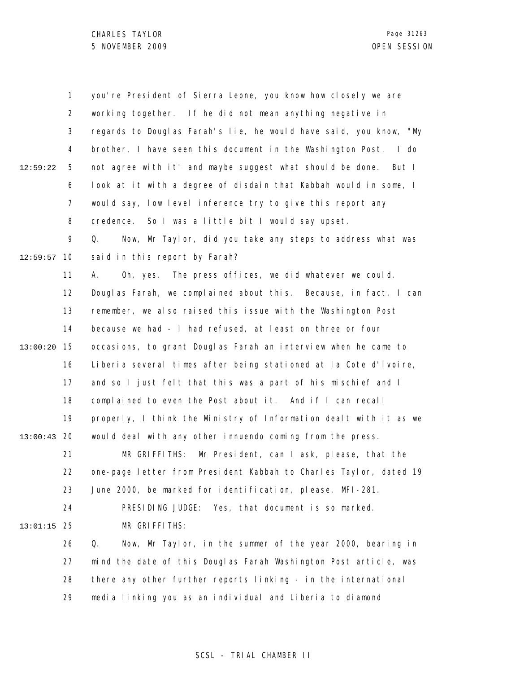1 2 3 4 5 6 7 8 9 10 12:59:57 11 12 13 14 15 13:00:20 16 17 18 19 20 13:00:43 21 22 23 24 25 13:01:15 26 27 28 29 12:59:22 you're President of Sierra Leone, you know how closely we are working together. If he did not mean anything negative in regards to Douglas Farah's lie, he would have said, you know, "My brother, I have seen this document in the Washington Post. I do not agree with it" and maybe suggest what should be done. But I look at it with a degree of disdain that Kabbah would in some, I would say, low level inference try to give this report any credence. So I was a little bit I would say upset. Q. Now, Mr Taylor, did you take any steps to address what was said in this report by Farah? A. Oh, yes. The press offices, we did whatever we could. Douglas Farah, we complained about this. Because, in fact, I can remember, we also raised this issue with the Washington Post because we had - I had refused, at least on three or four occasions, to grant Douglas Farah an interview when he came to Liberia several times after being stationed at la Cote d'Ivoire, and so I just felt that this was a part of his mischief and I complained to even the Post about it. And if I can recall properly, I think the Ministry of Information dealt with it as we would deal with any other innuendo coming from the press. MR GRIFFITHS: Mr President, can I ask, please, that the one-page letter from President Kabbah to Charles Taylor, dated 19 June 2000, be marked for identification, please, MFI-281. PRESIDING JUDGE: Yes, that document is so marked. MR GRIFFITHS: Q. Now, Mr Taylor, in the summer of the year 2000, bearing in mind the date of this Douglas Farah Washington Post article, was there any other further reports linking - in the international media linking you as an individual and Liberia to diamond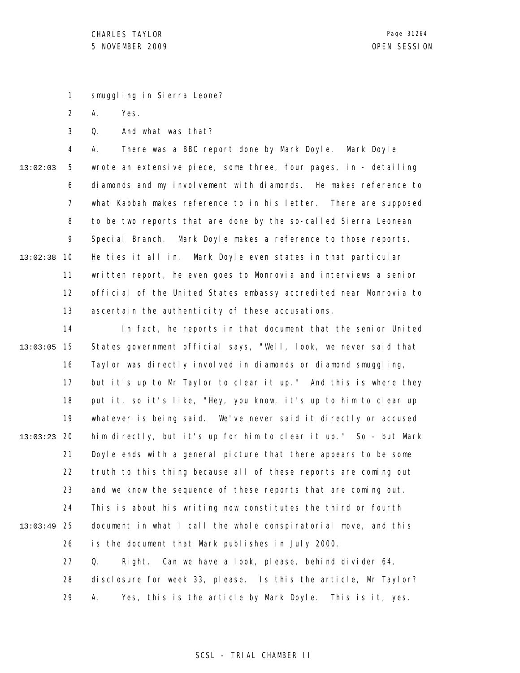1 smuggling in Sierra Leone?

2 A. Yes.

3 Q. And what was that?

4 5 6 7 8 9 10 13:02:38 11 12 13 13:02:03 A. There was a BBC report done by Mark Doyle. Mark Doyle wrote an extensive piece, some three, four pages, in - detailing diamonds and my involvement with diamonds. He makes reference to what Kabbah makes reference to in his letter. There are supposed to be two reports that are done by the so-called Sierra Leonean Special Branch. Mark Doyle makes a reference to those reports. He ties it all in. Mark Doyle even states in that particular written report, he even goes to Monrovia and interviews a senior official of the United States embassy accredited near Monrovia to ascertain the authenticity of these accusations.

14 15 13:03:05 16 17 18 19 20 13:03:23 21 22 23 24 25 13:03:49 26 27 28 In fact, he reports in that document that the senior United States government official says, "Well, look, we never said that Taylor was directly involved in diamonds or diamond smuggling, but it's up to Mr Taylor to clear it up." And this is where they put it, so it's like, "Hey, you know, it's up to him to clear up whatever is being said. We've never said it directly or accused him directly, but it's up for him to clear it up." So - but Mark Doyle ends with a general picture that there appears to be some truth to this thing because all of these reports are coming out and we know the sequence of these reports that are coming out. This is about his writing now constitutes the third or fourth document in what I call the whole conspiratorial move, and this is the document that Mark publishes in July 2000. Q. Right. Can we have a look, please, behind divider 64, disclosure for week 33, please. Is this the article, Mr Taylor?

> 29 A. Yes, this is the article by Mark Doyle. This is it, yes.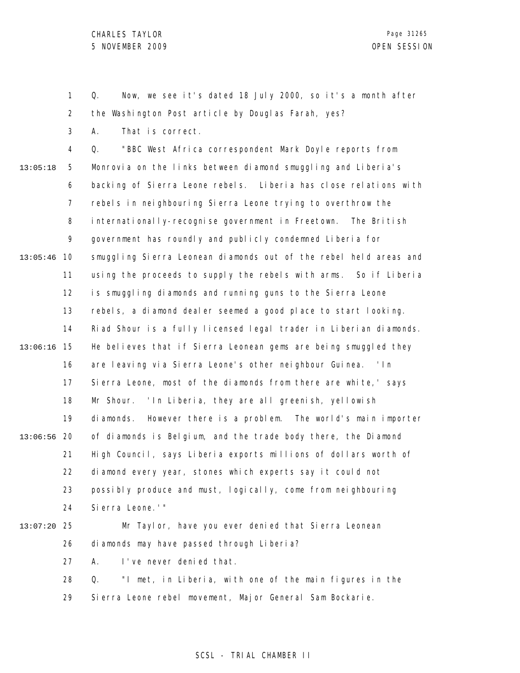1

2 3 4 5 6 7 8 9 10 13:05:46 11 12 13 14 15 13:06:16 16 17 18 19 20 13:06:56 21 22 23 24 25 13:07:20 26 27 28 29 13:05:18 the Washington Post article by Douglas Farah, yes? A. That is correct. Q. "BBC West Africa correspondent Mark Doyle reports from Monrovia on the links between diamond smuggling and Liberia's backing of Sierra Leone rebels. Liberia has close relations with rebels in neighbouring Sierra Leone trying to overthrow the internationally-recognise government in Freetown. The British government has roundly and publicly condemned Liberia for smuggling Sierra Leonean diamonds out of the rebel held areas and using the proceeds to supply the rebels with arms. So if Liberia is smuggling diamonds and running guns to the Sierra Leone rebels, a diamond dealer seemed a good place to start looking. Riad Shour is a fully licensed legal trader in Liberian diamonds. He believes that if Sierra Leonean gems are being smuggled they are leaving via Sierra Leone's other neighbour Guinea. 'In Sierra Leone, most of the diamonds from there are white,' says Mr Shour. 'In Liberia, they are all greenish, yellowish diamonds. However there is a problem. The world's main importer of diamonds is Belgium, and the trade body there, the Diamond High Council, says Liberia exports millions of dollars worth of diamond every year, stones which experts say it could not possibly produce and must, logically, come from neighbouring Sierra Leone.'" Mr Taylor, have you ever denied that Sierra Leonean diamonds may have passed through Liberia? A. I've never denied that. Q. "I met, in Liberia, with one of the main figures in the Sierra Leone rebel movement, Major General Sam Bockarie.

Q. Now, we see it's dated 18 July 2000, so it's a month after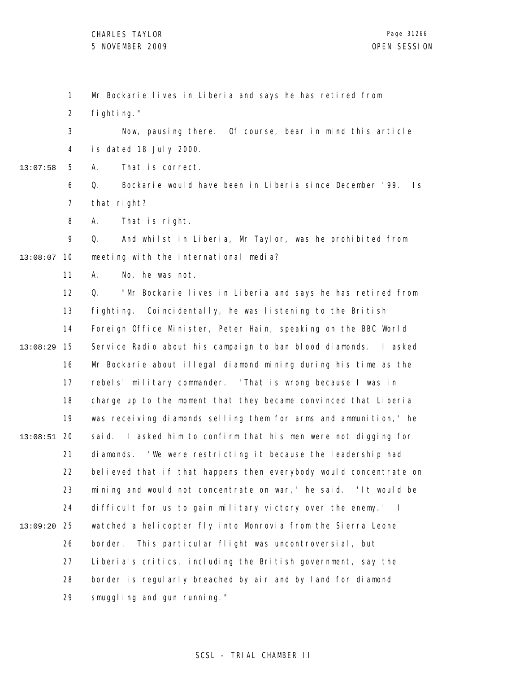1 Mr Bockarie lives in Liberia and says he has retired from

2 fighting."

3 4 Now, pausing there. Of course, bear in mind this article is dated 18 July 2000.

5 13:07:58 A. That is correct.

> 6 7 Q. Bockarie would have been in Liberia since December '99. Is that right?

8 A. That is right.

9 13:08:07 10 Q. And whilst in Liberia, Mr Taylor, was he prohibited from meeting with the international media?

> 11 A. No, he was not.

12 13 14 15 13:08:29 16 17 18 19 20 13:08:51 21 22 23 24 25 13:09:20 26 27 28 29 Q. "Mr Bockarie lives in Liberia and says he has retired from fighting. Coincidentally, he was listening to the British Foreign Office Minister, Peter Hain, speaking on the BBC World Service Radio about his campaign to ban blood diamonds. I asked Mr Bockarie about illegal diamond mining during his time as the rebels' military commander. 'That is wrong because I was in charge up to the moment that they became convinced that Liberia was receiving diamonds selling them for arms and ammunition, ' he said. I asked him to confirm that his men were not digging for diamonds. 'We were restricting it because the leadership had believed that if that happens then everybody would concentrate on mining and would not concentrate on war,' he said. 'It would be difficult for us to gain military victory over the enemy.' I watched a helicopter fly into Monrovia from the Sierra Leone border. This particular flight was uncontroversial, but Liberia's critics, including the British government, say the border is regularly breached by air and by land for diamond smuggling and gun running."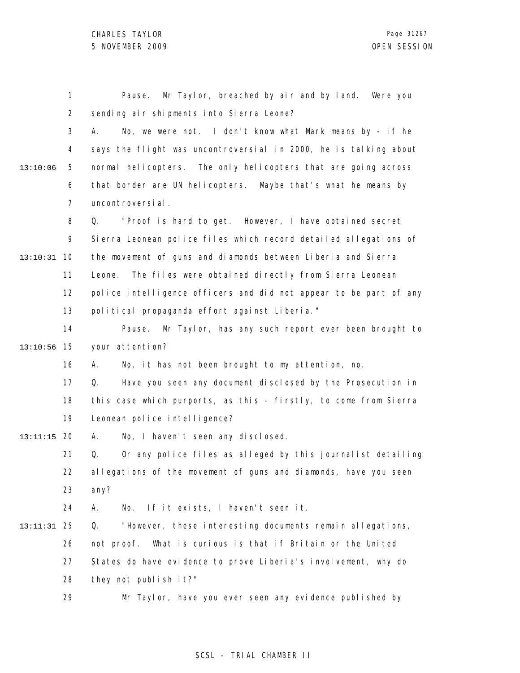1 2 3 4 5 6 7 8 9 10 13:10:31 11 12 13 14 15 13:10:56 16 17 18 19 20 13:11:15 21 22 23 24 25 13:11:31 26 27 28 29 13:10:06 Pause. Mr Taylor, breached by air and by land. Were you sending air shipments into Sierra Leone? A. No, we were not. I don't know what Mark means by - if he says the flight was uncontroversial in 2000, he is talking about normal helicopters. The only helicopters that are going across that border are UN helicopters. Maybe that's what he means by uncontroversial. Q. "Proof is hard to get. However, I have obtained secret Sierra Leonean police files which record detailed allegations of the movement of guns and diamonds between Liberia and Sierra Leone. The files were obtained directly from Sierra Leonean police intelligence officers and did not appear to be part of any political propaganda effort against Liberia." Pause. Mr Taylor, has any such report ever been brought to your attention? A. No, it has not been brought to my attention, no. Q. Have you seen any document disclosed by the Prosecution in this case which purports, as this - firstly, to come from Sierra Leonean police intelligence? A. No, I haven't seen any disclosed. Q. Or any police files as alleged by this journalist detailing allegations of the movement of guns and diamonds, have you seen any? A. No. If it exists, I haven't seen it. Q. "However, these interesting documents remain allegations, not proof. What is curious is that if Britain or the United States do have evidence to prove Liberia's involvement, why do they not publish it?" Mr Taylor, have you ever seen any evidence published by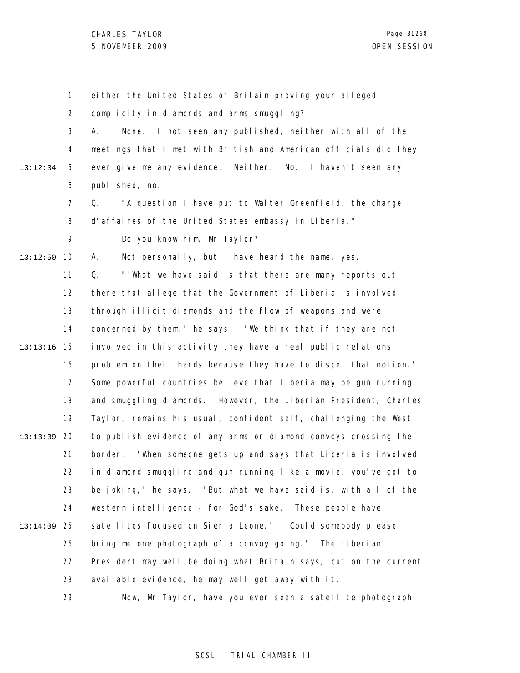1 2 3 4 5 6 7 8 9 10 13:12:50 11 12 13 14 15 13:13:16 16 17 18 19 20 13:13:39 21 22 23 24 25 13:14:09 26 27 28 29 13:12:34 either the United States or Britain proving your alleged complicity in diamonds and arms smuggling? A. None. I not seen any published, neither with all of the meetings that I met with British and American officials did they ever give me any evidence. Neither. No. I haven't seen any published, no. Q. "A question I have put to Walter Greenfield, the charge d'affaires of the United States embassy in Liberia." Do you know him, Mr Taylor? A. Not personally, but I have heard the name, yes. Q. "'What we have said is that there are many reports out there that allege that the Government of Liberia is involved through illicit diamonds and the flow of weapons and were concerned by them,' he says. 'We think that if they are not involved in this activity they have a real public relations problem on their hands because they have to dispel that notion.' Some powerful countries believe that Liberia may be gun running and smuggling diamonds. However, the Liberian President, Charles Taylor, remains his usual, confident self, challenging the West to publish evidence of any arms or diamond convoys crossing the border. 'When someone gets up and says that Liberia is involved in diamond smuggling and gun running like a movie, you've got to be joking,' he says. 'But what we have said is, with all of the western intelligence - for God's sake. These people have satellites focused on Sierra Leone.' 'Could somebody please bring me one photograph of a convoy going.' The Liberian President may well be doing what Britain says, but on the current available evidence, he may well get away with it." Now, Mr Taylor, have you ever seen a satellite photograph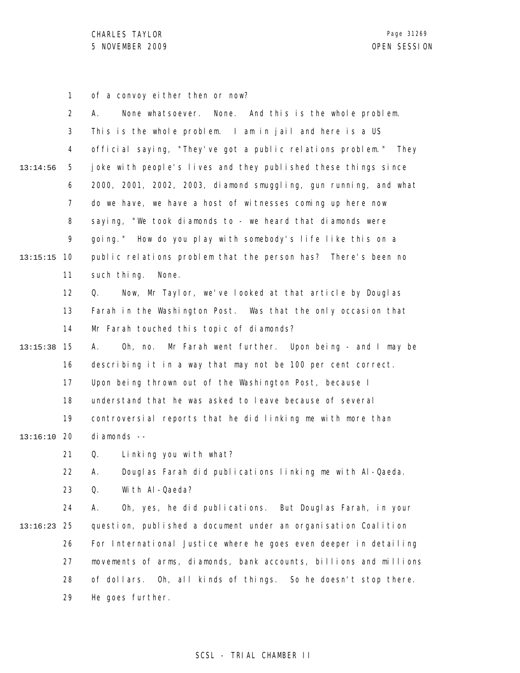1 of a convoy either then or now?

|          | $\overline{2}$ | None. And this is the whole problem.<br>None whatsoever.<br>А.       |
|----------|----------------|----------------------------------------------------------------------|
|          | 3              | This is the whole problem. I am in jail and here is a US             |
|          | 4              | official saying, "They've got a public relations problem." They      |
| 13:14:56 | 5              | joke with people's lives and they published these things since       |
|          | 6              | 2000, 2001, 2002, 2003, diamond smuggling, gun running, and what     |
|          | $\overline{7}$ | do we have, we have a host of witnesses coming up here now           |
|          | 8              | saying, "We took diamonds to - we heard that diamonds were           |
|          | 9              | going." How do you play with somebody's life like this on a          |
| 13:15:15 | 10             | public relations problem that the person has? There's been no        |
|          | 11             | such thing.<br>None.                                                 |
|          | 12             | Now, Mr Taylor, we've looked at that article by Douglas<br>Q.        |
|          | 13             | Farah in the Washington Post. Was that the only occasion that        |
|          | 14             | Mr Farah touched this topic of diamonds?                             |
| 13:15:38 | 15             | Mr Farah went further. Upon being - and I may be<br>$0h$ , no.<br>А. |
|          | 16             | describing it in a way that may not be 100 per cent correct.         |
|          | 17             | Upon being thrown out of the Washington Post, because I              |
|          | 18             | understand that he was asked to leave because of several             |
|          | 19             | controversial reports that he did linking me with more than          |
| 13:16:10 | 20             | di amonds --                                                         |
|          | 21             | Linking you with what?<br>Q.                                         |
|          | 22             | Douglas Farah did publications linking me with Al-Qaeda.<br>А.       |
|          | 23             | With AI-Qaeda?<br>Q.                                                 |
|          | 24             | Oh, yes, he did publications. But Douglas Farah, in your<br>А.       |
| 13:16:23 | 25             | question, published a document under an organisation Coalition       |
|          | 26             | For International Justice where he goes even deeper in detailing     |
|          | 27             | movements of arms, diamonds, bank accounts, billions and millions    |
|          | 28             | Oh, all kinds of things. So he doesn't stop there.<br>of dollars.    |
|          | 29             | He goes further.                                                     |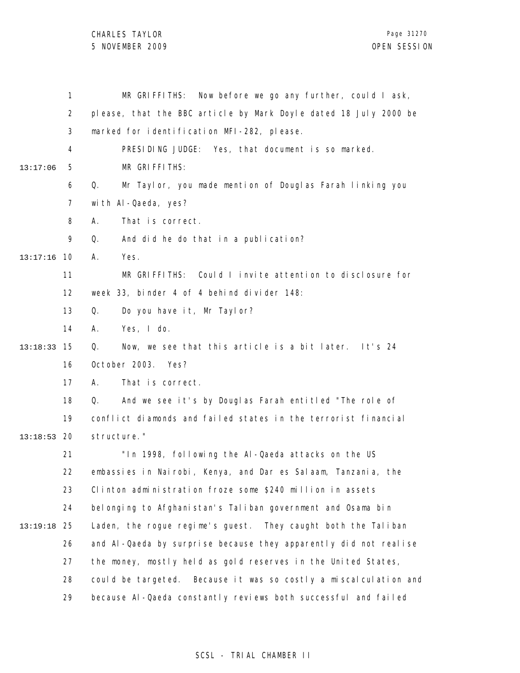|          | 1              | MR GRIFFITHS: Now before we go any further, could I ask,          |
|----------|----------------|-------------------------------------------------------------------|
|          | $\overline{2}$ | please, that the BBC article by Mark Doyle dated 18 July 2000 be  |
|          | 3              | marked for identification MFI-282, please.                        |
|          | 4              | PRESIDING JUDGE: Yes, that document is so marked.                 |
| 13:17:06 | 5              | MR GRIFFITHS:                                                     |
|          | 6              | Mr Taylor, you made mention of Douglas Farah linking you<br>Q.    |
|          | 7              | with Al-Qaeda, yes?                                               |
|          | 8              | That is correct.<br>Α.                                            |
|          | 9              | Q.<br>And did he do that in a publication?                        |
| 13:17:16 | 10             | Yes.<br>А.                                                        |
|          | 11             | MR GRIFFITHS: Could I invite attention to disclosure for          |
|          | 12             | week 33, binder 4 of 4 behind divider 148:                        |
|          | 13             | Do you have it, Mr Taylor?<br>Q.                                  |
|          | 14             | Yes, I do.<br>А.                                                  |
| 13:18:33 | 15             | Now, we see that this article is a bit later. It's 24<br>Q.       |
|          | 16             | October 2003.<br>Yes?                                             |
|          | 17             | That is correct.<br>А.                                            |
|          | 18             | And we see it's by Douglas Farah entitled "The role of<br>Q.      |
|          | 19             | conflict diamonds and failed states in the terrorist financial    |
| 13:18:53 | 20             | structure."                                                       |
|          | 21             | "In 1998, following the Al-Qaeda attacks on the US                |
|          | 22             | embassies in Nairobi, Kenya, and Dar es Salaam, Tanzania, the     |
|          | 23             | Clinton administration froze some \$240 million in assets         |
|          | 24             | belonging to Afghanistan's Taliban government and Osama bin       |
| 13:19:18 | 25             | Laden, the rogue regime's guest. They caught both the Taliban     |
|          | 26             | and AI-Qaeda by surprise because they apparently did not realise  |
|          | 27             | the money, mostly held as gold reserves in the United States,     |
|          | 28             | could be targeted. Because it was so costly a miscal culation and |
|          | 29             | because AI-Qaeda constantly reviews both successful and failed    |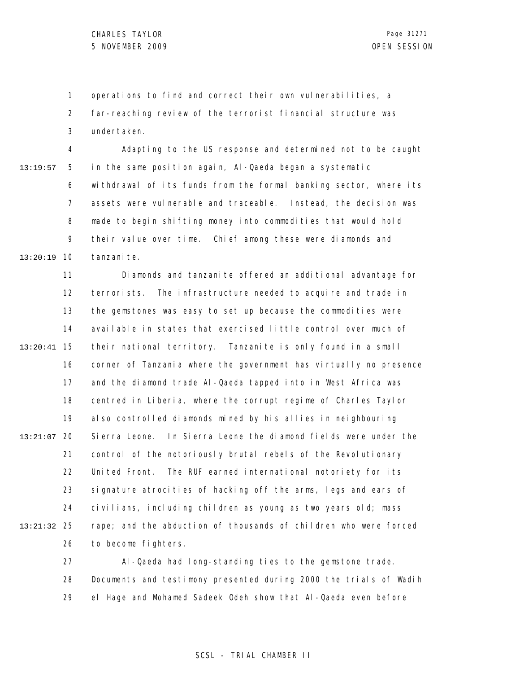1 2 3 operations to find and correct their own vulnerabilities, a far-reaching review of the terrorist financial structure was undertaken.

4 5 6 7 8 9 10 13:20:19 13:19:57 Adapting to the US response and determined not to be caught in the same position again, Al-Qaeda began a systematic withdrawal of its funds from the formal banking sector, where its assets were vulnerable and traceable. Instead, the decision was made to begin shifting money into commodities that would hold their value over time. Chief among these were diamonds and tanzani te.

11 12 13 14 15 13:20:41 16 17 18 19 20 13:21:07 21 22 23 24 25 13:21:32 26 Diamonds and tanzanite offered an additional advantage for terrorists. The infrastructure needed to acquire and trade in the gemstones was easy to set up because the commodities were available in states that exercised little control over much of their national territory. Tanzanite is only found in a small corner of Tanzania where the government has virtually no presence and the diamond trade Al-Qaeda tapped into in West Africa was centred in Liberia, where the corrupt regime of Charles Taylor also controlled diamonds mined by his allies in neighbouring Sierra Leone. In Sierra Leone the diamond fields were under the control of the notoriously brutal rebels of the Revolutionary United Front. The RUF earned international notoriety for its signature atrocities of hacking off the arms, legs and ears of civilians, including children as young as two years old; mass rape; and the abduction of thousands of children who were forced to become fighters.

> 27 28 29 Al-Qaeda had long-standing ties to the gemstone trade. Documents and testimony presented during 2000 the trials of Wadih el Hage and Mohamed Sadeek Odeh show that Al-Qaeda even before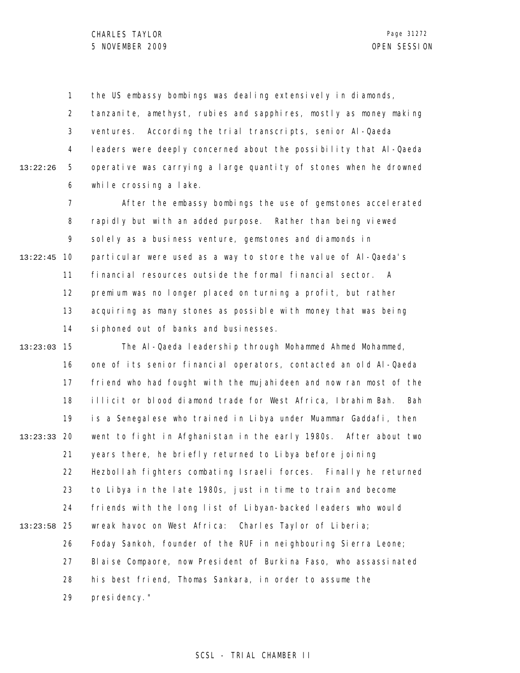1 the US embassy bombings was dealing extensively in diamonds,

2 3 4 5 6 13:22:26 tanzanite, amethyst, rubies and sapphires, mostly as money making ventures. According the trial transcripts, senior Al-Qaeda leaders were deeply concerned about the possibility that Al-Qaeda operative was carrying a large quantity of stones when he drowned while crossing a lake.

7 8 9 10 13:22:45 11 12 13 14 After the embassy bombings the use of gemstones accelerated rapidly but with an added purpose. Rather than being viewed solely as a business venture, gemstones and diamonds in particular were used as a way to store the value of Al-Qaeda's financial resources outside the formal financial sector. A premium was no longer placed on turning a profit, but rather acquiring as many stones as possible with money that was being siphoned out of banks and businesses.

15 13:23:03 16 17 18 19 20 13:23:33 21 22 23 24 25 13:23:58 26 27 28 29 The Al-Qaeda leadership through Mohammed Ahmed Mohammed, one of its senior financial operators, contacted an old Al-Qaeda friend who had fought with the mujahideen and now ran most of the illicit or blood diamond trade for West Africa, Ibrahim Bah. Bah is a Senegalese who trained in Libya under Muammar Gaddafi, then went to fight in Afghanistan in the early 1980s. After about two years there, he briefly returned to Libya before joining Hezbollah fighters combating Israeli forces. Finally he returned to Libya in the late 1980s, just in time to train and become friends with the long list of Libyan-backed leaders who would wreak havoc on West Africa: Charles Taylor of Liberia; Foday Sankoh, founder of the RUF in neighbouring Sierra Leone; Blaise Compaore, now President of Burkina Faso, who assassinated his best friend, Thomas Sankara, in order to assume the presidency."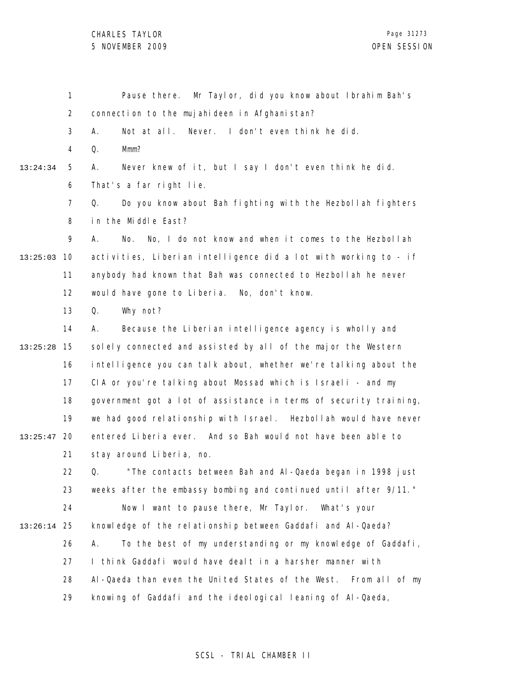1 2 3 4 5 6 7 8 9 10 13:25:03 11 12 13 14 15 13:25:28 16 17 18 19 20 13:25:47 21 22 23 24 25 13:26:14 26 27 28 29 13:24:34 Pause there. Mr Taylor, did you know about Ibrahim Bah's connection to the mujahideen in Afghanistan? A. Not at all. Never. I don't even think he did. Q. Mmm? A. Never knew of it, but I say I don't even think he did. That's a far right lie. Q. Do you know about Bah fighting with the Hezbollah fighters in the Middle East? A. No. No, I do not know and when it comes to the Hezbollah activities, Liberian intelligence did a lot with working to - if anybody had known that Bah was connected to Hezbollah he never would have gone to Liberia. No, don't know. Q. Why not? A. Because the Liberian intelligence agency is wholly and solely connected and assisted by all of the major the Western intelligence you can talk about, whether we're talking about the CIA or you're talking about Mossad which is Israeli - and my government got a lot of assistance in terms of security training, we had good relationship with Israel. Hezbollah would have never entered Liberia ever. And so Bah would not have been able to stay around Liberia, no. Q. "The contacts between Bah and Al-Qaeda began in 1998 just weeks after the embassy bombing and continued until after 9/11." Now I want to pause there, Mr Taylor. What's your knowledge of the relationship between Gaddafi and Al-Qaeda? A. To the best of my understanding or my knowledge of Gaddafi, I think Gaddafi would have dealt in a harsher manner with Al-Qaeda than even the United States of the West. From all of my knowing of Gaddafi and the ideological leaning of Al-Qaeda,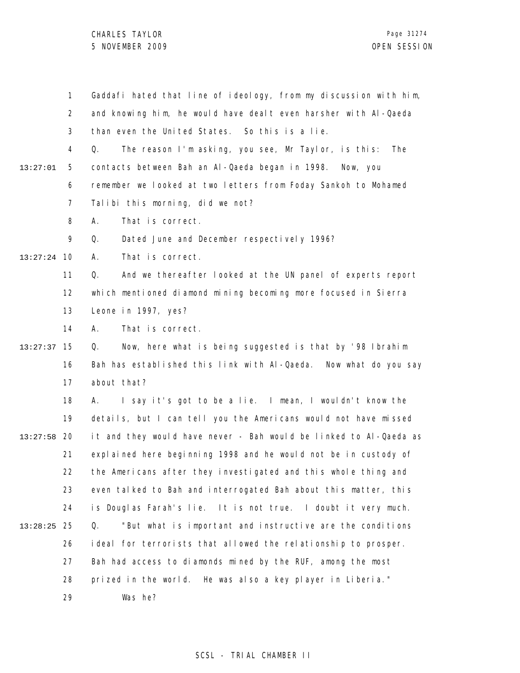CHARLES TAYLOR 5 NOVEMBER 2009 OPEN SESSION

|          | $\mathbf{1}$   | Gaddafi hated that line of ideology, from my discussion with him, |
|----------|----------------|-------------------------------------------------------------------|
|          | $\overline{2}$ | and knowing him, he would have dealt even harsher with Al-Qaeda   |
|          | 3              | than even the United States. So this is a lie.                    |
|          | 4              | The reason I'm asking, you see, Mr Taylor, is this:<br>Q.<br>The  |
| 13:27:01 | 5              | contacts between Bah an Al-Qaeda began in 1998.<br>Now, you       |
|          | 6              | remember we looked at two letters from Foday Sankoh to Mohamed    |
|          | $\overline{7}$ | Talibi this morning, did we not?                                  |
|          | 8              | That is correct.<br>А.                                            |
|          | 9              | Dated June and December respectively 1996?<br>Q.                  |
| 13:27:24 | 10             | That is correct.<br>А.                                            |
|          | 11             | And we thereafter looked at the UN panel of experts report<br>Q.  |
|          | 12             | which mentioned diamond mining becoming more focused in Sierra    |
|          | 13             | Leone in 1997, yes?                                               |
|          | 14             | That is correct.<br>А.                                            |
| 13:27:37 | 15             | Now, here what is being suggested is that by '98 Ibrahim<br>Q.    |
|          | 16             | Bah has established this link with Al-Qaeda. Now what do you say  |
|          | 17             | about that?                                                       |
|          | 18             | I say it's got to be a lie. I mean, I wouldn't know the<br>А.     |
|          | 19             | details, but I can tell you the Americans would not have missed   |
| 13:27:58 | -20            | it and they would have never - Bah would be linked to Al-Qaeda as |
|          | 21             | explained here beginning 1998 and he would not be in custody of   |
|          | 22             | the Americans after they investigated and this whole thing and    |
|          | 23             | even talked to Bah and interrogated Bah about this matter, this   |
|          | 24             | is Douglas Farah's lie. It is not true. I doubt it very much.     |
| 13:28:25 | 25             | "But what is important and instructive are the conditions<br>Q.   |
|          | 26             | ideal for terrorists that allowed the relationship to prosper.    |
|          | 27             | Bah had access to diamonds mined by the RUF, among the most       |
|          | 28             | prized in the world. He was also a key player in Liberia."        |
|          | 29             | Was he?                                                           |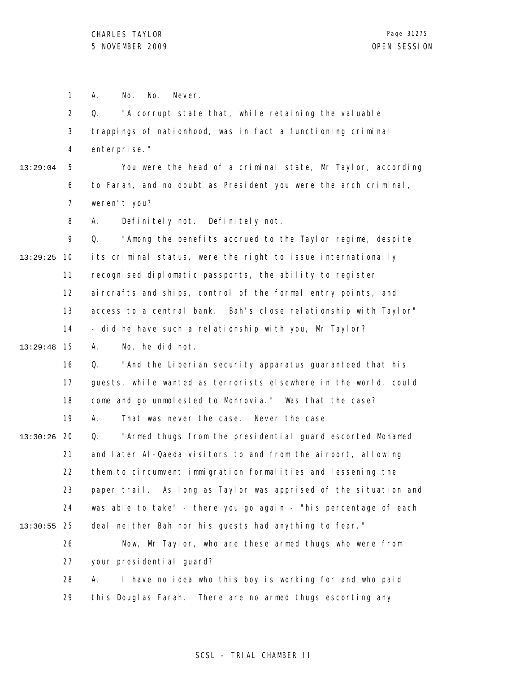1 A. No. No. Never.

2 3 4 Q. "A corrupt state that, while retaining the valuable trappings of nationhood, was in fact a functioning criminal enterprise."

13:29:04

5 6 7 You were the head of a criminal state, Mr Taylor, according to Farah, and no doubt as President you were the arch criminal, weren't you?

8 A. Definitely not. Definitely not.

9 10 13:29:25 11 12 13 14 Q. "Among the benefits accrued to the Taylor regime, despite its criminal status, were the right to issue internationally recognised diplomatic passports, the ability to register aircrafts and ships, control of the formal entry points, and access to a central bank. Bah's close relationship with Taylor" - did he have such a relationship with you, Mr Taylor?

15 13:29:48 A. No, he did not.

> 16 17 18 19 Q. "And the Liberian security apparatus guaranteed that his guests, while wanted as terrorists elsewhere in the world, could come and go unmolested to Monrovia." Was that the case? A. That was never the case. Never the case.

20 13:30:26 21 22 23 24 25 13:30:55 Q. "Armed thugs from the presidential guard escorted Mohamed and later Al-Qaeda visitors to and from the airport, allowing them to circumvent immigration formalities and lessening the paper trail. As long as Taylor was apprised of the situation and was able to take" - there you go again - "his percentage of each deal neither Bah nor his guests had anything to fear."

26 27 28 Now, Mr Taylor, who are these armed thugs who were from your presidential guard? A. I have no idea who this boy is working for and who paid

29 this Douglas Farah. There are no armed thugs escorting any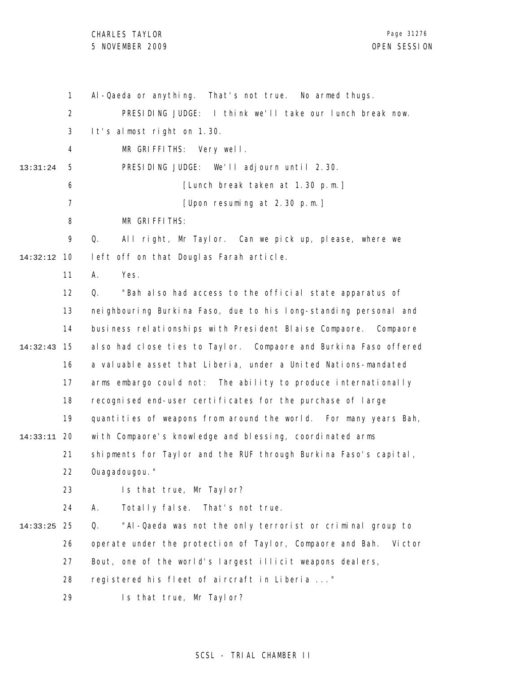# CHARLES TAYLOR

1 2 3 4 5 6 7 8 9 10 14:32:12 11 12 13 14 15 14:32:43 16 17 18 19 20 14:33:11 21 22 23 24 25 14:33:25 26 27 28 29 13:31:24 Al-Qaeda or anything. That's not true. No armed thugs. PRESIDING JUDGE: I think we'll take our lunch break now. It's almost right on 1.30. MR GRIFFITHS: Very well. PRESIDING JUDGE: We'll adjourn until 2.30. [Lunch break taken at 1.30 p.m.] [Upon resuming at 2.30 p.m.] MR GRIFFITHS: Q. All right, Mr Taylor. Can we pick up, please, where we left off on that Douglas Farah article. A. Yes. Q. "Bah also had access to the official state apparatus of neighbouring Burkina Faso, due to his long-standing personal and business relationships with President Blaise Compaore. Compaore also had close ties to Taylor. Compaore and Burkina Faso offered a valuable asset that Liberia, under a United Nations-mandated arms embargo could not: The ability to produce internationally recognised end-user certificates for the purchase of large quantities of weapons from around the world. For many years Bah, with Compaore's knowledge and blessing, coordinated arms shipments for Taylor and the RUF through Burkina Faso's capital, Ouagadougou." Is that true, Mr Taylor? A. Totally false. That's not true. Q. "Al-Qaeda was not the only terrorist or criminal group to operate under the protection of Taylor, Compaore and Bah. Victor Bout, one of the world's largest illicit weapons dealers, registered his fleet of aircraft in Liberia ..." Is that true, Mr Taylor?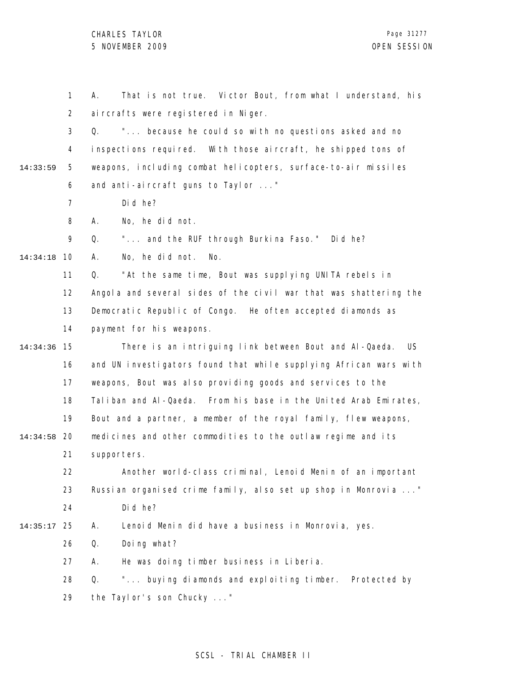1 2 3 4 5 6 7 8 9 10 14:34:18 11 12 13 14 15 14:34:36 16 17 18 19 20 14:34:58 21 22 23 24 25 14:35:17 26 27 28 29 14:33:59 A. That is not true. Victor Bout, from what I understand, his aircrafts were registered in Niger. Q. "... because he could so with no questions asked and no inspections required. With those aircraft, he shipped tons of weapons, including combat helicopters, surface-to-air missiles and anti-aircraft guns to Taylor ..." Did he? A. No, he did not. Q. "... and the RUF through Burkina Faso." Did he? A. No, he did not. No. Q. "At the same time, Bout was supplying UNITA rebels in Angola and several sides of the civil war that was shattering the Democratic Republic of Congo. He often accepted diamonds as payment for his weapons. There is an intriguing link between Bout and Al-Qaeda. US and UN investigators found that while supplying African wars with weapons, Bout was also providing goods and services to the Taliban and Al-Qaeda. From his base in the United Arab Emirates, Bout and a partner, a member of the royal family, flew weapons, medicines and other commodities to the outlaw regime and its supporters. Another world-class criminal, Lenoid Menin of an important Russian organised crime family, also set up shop in Monrovia ..." Did he? A. Lenoid Menin did have a business in Monrovia, yes. Q. Doing what? A. He was doing timber business in Liberia. Q. "... buying diamonds and exploiting timber. Protected by the Taylor's son Chucky ..."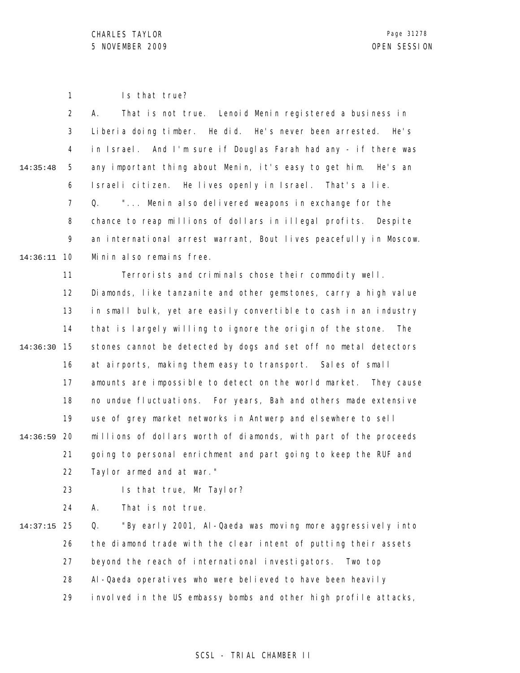1 Is that true?

|          | $\overline{2}$ | That is not true. Lenoid Menin registered a business in<br>А.     |
|----------|----------------|-------------------------------------------------------------------|
|          | 3              | Liberia doing timber. He did. He's never been arrested. He's      |
|          | 4              | in Israel. And I'm sure if Douglas Farah had any - if there was   |
| 14:35:48 | 5              | any important thing about Menin, it's easy to get him. He's an    |
|          | 6              | Israeli citizen. He lives openly in Israel. That's a lie.         |
|          | $\overline{7}$ | " Menin also delivered weapons in exchange for the<br>Q.          |
|          | 8              | chance to reap millions of dollars in illegal profits. Despite    |
|          | 9              | an international arrest warrant, Bout lives peacefully in Moscow. |
| 14:36:11 | -10            | Minin also remains free.                                          |
|          | 11             | Terrorists and criminals chose their commodity well.              |
|          | 12             | Diamonds, like tanzanite and other gemstones, carry a high value  |
|          | 13             | in small bulk, yet are easily convertible to cash in an industry  |
|          | 14             | that is largely willing to ignore the origin of the stone. The    |
| 14:36:30 | 15             | stones cannot be detected by dogs and set off no metal detectors  |
|          | 16             | at airports, making them easy to transport. Sales of small        |
|          | 17             | amounts are impossible to detect on the world market. They cause  |
|          | 18             | no undue fluctuations. For years, Bah and others made extensive   |
|          | 19             | use of grey market networks in Antwerp and elsewhere to sell      |

20 14:36:59 21 22 millions of dollars worth of diamonds, with part of the proceeds going to personal enrichment and part going to keep the RUF and Taylor armed and at war."

> 23 Is that true, Mr Taylor?

24 A. That is not true.

25 14:37:15 26 27 28 29 Q. "By early 2001, Al-Qaeda was moving more aggressively into the diamond trade with the clear intent of putting their assets beyond the reach of international investigators. Two top Al-Qaeda operatives who were believed to have been heavily involved in the US embassy bombs and other high profile attacks,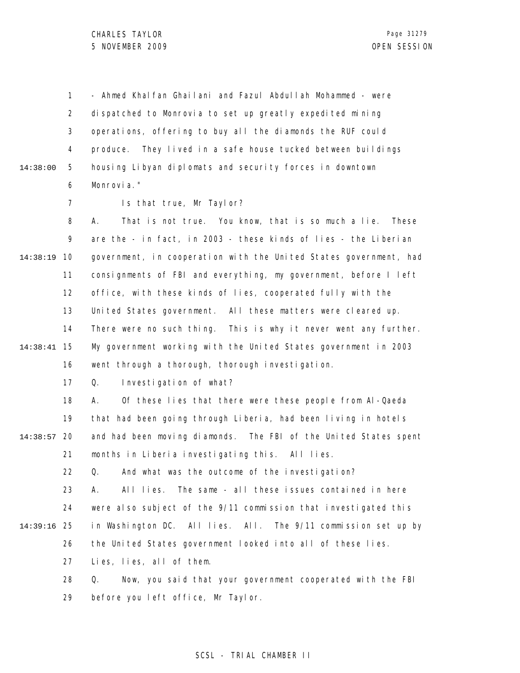1 2 3 4 5 6 14:38:00 - Ahmed Khalfan Ghailani and Fazul Abdullah Mohammed - were dispatched to Monrovia to set up greatly expedited mining operations, offering to buy all the diamonds the RUF could produce. They lived in a safe house tucked between buildings housing Libyan diplomats and security forces in downtown Monrovia."

> 7 Is that true, Mr Taylor?

8 9 10 14:38:19 11 12 13 14 15 14:38:41 16 A. That is not true. You know, that is so much a lie. These are the - in fact, in 2003 - these kinds of lies - the Liberian government, in cooperation with the United States government, had consignments of FBI and everything, my government, before I left office, with these kinds of lies, cooperated fully with the United States government. All these matters were cleared up. There were no such thing. This is why it never went any further. My government working with the United States government in 2003 went through a thorough, thorough investigation.

> 17 Q. Investigation of what?

18 19 20 14:38:57 21 A. Of these lies that there were these people from Al-Qaeda that had been going through Liberia, had been living in hotels and had been moving diamonds. The FBI of the United States spent months in Liberia investigating this. All lies.

> 22 Q. And what was the outcome of the investigation?

23 24 25 14:39:16 26 A. All lies. The same - all these issues contained in here were also subject of the 9/11 commission that investigated this in Washington DC. All lies. All. The 9/11 commission set up by the United States government looked into all of these lies.

> 27 Lies, lies, all of them.

28 29 Q. Now, you said that your government cooperated with the FBI before you left office, Mr Taylor.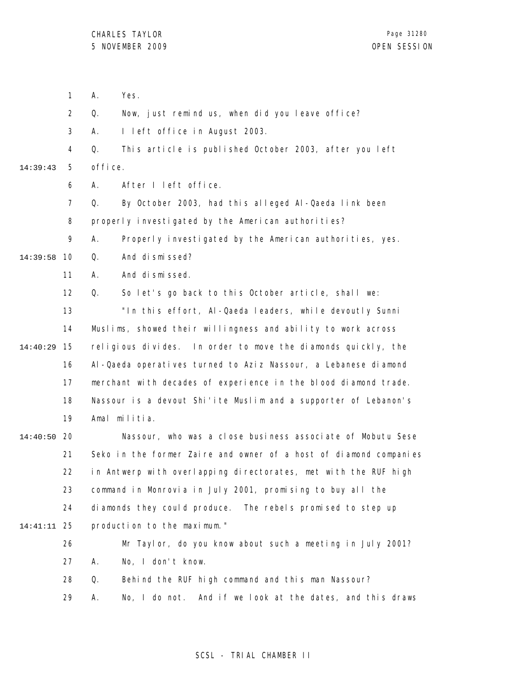- 1 A. Yes.
- 2 Q. Now, just remind us, when did you leave office?
- 3 A. I left office in August 2003.

4 5 14:39:43 Q. This article is published October 2003, after you left office.

- 6 A. After I left office.
- 7 Q. By October 2003, had this alleged Al-Qaeda link been
- 8 properly investigated by the American authorities?

9 A. Properly investigated by the American authorities, yes.

- 10 14:39:58 Q. And dismissed?
	- 11 A. And dismissed.

12 Q. So let's go back to this October article, shall we:

13 14 15 14:40:29 16 17 18 19 "In this effort, Al-Qaeda leaders, while devoutly Sunni Muslims, showed their willingness and ability to work across religious divides. In order to move the diamonds quickly, the Al-Qaeda operatives turned to Aziz Nassour, a Lebanese diamond merchant with decades of experience in the blood diamond trade. Nassour is a devout Shi'ite Muslim and a supporter of Lebanon's Amal militia.

20 14:40:50 21 22 23 24 25 14:41:11 Nassour, who was a close business associate of Mobutu Sese Seko in the former Zaire and owner of a host of diamond companies in Antwerp with overlapping directorates, met with the RUF high command in Monrovia in July 2001, promising to buy all the diamonds they could produce. The rebels promised to step up production to the maximum."

- 26 27 28 Mr Taylor, do you know about such a meeting in July 2001? A. No, I don't know. Q. Behind the RUF high command and this man Nassour?
	- 29 A. No, I do not. And if we look at the dates, and this draws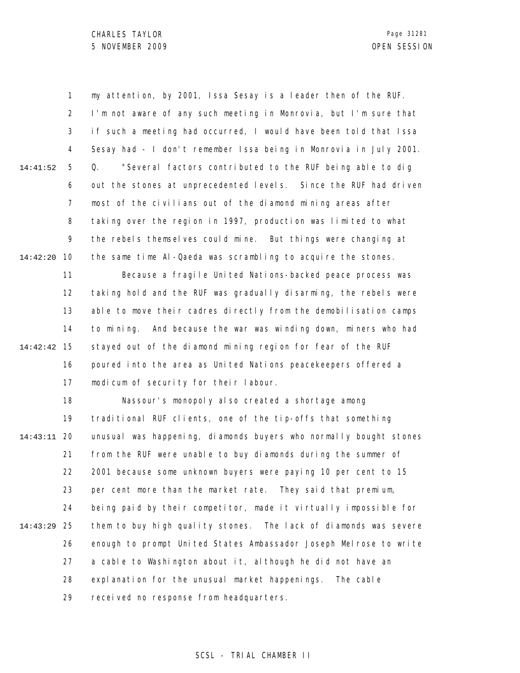1 2 3 4 5 6 7 8 9 10 14:42:20 11 14:41:52 my attention, by 2001, Issa Sesay is a leader then of the RUF. I'm not aware of any such meeting in Monrovia, but I'm sure that if such a meeting had occurred, I would have been told that Issa Sesay had - I don't remember Issa being in Monrovia in July 2001. Q. "Several factors contributed to the RUF being able to dig out the stones at unprecedented levels. Since the RUF had driven most of the civilians out of the diamond mining areas after taking over the region in 1997, production was limited to what the rebels themselves could mine. But things were changing at the same time Al-Qaeda was scrambling to acquire the stones. Because a fragile United Nations-backed peace process was

12 13 14 15 14:42:42 16 17 taking hold and the RUF was gradually disarming, the rebels were able to move their cadres directly from the demobilisation camps to mining. And because the war was winding down, miners who had stayed out of the diamond mining region for fear of the RUF poured into the area as United Nations peacekeepers offered a modicum of security for their labour.

18 19 20 14:43:11 21 22 23 24 25 14:43:29 26 27 28 29 Nassour's monopoly also created a shortage among traditional RUF clients, one of the tip-offs that something unusual was happening, diamonds buyers who normally bought stones from the RUF were unable to buy diamonds during the summer of 2001 because some unknown buyers were paying 10 per cent to 15 per cent more than the market rate. They said that premium, being paid by their competitor, made it virtually impossible for them to buy high quality stones. The lack of diamonds was severe enough to prompt United States Ambassador Joseph Melrose to write a cable to Washington about it, although he did not have an explanation for the unusual market happenings. The cable received no response from headquarters.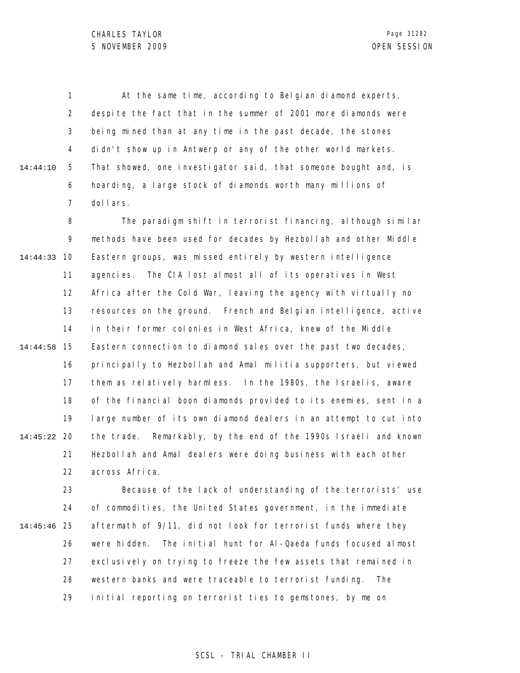1 2 3 4 5 6 7 14:44:10 At the same time, according to Belgian diamond experts, despite the fact that in the summer of 2001 more diamonds were being mined than at any time in the past decade, the stones didn't show up in Antwerp or any of the other world markets. That showed, one investigator said, that someone bought and, is hoarding, a large stock of diamonds worth many millions of dollars.

8 9 10 14:44:33 11 12 13 14 15 14:44:58 16 17 18 19 20 14:45:22 21 22 The paradigm shift in terrorist financing, although similar methods have been used for decades by Hezbollah and other Middle Eastern groups, was missed entirely by western intelligence agencies. The CIA lost almost all of its operatives in West Africa after the Cold War, leaving the agency with virtually no resources on the ground. French and Belgian intelligence, active in their former colonies in West Africa, knew of the Middle Eastern connection to diamond sales over the past two decades, principally to Hezbollah and Amal militia supporters, but viewed them as relatively harmless. In the 1980s, the Israelis, aware of the financial boon diamonds provided to its enemies, sent in a large number of its own diamond dealers in an attempt to cut into the trade. Remarkably, by the end of the 1990s Israeli and known Hezbollah and Amal dealers were doing business with each other across Africa.

23 24 25 14:45:46 26 27 28 29 Because of the lack of understanding of the terrorists' use of commodities, the United States government, in the immediate aftermath of 9/11, did not look for terrorist funds where they were hidden. The initial hunt for Al-Qaeda funds focused almost exclusively on trying to freeze the few assets that remained in western banks and were traceable to terrorist funding. The initial reporting on terrorist ties to gemstones, by me on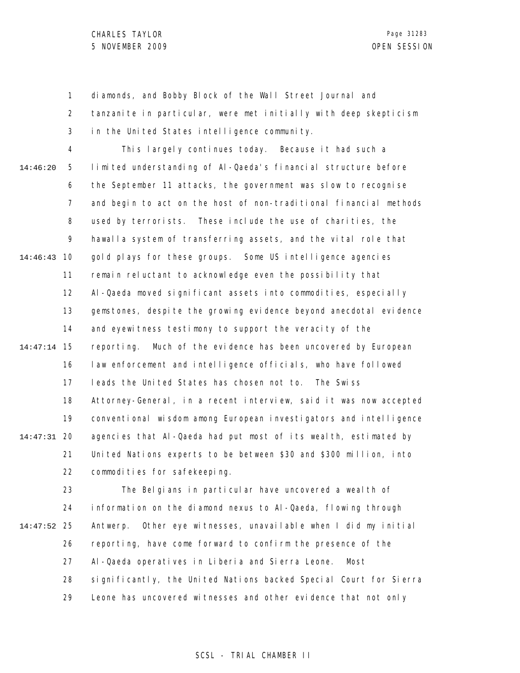1 2 3 diamonds, and Bobby Block of the Wall Street Journal and tanzanite in particular, were met initially with deep skepticism in the United States intelligence community.

4 5 6 7 8 9 10 14:46:43 11 12 13 14 15 14:47:14 16 17 18 19 20 14:47:31 21 22 14:46:20 This largely continues today. Because it had such a limited understanding of Al-Qaeda's financial structure before the September 11 attacks, the government was slow to recognise and begin to act on the host of non-traditional financial methods used by terrorists. These include the use of charities, the hawalla system of transferring assets, and the vital role that gold plays for these groups. Some US intelligence agencies remain reluctant to acknowledge even the possibility that Al-Qaeda moved significant assets into commodities, especially gemstones, despite the growing evidence beyond anecdotal evidence and eyewitness testimony to support the veracity of the reporting. Much of the evidence has been uncovered by European law enforcement and intelligence officials, who have followed leads the United States has chosen not to. The Swiss Attorney-General, in a recent interview, said it was now accepted conventional wisdom among European investigators and intelligence agencies that Al-Qaeda had put most of its wealth, estimated by United Nations experts to be between \$30 and \$300 million, into commodities for safekeeping.

23 24 25 14:47:52 26 27 28 29 The Belgians in particular have uncovered a wealth of information on the diamond nexus to Al-Qaeda, flowing through Antwerp. Other eye witnesses, unavailable when I did my initial reporting, have come forward to confirm the presence of the Al-Qaeda operatives in Liberia and Sierra Leone. Most significantly, the United Nations backed Special Court for Sierra Leone has uncovered witnesses and other evidence that not only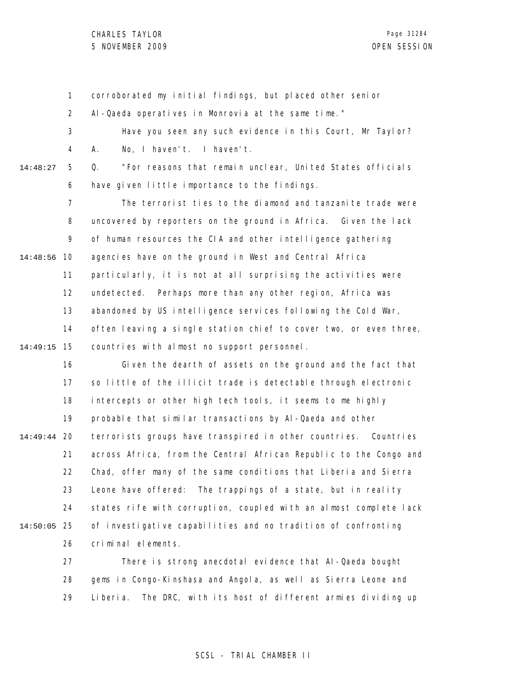CHARLES TAYLOR 5 NOVEMBER 2009 OPEN SESSION

1 2 3 4 5 6 7 8 9 10 14:48:56 11 12 13 14 15 14:49:15 16 17 18 19 20 14:49:44 21 22 23 24 25 14:50:05 26 27 14:48:27 corroborated my initial findings, but placed other senior Al-Qaeda operatives in Monrovia at the same time." Have you seen any such evidence in this Court, Mr Taylor? A. No, I haven't. I haven't. Q. "For reasons that remain unclear, United States officials have given little importance to the findings. The terrorist ties to the diamond and tanzanite trade were uncovered by reporters on the ground in Africa. Given the lack of human resources the CIA and other intelligence gathering agencies have on the ground in West and Central Africa particularly, it is not at all surprising the activities were undetected. Perhaps more than any other region, Africa was abandoned by US intelligence services following the Cold War, often leaving a single station chief to cover two, or even three, countries with almost no support personnel. Given the dearth of assets on the ground and the fact that so little of the illicit trade is detectable through electronic intercepts or other high tech tools, it seems to me highly probable that similar transactions by Al-Qaeda and other terrorists groups have transpired in other countries. Countries across Africa, from the Central African Republic to the Congo and Chad, offer many of the same conditions that Liberia and Sierra Leone have offered: The trappings of a state, but in reality states rife with corruption, coupled with an almost complete lack of investigative capabilities and no tradition of confronting criminal elements. There is strong anecdotal evidence that Al-Qaeda bought

28 29 gems in Congo-Kinshasa and Angola, as well as Sierra Leone and Liberia. The DRC, with its host of different armies dividing up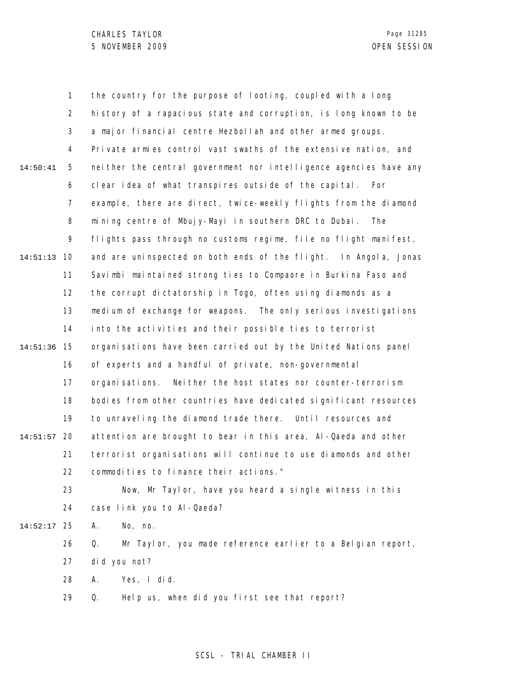1 2 3 4 5 6 7 8 9 10 14:51:13 11 12 13 14 15 14:51:36 16 17 18 19 20 14:51:57 21 22 23 24 25 14:52:17 26 27 28 29 14:50:41 the country for the purpose of looting, coupled with a long history of a rapacious state and corruption, is long known to be a major financial centre Hezbollah and other armed groups. Private armies control vast swaths of the extensive nation, and neither the central government nor intelligence agencies have any clear idea of what transpires outside of the capital. For example, there are direct, twice-weekly flights from the diamond mining centre of Mbujy-Mayi in southern DRC to Dubai. The flights pass through no customs regime, file no flight manifest, and are uninspected on both ends of the flight. In Angola, Jonas Savimbi maintained strong ties to Compaore in Burkina Faso and the corrupt dictatorship in Togo, often using diamonds as a medium of exchange for weapons. The only serious investigations into the activities and their possible ties to terrorist organisations have been carried out by the United Nations panel of experts and a handful of private, non-governmental organisations. Neither the host states nor counter-terrorism bodies from other countries have dedicated significant resources to unraveling the diamond trade there. Until resources and attention are brought to bear in this area, Al-Qaeda and other terrorist organisations will continue to use diamonds and other commodities to finance their actions." Now, Mr Taylor, have you heard a single witness in this case link you to Al-Qaeda? A. No, no. Q. Mr Taylor, you made reference earlier to a Belgian report, did you not? A. Yes, I did. Q. Help us, when did you first see that report?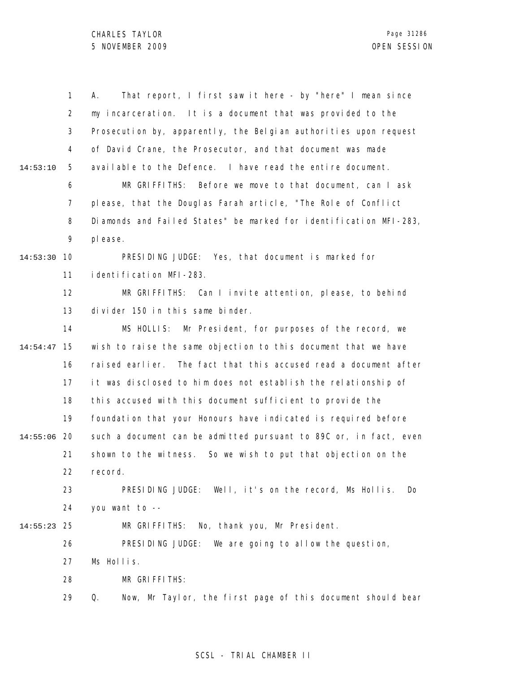|          | 1  | That report, I first saw it here - by "here" I mean since<br>А.   |
|----------|----|-------------------------------------------------------------------|
|          | 2  | my incarceration. It is a document that was provided to the       |
|          | 3  | Prosecution by, apparently, the Belgian authorities upon request  |
|          | 4  | of David Crane, the Prosecutor, and that document was made        |
| 14:53:10 | 5  | available to the Defence. I have read the entire document.        |
|          | 6  | MR GRIFFITHS: Before we move to that document, can I ask          |
|          | 7  | please, that the Douglas Farah article, "The Role of Conflict     |
|          | 8  | Diamonds and Failed States" be marked for identification MFI-283, |
|          | 9  | pl ease.                                                          |
| 14:53:30 | 10 | PRESIDING JUDGE: Yes, that document is marked for                 |
|          | 11 | i denti fi cati on MFI-283.                                       |
|          | 12 | MR GRIFFITHS: Can I invite attention, please, to behind           |
|          | 13 | divider 150 in this same binder.                                  |
|          | 14 | MS HOLLIS: Mr President, for purposes of the record, we           |
| 14:54:47 | 15 | wish to raise the same objection to this document that we have    |
|          | 16 | raised earlier. The fact that this accused read a document after  |
|          | 17 | it was disclosed to him does not establish the relationship of    |
|          | 18 | this accused with this document sufficient to provide the         |
|          | 19 | foundation that your Honours have indicated is required before    |
| 14:55:06 | 20 | such a document can be admitted pursuant to 89C or, in fact, even |
|          | 21 | shown to the witness. So we wish to put that objection on the     |
|          | 22 | record.                                                           |
|          | 23 | PRESIDING JUDGE: Well, it's on the record, Ms Hollis.<br>Do       |
|          | 24 | you want to --                                                    |
| 14:55:23 | 25 | MR GRIFFITHS: No, thank you, Mr President.                        |
|          | 26 | PRESIDING JUDGE:<br>We are going to allow the question,           |
|          | 27 | Ms Hollis.                                                        |
|          | 28 | MR GRIFFITHS:                                                     |
|          | 29 | Q.<br>Now, Mr Taylor, the first page of this document should bear |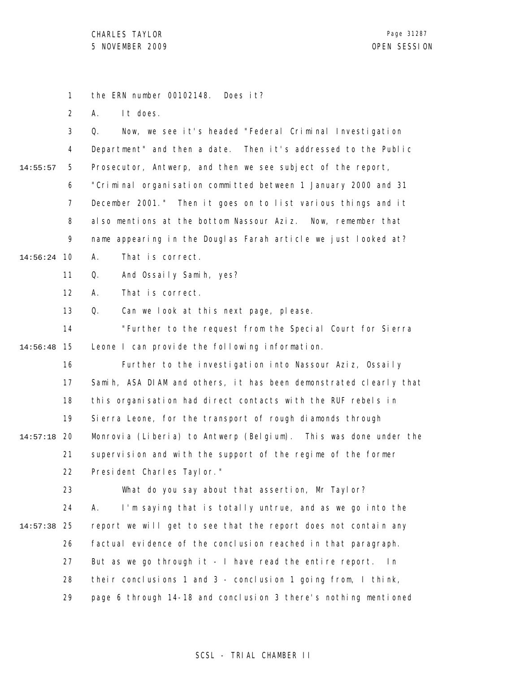1 the ERN number 00102148. Does it?

2 A. It does.

|          | 3  | Now, we see it's headed "Federal Criminal Investigation<br>Q.              |
|----------|----|----------------------------------------------------------------------------|
|          | 4  | Department" and then a date. Then it's addressed to the Public             |
| 14:55:57 | 5  | Prosecutor, Antwerp, and then we see subject of the report,                |
|          | 6  | "Criminal organisation committed between 1 January 2000 and 31             |
|          | 7  | December 2001." Then it goes on to list various things and it              |
|          | 8  | also mentions at the bottom Nassour Aziz. Now, remember that               |
|          | 9  | name appearing in the Douglas Farah article we just looked at?             |
| 14:56:24 | 10 | That is correct.<br>А.                                                     |
|          | 11 | And Ossaily Samih, yes?<br>Q.                                              |
|          | 12 | That is correct.<br>А.                                                     |
|          | 13 | Q.<br>Can we look at this next page, please.                               |
|          | 14 | "Further to the request from the Special Court for Sierra                  |
| 14:56:48 | 15 | Leone I can provide the following information.                             |
|          | 16 | Further to the investigation into Nassour Aziz, Ossaily                    |
|          | 17 | Samih, ASA DIAM and others, it has been demonstrated clearly that          |
|          | 18 | this organisation had direct contacts with the RUF rebels in               |
|          | 19 | Sierra Leone, for the transport of rough diamonds through                  |
| 14:57:18 | 20 | Monrovia (Liberia) to Antwerp (Belgium). This was done under the           |
|          | 21 | supervision and with the support of the regime of the former               |
|          | 22 | President Charles Taylor."                                                 |
|          | 23 | What do you say about that assertion, Mr Taylor?                           |
|          | 24 | I'm saying that is totally untrue, and as we go into the<br>Α.             |
| 14:57:38 | 25 | report we will get to see that the report does not contain any             |
|          | 26 | factual evidence of the conclusion reached in that paragraph.              |
|          | 27 | But as we go through $it - l$ have read the entire report. In              |
|          | 28 | their conclusions 1 and 3 - conclusion 1 going from, $\overline{1}$ think, |
|          | 29 | page 6 through 14-18 and conclusion 3 there's nothing mentioned            |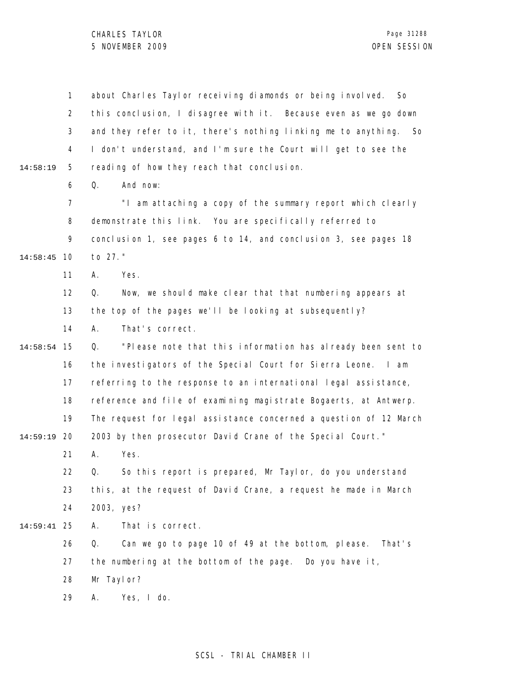|          | $\mathbf{1}$   | about Charles Taylor receiving diamonds or being involved.<br>So. |
|----------|----------------|-------------------------------------------------------------------|
|          | $\overline{2}$ | this conclusion, I disagree with it. Because even as we go down   |
|          | 3              | and they refer to it, there's nothing linking me to anything. So  |
|          | 4              | I don't understand, and I'm sure the Court will get to see the    |
| 14:58:19 | 5              | reading of how they reach that conclusion.                        |
|          | 6              | And now:<br>Q.                                                    |
|          | $\overline{7}$ | "I am attaching a copy of the summary report which clearly        |
|          | 8              | demonstrate this link. You are specifically referred to           |
|          | 9              | conclusion 1, see pages 6 to 14, and conclusion 3, see pages 18   |
| 14:58:45 | 10             | to 27."                                                           |
|          | 11             | Yes.<br>Α.                                                        |
|          | 12             | Now, we should make clear that that numbering appears at<br>Q.    |
|          | 13             | the top of the pages we'll be looking at subsequently?            |
|          | 14             | That's correct.<br>А.                                             |
| 14:58:54 | 15             | "Please note that this information has already been sent to<br>Q. |
|          | 16             | the investigators of the Special Court for Sierra Leone.<br>I am  |
|          | 17             | referring to the response to an international legal assistance,   |
|          | 18             | reference and file of examining magistrate Bogaerts, at Antwerp.  |
|          | 19             | The request for legal assistance concerned a question of 12 March |
| 14:59:19 | 20             | 2003 by then prosecutor David Crane of the Special Court."        |
|          | 21             | Yes.<br>А.                                                        |
|          | 22             | So this report is prepared, Mr Taylor, do you understand<br>Q.    |
|          | 23             | this, at the request of David Crane, a request he made in March   |
|          | 24             | 2003, yes?                                                        |
| 14:59:41 | 25             | That is correct.<br>А.                                            |
|          | 26             | Can we go to page 10 of 49 at the bottom, please.<br>Q.<br>That's |
|          | 27             | the numbering at the bottom of the page. Do you have it,          |
|          | 28             | Mr Taylor?                                                        |
|          | 29             | Yes, I do.<br>Α.                                                  |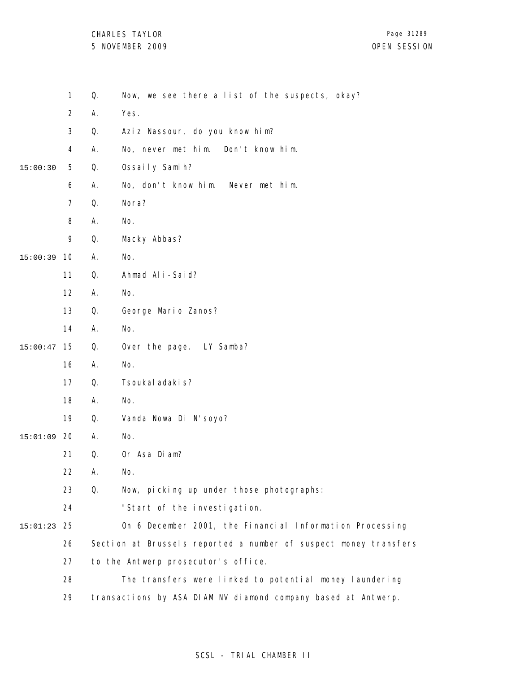CHARLES TAYLOR 5 NOVEMBER 2009 OPEN SESSION

|          | $\mathbf{1}$   | Q. | Now, we see there a list of the suspects, okay?                  |
|----------|----------------|----|------------------------------------------------------------------|
|          | $\overline{2}$ | А. | Yes.                                                             |
|          | $\mathfrak{Z}$ | Q. | Aziz Nassour, do you know him?                                   |
|          | 4              | Α. | No, never met him.<br>Don't know him.                            |
| 15:00:30 | 5              | Q. | Ossaily Samih?                                                   |
|          | 6              | Α. | No, don't know him. Never met him.                               |
|          | $\overline{7}$ | Q. | Nora?                                                            |
|          | 8              | Α. | No.                                                              |
|          | 9              | Q. | Macky Abbas?                                                     |
| 15:00:39 | 10             | Α. | No.                                                              |
|          | 11             | Q. | Ahmad Ali-Said?                                                  |
|          | 12             | Α. | No.                                                              |
|          | 13             | Q. | George Mario Zanos?                                              |
|          | 14             | Α. | No.                                                              |
| 15:00:47 | 15             | Q. | Over the page. LY Samba?                                         |
|          | 16             | Α. | No.                                                              |
|          | 17             | Q. | Tsoukal adaki s?                                                 |
|          | 18             | А. | No.                                                              |
|          | 19             | Q. | Vanda Nowa Di N'soyo?                                            |
| 15:01:09 | 20             | Α. | No.                                                              |
|          | 21             | Q. | Or Asa Diam?                                                     |
|          | 22             | Α. | No.                                                              |
|          | 23             | Q. | Now, picking up under those photographs:                         |
|          | 24             |    | "Start of the investigation.                                     |
| 15:01:23 | 25             |    | On 6 December 2001, the Financial Information Processing         |
|          | 26             |    | Section at Brussels reported a number of suspect money transfers |
|          | 27             |    | to the Antwerp prosecutor's office.                              |
|          | 28             |    | The transfers were linked to potential money laundering          |
|          | 29             |    | transactions by ASA DIAM NV diamond company based at Antwerp.    |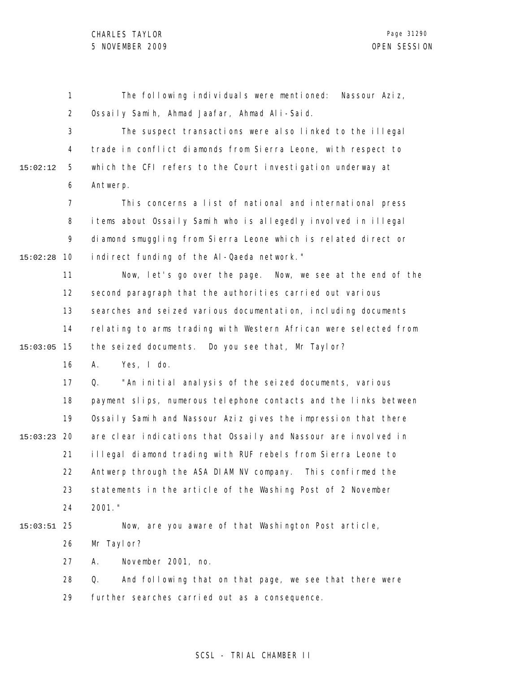|          | 1              | The following individuals were mentioned:<br>Nassour Aziz,       |
|----------|----------------|------------------------------------------------------------------|
|          | $\overline{2}$ | Ossaily Samih, Ahmad Jaafar, Ahmad Ali-Said.                     |
|          | 3              | The suspect transactions were also linked to the illegal         |
|          | 4              | trade in conflict diamonds from Sierra Leone, with respect to    |
| 15:02:12 | 5              | which the CFI refers to the Court investigation underway at      |
|          | 6              | Antwerp.                                                         |
|          | $\overline{7}$ | This concerns a list of national and international press         |
|          | 8              | items about Ossaily Samih who is allegedly involved in illegal   |
|          | 9              | diamond smuggling from Sierra Leone which is related direct or   |
| 15:02:28 | 10             | indirect funding of the AI-Qaeda network."                       |
|          | 11             | Now, let's go over the page. Now, we see at the end of the       |
|          | 12             | second paragraph that the authorities carried out various        |
|          | 13             | searches and seized various documentation, including documents   |
|          | 14             | relating to arms trading with Western African were selected from |
| 15:03:05 | 15             | the seized documents. Do you see that, Mr Taylor?                |
|          | 16             | Yes, I do.<br>А.                                                 |
|          | 17             | "An initial analysis of the seized documents, various<br>Q.      |
|          | 18             | payment slips, numerous telephone contacts and the links between |
|          | 19             | Ossaily Samih and Nassour Aziz gives the impression that there   |
| 15:03:23 | 20             | are clear indications that Ossaily and Nassour are involved in   |
|          | 21             | illegal diamond trading with RUF rebels from Sierra Leone to     |
|          | 22             | Antwerp through the ASA DIAM NV company. This confirmed the      |
|          | 23             | statements in the article of the Washing Post of 2 November      |
|          | 24             | 2001. "                                                          |
| 15:03:51 | 25             | Now, are you aware of that Washington Post article,              |
|          | 26             | Mr Taylor?                                                       |
|          | 27             | November 2001, no.<br>А.                                         |
|          | 28             | Q.<br>And following that on that page, we see that there were    |
|          | 29             | further searches carried out as a consequence.                   |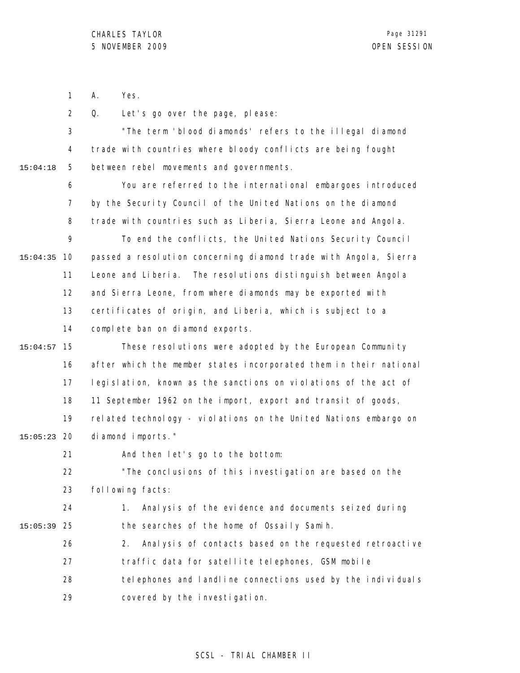1 A. Yes.

2 Q. Let's go over the page, please:

3 4 5 15:04:18 "The term 'blood diamonds' refers to the illegal diamond trade with countries where bloody conflicts are being fought between rebel movements and governments.

> 6 7 8 9 You are referred to the international embargoes introduced by the Security Council of the United Nations on the diamond trade with countries such as Liberia, Sierra Leone and Angola. To end the conflicts, the United Nations Security Council

10 15:04:35 11 12 13 14 passed a resolution concerning diamond trade with Angola, Sierra Leone and Liberia. The resolutions distinguish between Angola and Sierra Leone, from where diamonds may be exported with certificates of origin, and Liberia, which is subject to a complete ban on diamond exports.

15 15:04:57 16 17 18 19 20 15:05:23 These resolutions were adopted by the European Community after which the member states incorporated them in their national legislation, known as the sanctions on violations of the act of 11 September 1962 on the import, export and transit of goods, related technology - violations on the United Nations embargo on diamond imports."

21 22 23 And then let's go to the bottom: "The conclusions of this investigation are based on the following facts:

24 25 15:05:39 1. Analysis of the evidence and documents seized during the searches of the home of Ossaily Samih.

26 27 28 29 2. Analysis of contacts based on the requested retroactive traffic data for satellite telephones, GSM mobile telephones and landline connections used by the individuals covered by the investigation.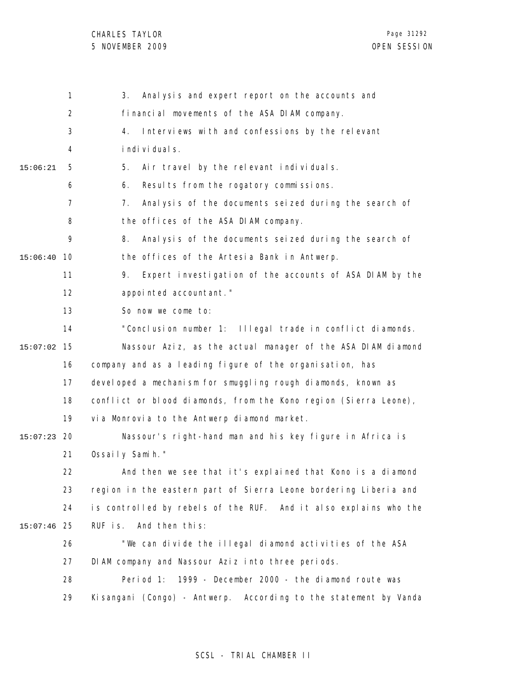|          | 1              | Analysis and expert report on the accounts and<br>3.                 |
|----------|----------------|----------------------------------------------------------------------|
|          | $\overline{2}$ | financial movements of the ASA DIAM company.                         |
|          | 3              | Interviews with and confessions by the relevant<br>4.                |
|          | 4              | i ndi vi dual s.                                                     |
| 15:06:21 | 5              | 5.<br>Air travel by the relevant individuals.                        |
|          | 6              | Results from the rogatory commissions.<br>6.                         |
|          | $\overline{7}$ | Analysis of the documents seized during the search of<br>$7_{\cdot}$ |
|          | 8              | the offices of the ASA DIAM company.                                 |
|          | 9              | Analysis of the documents seized during the search of<br>8.          |
| 15:06:40 | 10             | the offices of the Artesia Bank in Antwerp.                          |
|          | 11             | Expert investigation of the accounts of ASA DIAM by the<br>9.        |
|          | 12             | appointed accountant."                                               |
|          | 13             | So now we come to:                                                   |
|          | 14             | "Conclusion number 1: Illegal trade in conflict diamonds.            |
| 15:07:02 | 15             | Nassour Aziz, as the actual manager of the ASA DIAM diamond          |
|          | 16             | company and as a leading figure of the organisation, has             |
|          | 17             | devel oped a mechanism for smuggling rough diamonds, known as        |
|          | 18             | conflict or blood diamonds, from the Kono region (Sierra Leone),     |
|          | 19             | via Monrovia to the Antwerp diamond market.                          |
| 15:07:23 | 20             | Nassour's right-hand man and his key figure in Africa is             |
|          | 21             | Ossaily Samih."                                                      |
|          | 22             | And then we see that it's explained that Kono is a diamond           |
|          | 23             | region in the eastern part of Sierra Leone bordering Liberia and     |
|          | 24             | is controlled by rebels of the RUF. And it also explains who the     |
| 15:07:46 | 25             | RUF is. And then this:                                               |
|          | 26             | "We can divide the illegal diamond activities of the ASA             |
|          | 27             | DIAM company and Nassour Aziz into three periods.                    |
|          | 28             | Period 1:<br>1999 - December 2000 - the diamond route was            |
|          | 29             | Kisangani (Congo) - Antwerp. According to the statement by Vanda     |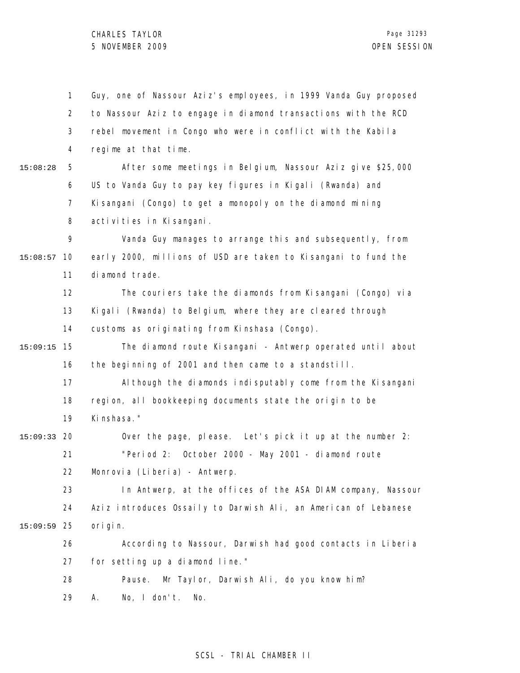1 2 3 4 5 6 7 8 9 10 15:08:57 11 12 13 14 15 15:09:15 16 17 18 19 20 15:09:33 21 22 23 24 25 15:09:59 26 27 28 29 15:08:28 Guy, one of Nassour Aziz's employees, in 1999 Vanda Guy proposed to Nassour Aziz to engage in diamond transactions with the RCD rebel movement in Congo who were in conflict with the Kabila regime at that time. After some meetings in Belgium, Nassour Aziz give \$25,000 US to Vanda Guy to pay key figures in Kigali (Rwanda) and Kisangani (Congo) to get a monopoly on the diamond mining activities in Kisangani. Vanda Guy manages to arrange this and subsequently, from early 2000, millions of USD are taken to Kisangani to fund the diamond trade. The couriers take the diamonds from Kisangani (Congo) via Kigali (Rwanda) to Belgium, where they are cleared through customs as originating from Kinshasa (Congo). The diamond route Kisangani - Antwerp operated until about the beginning of 2001 and then came to a standstill. Al though the diamonds indisputably come from the Kisangani region, all bookkeeping documents state the origin to be Kinshasa." Over the page, please. Let's pick it up at the number 2: "Period 2: October 2000 - May 2001 - diamond route Monrovia (Liberia) - Antwerp. In Antwerp, at the offices of the ASA DIAM company, Nassour Aziz introduces Ossaily to Darwish Ali, an American of Lebanese origin. According to Nassour, Darwish had good contacts in Liberia for setting up a diamond line." Pause. Mr Taylor, Darwish Ali, do you know him? A. No, I don't. No.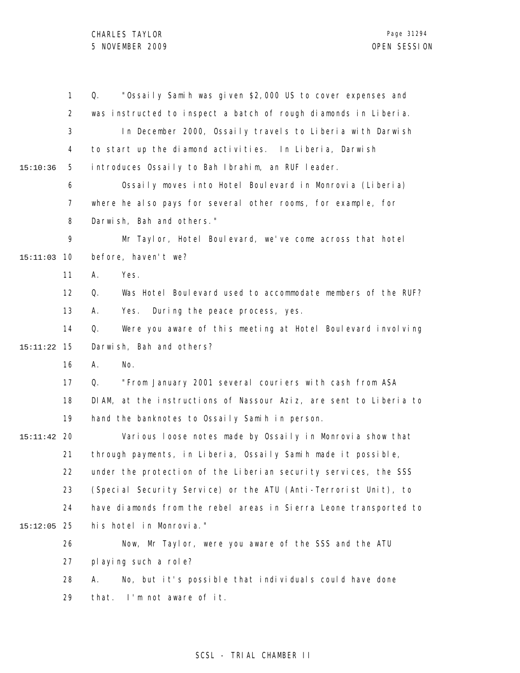|          | $\mathbf{1}$   | "Ossaily Samih was given \$2,000 US to cover expenses and<br>Q.   |
|----------|----------------|-------------------------------------------------------------------|
|          | $\overline{2}$ | was instructed to inspect a batch of rough diamonds in Liberia.   |
|          | 3              | In December 2000, Ossaily travels to Liberia with Darwish         |
|          | 4              | to start up the diamond activities. In Liberia, Darwish           |
| 15:10:36 | 5              | introduces Ossaily to Bah Ibrahim, an RUF leader.                 |
|          | 6              | Ossaily moves into Hotel Boulevard in Monrovia (Liberia)          |
|          | 7              | where he also pays for several other rooms, for example, for      |
|          | 8              | Darwish, Bah and others."                                         |
|          | 9              | Mr Taylor, Hotel Boulevard, we've come across that hotel          |
| 15:11:03 | 10             | before, haven't we?                                               |
|          | 11             | Yes.<br>А.                                                        |
|          | 12             | Was Hotel Boulevard used to accommodate members of the RUF?<br>Q. |
|          | 13             | During the peace process, yes.<br>А.<br>Yes.                      |
|          | 14             | Q.<br>Were you aware of this meeting at Hotel Boulevard involving |
| 15:11:22 | 15             | Darwish, Bah and others?                                          |
|          | 16             | А.<br>No.                                                         |
|          | 17             | "From January 2001 several couriers with cash from ASA<br>Q.      |
|          | 18             | DIAM, at the instructions of Nassour Aziz, are sent to Liberia to |
|          | 19             | hand the banknotes to Ossaily Samih in person.                    |
| 15:11:42 | -20            | Various loose notes made by Ossaily in Monrovia show that         |
|          | 21             | through payments, in Liberia, Ossaily Samih made it possible,     |
|          | 22             | under the protection of the Liberian security services, the SSS   |
|          | 23             | (Special Security Service) or the ATU (Anti-Terrorist Unit), to   |
|          | 24             | have diamonds from the rebel areas in Sierra Leone transported to |
| 15:12:05 | 25             | his hotel in Monrovia."                                           |
|          | 26             | Now, Mr Taylor, were you aware of the SSS and the ATU             |
|          | 27             | pl aying such a role?                                             |
|          | 28             | No, but it's possible that individuals could have done<br>А.      |
|          | 29             | I'm not aware of it.<br>that.                                     |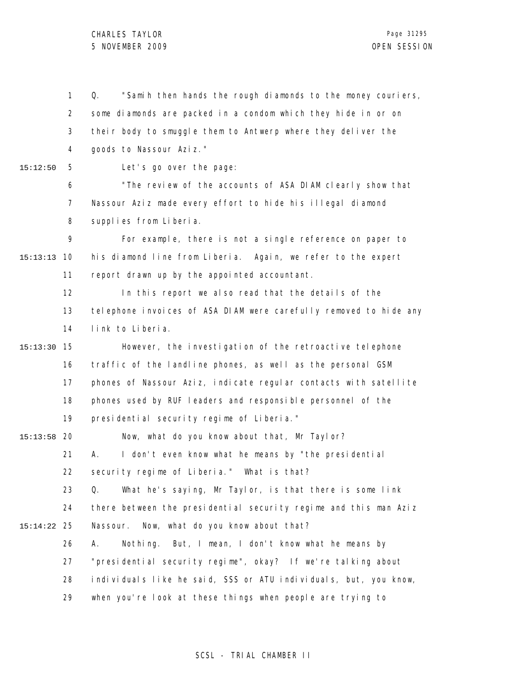## CHARLES TAYLOR 5 NOVEMBER 2009 OPEN SESSION

1 2 3 4 5 6 7 8 9 10 15:13:13 11 12 13 14 15 15:13:30 16 17 18 19 20 15:13:58 21 22 23 24 25 15:14:22 26 27 28 29 15:12:50 Q. "Samih then hands the rough diamonds to the money couriers, some diamonds are packed in a condom which they hide in or on their body to smuggle them to Antwerp where they deliver the goods to Nassour Aziz." Let's go over the page: "The review of the accounts of ASA DIAM clearly show that Nassour Aziz made every effort to hide his illegal diamond supplies from Liberia. For example, there is not a single reference on paper to his diamond line from Liberia. Again, we refer to the expert report drawn up by the appointed accountant. In this report we also read that the details of the telephone invoices of ASA DIAM were carefully removed to hide any link to Liberia. However, the investigation of the retroactive telephone traffic of the landline phones, as well as the personal GSM phones of Nassour Aziz, indicate regular contacts with satellite phones used by RUF leaders and responsible personnel of the presidential security regime of Liberia." Now, what do you know about that, Mr Taylor? A. I don't even know what he means by "the presidential security regime of Liberia." What is that? Q. What he's saying, Mr Taylor, is that there is some link there between the presidential security regime and this man Aziz Nassour. Now, what do you know about that? A. Nothing. But, I mean, I don't know what he means by "presidential security regime", okay? If we're talking about individuals like he said, SSS or ATU individuals, but, you know, when you're look at these things when people are trying to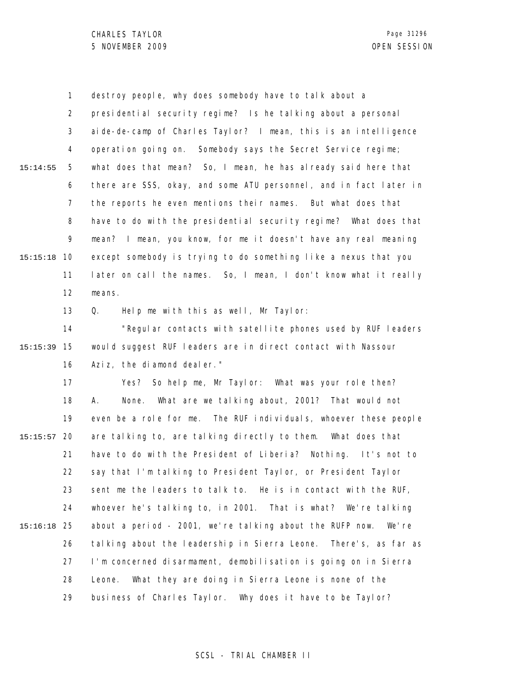1 2 3 4 5 6 7 8 9 10 15:15:18 11 12 15:14:55 destroy people, why does somebody have to talk about a presidential security regime? Is he talking about a personal aide-de-camp of Charles Taylor? I mean, this is an intelligence operation going on. Somebody says the Secret Service regime; what does that mean? So, I mean, he has already said here that there are SSS, okay, and some ATU personnel, and in fact later in the reports he even mentions their names. But what does that have to do with the presidential security regime? What does that mean? I mean, you know, for me it doesn't have any real meaning except somebody is trying to do something like a nexus that you later on call the names. So, I mean, I don't know what it really means.

> 13 Q. Help me with this as well, Mr Taylor:

14 15 15:15:39 16 "Regular contacts with satellite phones used by RUF leaders would suggest RUF leaders are in direct contact with Nassour Aziz, the diamond dealer."

17 18 19 20 15:15:57 21 22 23 24 25 15:16:18 26 27 28 29 Yes? So help me, Mr Taylor: What was your role then? A. None. What are we talking about, 2001? That would not even be a role for me. The RUF individuals, whoever these people are talking to, are talking directly to them. What does that have to do with the President of Liberia? Nothing. It's not to say that I'm talking to President Taylor, or President Taylor sent me the leaders to talk to. He is in contact with the RUF, whoever he's talking to, in 2001. That is what? We're talking about a period - 2001, we're talking about the RUFP now. We're talking about the leadership in Sierra Leone. There's, as far as I'm concerned disarmament, demobilisation is going on in Sierra Leone. What they are doing in Sierra Leone is none of the business of Charles Taylor. Why does it have to be Taylor?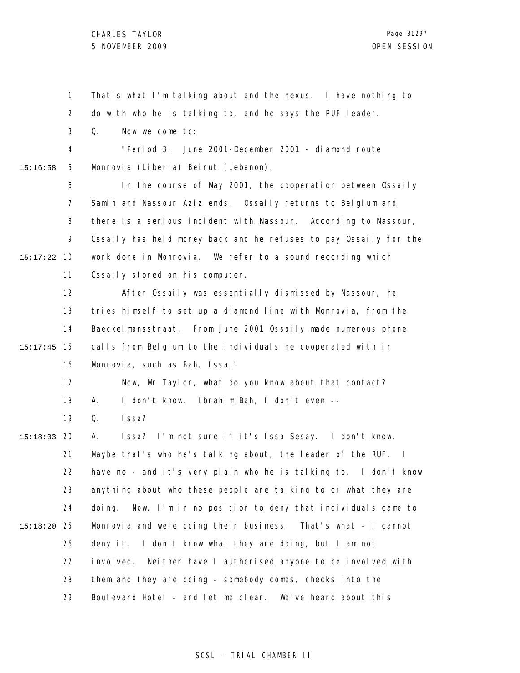1 2 3 4 5 6 7 8 9 10 15:17:22 11 12 13 14 15 15:17:45 16 17 18 19 20 15:18:03 21 22 23 24 25 15:18:20 26 27 28 29 15:16:58 That's what I'm talking about and the nexus. I have nothing to do with who he is talking to, and he says the RUF leader. Q. Now we come to: "Period 3: June 2001-December 2001 - diamond route Monrovia (Liberia) Beirut (Lebanon). In the course of May 2001, the cooperation between Ossaily Samih and Nassour Aziz ends. Ossaily returns to Belgium and there is a serious incident with Nassour. According to Nassour, Ossaily has held money back and he refuses to pay Ossaily for the work done in Monrovia. We refer to a sound recording which Ossaily stored on his computer. After Ossaily was essentially dismissed by Nassour, he tries himself to set up a diamond line with Monrovia, from the Baeckelmansstraat. From June 2001 Ossaily made numerous phone calls from Belgium to the individuals he cooperated with in Monrovia, such as Bah, Issa." Now, Mr Taylor, what do you know about that contact? A. I don't know. Ibrahim Bah, I don't even -- Q. Issa? A. Issa? I'm not sure if it's Issa Sesay. I don't know. Maybe that's who he's talking about, the leader of the RUF. I have no - and it's very plain who he is talking to. I don't know anything about who these people are talking to or what they are doing. Now, I'm in no position to deny that individuals came to Monrovia and were doing their business. That's what - I cannot deny it. I don't know what they are doing, but I am not involved. Neither have I authorised anyone to be involved with them and they are doing - somebody comes, checks into the Boulevard Hotel - and let me clear. We've heard about this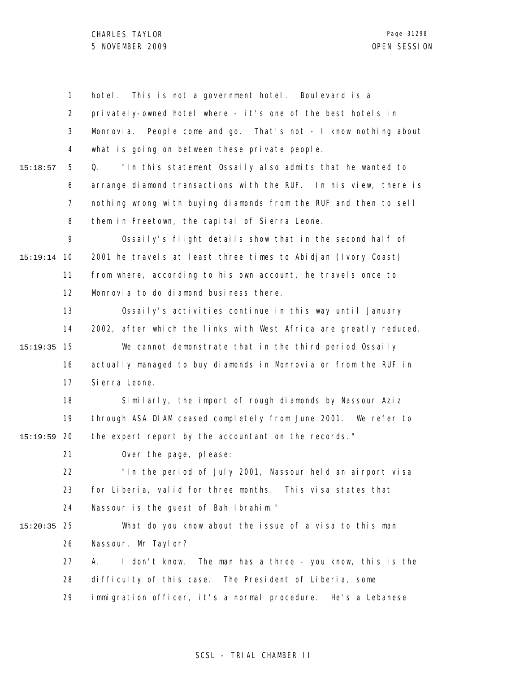|          | $\mathbf{1}$ | This is not a government hotel. Boulevard is a<br>hotel.           |
|----------|--------------|--------------------------------------------------------------------|
|          | 2            | privately-owned hotel where - it's one of the best hotels in       |
|          | 3            | People come and go. That's not - I know nothing about<br>Monrovia. |
|          | 4            | what is going on between these private people.                     |
| 15:18:57 | 5            | "In this statement Ossaily also admits that he wanted to<br>Q.     |
|          | 6            | arrange diamond transactions with the RUF. In his view, there is   |
|          | 7            | nothing wrong with buying diamonds from the RUF and then to sell   |
|          | 8            | them in Freetown, the capital of Sierra Leone.                     |
|          | 9            | Ossaily's flight details show that in the second half of           |
| 15:19:14 | 10           | 2001 he travels at least three times to Abidjan (Ivory Coast)      |
|          | 11           | from where, according to his own account, he travels once to       |
|          | 12           | Monrovia to do diamond business there.                             |
|          | 13           | Ossaily's activities continue in this way until January            |
|          | 14           | 2002, after which the links with West Africa are greatly reduced.  |
| 15:19:35 | 15           | We cannot demonstrate that in the third period Ossaily             |
|          | 16           | actually managed to buy diamonds in Monrovia or from the RUF in    |
|          | 17           | Si erra Leone.                                                     |
|          | 18           | Similarly, the import of rough diamonds by Nassour Aziz            |
|          | 19           | through ASA DIAM ceased completely from June 2001. We refer to     |
| 15:19:59 | 20           | the expert report by the accountant on the records."               |
|          | 21           | Over the page, please:                                             |
|          | 22           | "In the period of July 2001, Nassour held an airport visa          |
|          | 23           | for Liberia, valid for three months. This visa states that         |
|          | 24           | Nassour is the guest of Bah Ibrahim."                              |
| 15:20:35 | 25           | What do you know about the issue of a visa to this man             |
|          | 26           | Nassour, Mr Taylor?                                                |
|          | 27           | I don't know.<br>The man has a three - you know, this is the<br>А. |
|          | 28           | difficulty of this case. The President of Liberia, some            |
|          | 29           | immigration officer, it's a normal procedure. He's a Lebanese      |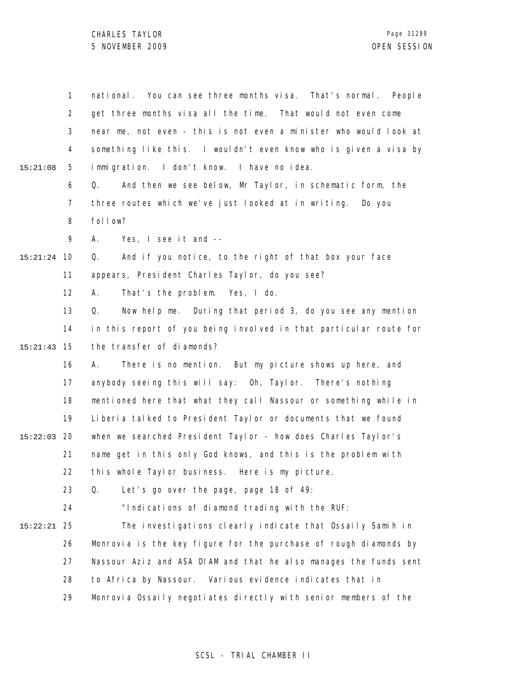CHARLES TAYLOR 5 NOVEMBER 2009 OPEN SESSION

|          | 1              | national. You can see three months visa. That's normal. People    |
|----------|----------------|-------------------------------------------------------------------|
|          | $\overline{2}$ | get three months visa all the time. That would not even come      |
|          | 3              | near me, not even - this is not even a minister who would look at |
|          | 4              | something like this. I wouldn't even know who is given a visa by  |
| 15:21:08 | 5              | immigration. I don't know. I have no idea.                        |
|          | 6              | And then we see below, Mr Taylor, in schematic form, the<br>Q.    |
|          | $\overline{7}$ | three routes which we've just looked at in writing.<br>Do you     |
|          | 8              | follow?                                                           |
|          | 9              | Yes, I see it and --<br>А.                                        |
| 15:21:24 | 10             | And if you notice, to the right of that box your face<br>Q.       |
|          | 11             | appears, President Charles Taylor, do you see?                    |
|          | 12             | That's the problem. Yes, I do.<br>А.                              |
|          | 13             | Now help me. During that period 3, do you see any mention<br>Q.   |
|          | 14             | in this report of you being involved in that particular route for |
| 15:21:43 | 15             | the transfer of diamonds?                                         |
|          | 16             | There is no mention. But my picture shows up here, and<br>А.      |
|          | 17             | anybody seeing this will say: Oh, Taylor. There's nothing         |
|          | 18             | mentioned here that what they call Nassour or something while in  |
|          | 19             | Liberia talked to President Taylor or documents that we found     |
| 15:22:03 | -20            | when we searched President Taylor - how does Charles Taylor's     |
|          | 21             | name get in this only God knows, and this is the problem with     |
|          | 22             | this whole Taylor business. Here is my picture.                   |
|          | 23             | Let's go over the page, page 18 of 49:<br>Q.                      |
|          | 24             | "Indications of diamond trading with the RUF:                     |
| 15:22:21 | 25             | The investigations clearly indicate that Ossaily Samih in         |
|          | 26             | Monrovia is the key figure for the purchase of rough diamonds by  |
|          | 27             | Nassour Aziz and ASA DIAM and that he also manages the funds sent |
|          | 28             | Various evidence indicates that in<br>to Africa by Nassour.       |
|          | 29             | Monrovia Ossaily negotiates directly with senior members of the   |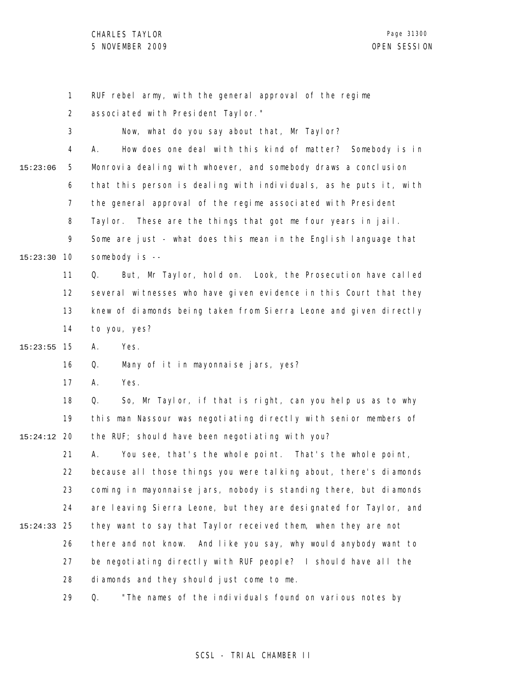CHARLES TAYLOR 5 NOVEMBER 2009 OPEN SESSION

Page 31300

|          | 1              | RUF rebel army, with the general approval of the regime           |
|----------|----------------|-------------------------------------------------------------------|
|          | $\overline{2}$ | associated with President Taylor."                                |
|          | 3              | Now, what do you say about that, Mr Taylor?                       |
|          | 4              | How does one deal with this kind of matter? Somebody is in<br>А.  |
| 15:23:06 | 5              | Monrovia dealing with whoever, and somebody draws a conclusion    |
|          | 6              | that this person is dealing with individuals, as he puts it, with |
|          | $\overline{7}$ | the general approval of the regime associated with President      |
|          | 8              | Taylor. These are the things that got me four years in jail.      |
|          | 9              | Some are just - what does this mean in the English language that  |
| 15:23:30 | 10             | somebody is --                                                    |
|          | 11             | But, Mr Taylor, hold on. Look, the Prosecution have called<br>Q.  |
|          | 12             | several witnesses who have given evidence in this Court that they |
|          | 13             | knew of diamonds being taken from Sierra Leone and given directly |
|          | 14             | to you, yes?                                                      |
| 15:23:55 | 15             | Yes.<br>А.                                                        |
|          | 16             | Many of it in mayonnaise jars, yes?<br>Q.                         |
|          | 17             | Yes.<br>А.                                                        |
|          | 18             | So, Mr Taylor, if that is right, can you help us as to why<br>Q.  |
|          | 19             | this man Nassour was negotiating directly with senior members of  |
| 15:24:12 | 20             | the RUF; should have been negotiating with you?                   |
|          | 21             | You see, that's the whole point. That's the whole point,<br>А.    |
|          | 22             | because all those things you were talking about, there's diamonds |
|          | 23             | coming in mayonnaise jars, nobody is standing there, but diamonds |
|          | 24             | are leaving Sierra Leone, but they are designated for Taylor, and |
| 15:24:33 | 25             | they want to say that Taylor received them, when they are not     |
|          | 26             | there and not know. And like you say, why would anybody want to   |
|          | 27             | be negotiating directly with RUF people? I should have all the    |
|          | 28             | diamonds and they should just come to me.                         |
|          | 29             | "The names of the individuals found on various notes by<br>Q.     |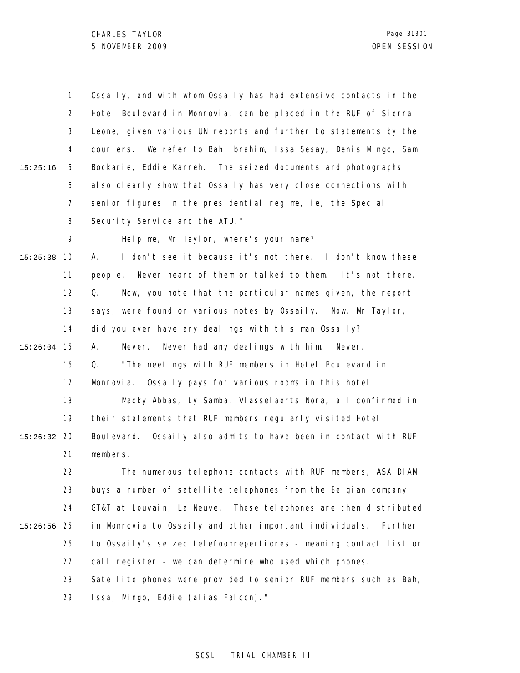1 2 3 4 5 6 7 8 9 10 15:25:38 11 12 13 14 15 15:26:04 16 17 18 19 20 15:26:32 21 22 23 24 25 15:26:56 26 27 28 29 15:25:16 Ossaily, and with whom Ossaily has had extensive contacts in the Hotel Boulevard in Monrovia, can be placed in the RUF of Sierra Leone, given various UN reports and further to statements by the couriers. We refer to Bah Ibrahim, Issa Sesay, Denis Mingo, Sam Bockarie, Eddie Kanneh. The seized documents and photographs also clearly show that Ossaily has very close connections with senior figures in the presidential regime, ie, the Special Security Service and the ATU." Help me, Mr Taylor, where's your name? A. I don't see it because it's not there. I don't know these people. Never heard of them or talked to them. It's not there. Q. Now, you note that the particular names given, the report says, were found on various notes by Ossaily. Now, Mr Taylor, did you ever have any dealings with this man Ossaily? A. Never. Never had any dealings with him. Never. Q. "The meetings with RUF members in Hotel Boulevard in Monrovia. Ossaily pays for various rooms in this hotel. Macky Abbas, Ly Samba, Vlasselaerts Nora, all confirmed in their statements that RUF members regularly visited Hotel Boulevard. Ossaily also admits to have been in contact with RUF members. The numerous telephone contacts with RUF members, ASA DIAM buys a number of satellite telephones from the Belgian company GT&T at Louvain, La Neuve. These telephones are then distributed in Monrovia to Ossaily and other important individuals. Further to Ossaily's seized telefoonrepertiores - meaning contact list or call register - we can determine who used which phones. Satellite phones were provided to senior RUF members such as Bah, Issa, Mingo, Eddie (alias Falcon)."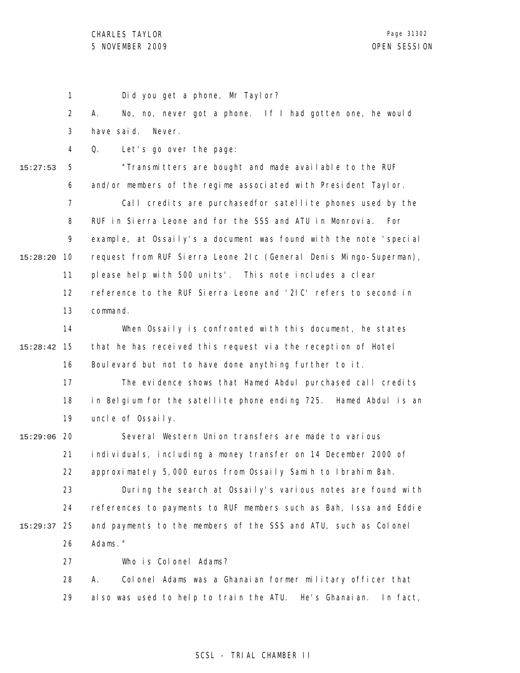1 2 3 4 5 6 7 8 9 10 15:28:20 11 12 13 14 15 15:28:42 16 17 18 19 20 15:29:06 21 22 23 24 25 15:29:37 26 27 28 29 15:27:53 Did you get a phone, Mr Taylor? A. No, no, never got a phone. If I had gotten one, he would have said. Never. Q. Let's go over the page: "Transmitters are bought and made available to the RUF and/or members of the regime associated with President Taylor. Call credits are purchasedfor satellite phones used by the RUF in Sierra Leone and for the SSS and ATU in Monrovia. For example, at Ossaily's a document was found with the note 'special request from RUF Sierra Leone 2Ic (General Denis Mingo-Superman), please help with 500 units'. This note includes a clear reference to the RUF Sierra Leone and '2IC' refers to second in command. When Ossaily is confronted with this document, he states that he has received this request via the reception of Hotel Boulevard but not to have done anything further to it. The evidence shows that Hamed Abdul purchased call credits in Belgium for the satellite phone ending 725. Hamed Abdul is an uncle of Ossaily. Several Western Union transfers are made to various individuals, including a money transfer on 14 December 2000 of approximately 5,000 euros from Ossaily Samih to Ibrahim Bah. During the search at Ossaily's various notes are found with references to payments to RUF members such as Bah, Issa and Eddie and payments to the members of the SSS and ATU, such as Colonel Adams." Who is Colonel Adams? A. Colonel Adams was a Ghanaian former military officer that also was used to help to train the ATU. He's Ghanaian. In fact,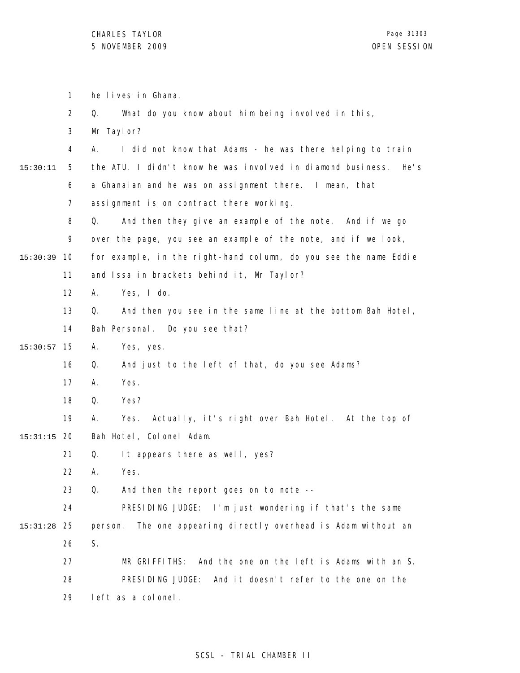1 he lives in Ghana.

|          | $\overline{2}$ | What do you know about him being involved in this,<br>Q.            |
|----------|----------------|---------------------------------------------------------------------|
|          | 3              | Mr Taylor?                                                          |
|          | 4              | I did not know that Adams - he was there helping to train<br>Α.     |
| 15:30:11 | 5              | the ATU. I didn't know he was involved in diamond business.<br>He's |
|          | 6              | a Ghanaian and he was on assignment there. I mean, that             |
|          | 7              | assignment is on contract there working.                            |
|          | 8              | And then they give an example of the note. And if we go<br>Q.       |
|          | 9              | over the page, you see an example of the note, and if we look,      |
| 15:30:39 | 10             | for example, in the right-hand column, do you see the name Eddie    |
|          | 11             | and Issa in brackets behind it, Mr Taylor?                          |
|          | 12             | Yes, I do.<br>А.                                                    |
|          | 13             | And then you see in the same line at the bottom Bah Hotel,<br>Q.    |
|          | 14             | Bah Personal. Do you see that?                                      |
| 15:30:57 | 15             | Α.<br>Yes, yes.                                                     |
|          | 16             | And just to the left of that, do you see Adams?<br>Q.               |
|          | 17             | Yes.<br>А.                                                          |
|          | 18             | Yes?<br>Q.                                                          |
|          | 19             | Actually, it's right over Bah Hotel. At the top of<br>А.<br>Yes.    |
| 15:31:15 | 20             | Bah Hotel, Colonel Adam.                                            |
|          | 21             | Q.<br>It appears there as well, yes?                                |
|          | 22             | Yes.<br>А.                                                          |
|          | 23             | Q.<br>And then the report goes on to note --                        |
|          | 24             | PRESIDING JUDGE: I'm just wondering if that's the same              |
| 15:31:28 | 25             | The one appearing directly overhead is Adam without an<br>person.   |
|          | 26             | S.                                                                  |
|          | 27             | MR GRIFFITHS:<br>And the one on the left is Adams with an S.        |
|          | 28             | PRESIDING JUDGE:<br>And it doesn't refer to the one on the          |
|          | 29             | left as a colonel.                                                  |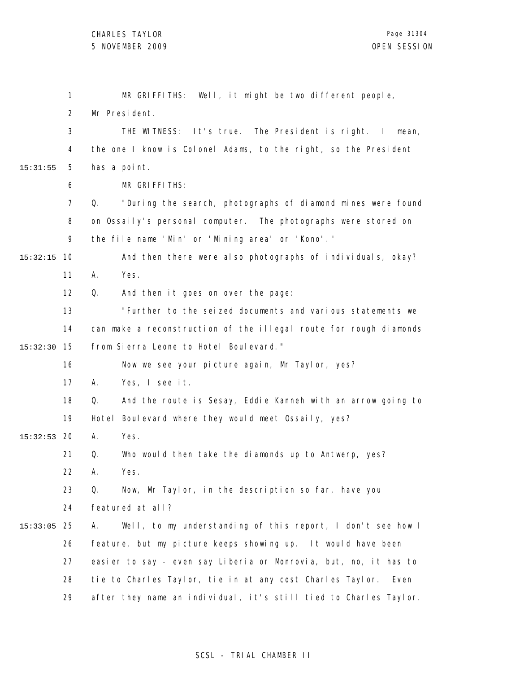|          | 1              | MR GRIFFITHS: Well, it might be two different people,             |
|----------|----------------|-------------------------------------------------------------------|
|          | $\overline{2}$ | Mr President.                                                     |
|          | 3              | THE WITNESS: It's true. The President is right. I mean,           |
|          | 4              | the one I know is Colonel Adams, to the right, so the President   |
| 15:31:55 | 5              | has a point.                                                      |
|          | 6              | MR GRIFFITHS:                                                     |
|          | $\overline{7}$ | "During the search, photographs of diamond mines were found<br>Q. |
|          | 8              | on Ossaily's personal computer. The photographs were stored on    |
|          | 9              | the file name 'Min' or 'Mining area' or 'Kono'."                  |
| 15:32:15 | 10             | And then there were also photographs of individuals, okay?        |
|          | 11             | Yes.<br>А.                                                        |
|          | 12             | And then it goes on over the page:<br>Q.                          |
|          | 13             | "Further to the seized documents and various statements we        |
|          | 14             | can make a reconstruction of the illegal route for rough diamonds |
| 15:32:30 | 15             | from Sierra Leone to Hotel Boulevard."                            |
|          | 16             | Now we see your picture again, Mr Taylor, yes?                    |
|          | 17             | Yes, I see it.<br>А.                                              |
|          | 18             | Q.<br>And the route is Sesay, Eddie Kanneh with an arrow going to |
|          | 19             | Hotel Boulevard where they would meet Ossaily, yes?               |
| 15:32:53 | -20            | Yes.<br>А.                                                        |
|          | 21             | Who would then take the diamonds up to Antwerp, yes?<br>Q.        |
|          | 22             | А.<br>Yes.                                                        |
|          | 23             | Now, Mr Taylor, in the description so far, have you<br>Q.         |
|          | 24             | featured at all?                                                  |
| 15:33:05 | 25             | Well, to my understanding of this report, I don't see how I<br>Α. |
|          | 26             | feature, but my picture keeps showing up. It would have been      |
|          | 27             | easier to say - even say Liberia or Monrovia, but, no, it has to  |
|          | 28             | tie to Charles Taylor, tie in at any cost Charles Taylor.<br>Even |
|          | 29             | after they name an individual, it's still tied to Charles Taylor. |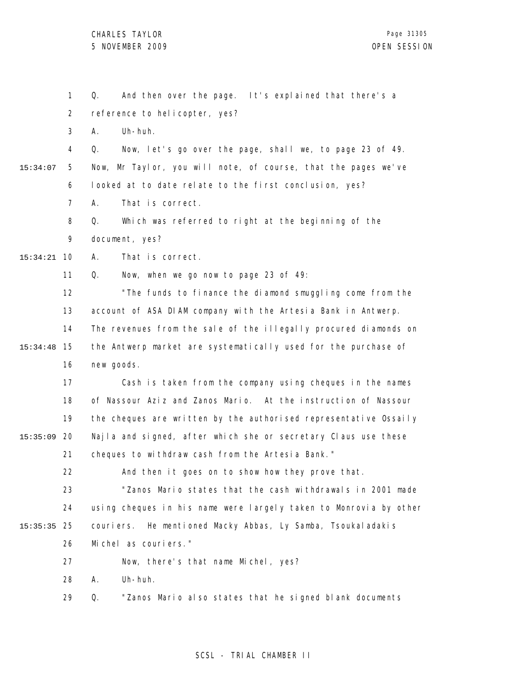1 2 3 4 5 6 7 8 9 10 15:34:21 11 12 13 14 15 15:34:48 16 17 18 19 20 15:35:09 21 22 23 24 25 15:35:35 26 27 28 29 15:34:07 Q. And then over the page. It's explained that there's a reference to helicopter, yes? A. Uh-huh. Q. Now, let's go over the page, shall we, to page 23 of 49. Now, Mr Taylor, you will note, of course, that the pages we've looked at to date relate to the first conclusion, yes? A. That is correct. Q. Which was referred to right at the beginning of the document, yes? A. That is correct. Q. Now, when we go now to page 23 of 49: "The funds to finance the diamond smuggling come from the account of ASA DIAM company with the Artesia Bank in Antwerp. The revenues from the sale of the illegally procured diamonds on the Antwerp market are systematically used for the purchase of new goods. Cash is taken from the company using cheques in the names of Nassour Aziz and Zanos Mario. At the instruction of Nassour the cheques are written by the authorised representative Ossaily Najla and signed, after which she or secretary Claus use these cheques to withdraw cash from the Artesia Bank." And then it goes on to show how they prove that. "Zanos Mario states that the cash withdrawals in 2001 made using cheques in his name were largely taken to Monrovia by other couriers. He mentioned Macky Abbas, Ly Samba, Tsoukaladakis Michel as couriers." Now, there's that name Michel, yes? A. Uh-huh. Q. "Zanos Mario also states that he signed blank documents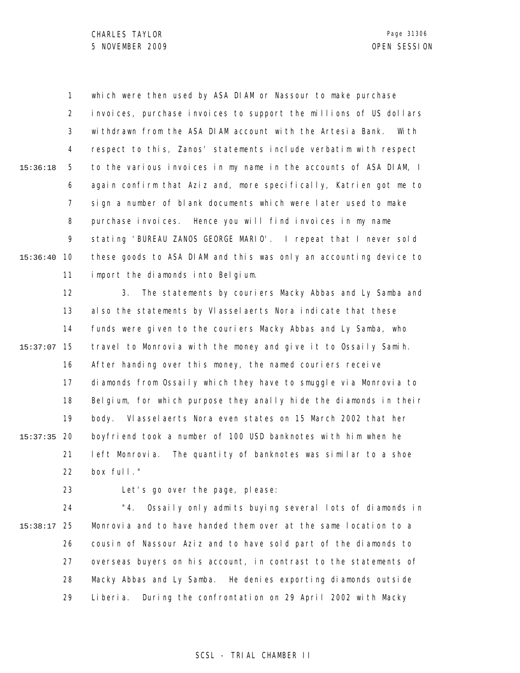1 2 3 4 5 6 7 8 9 10 15:36:40 11 15:36:18 which were then used by ASA DIAM or Nassour to make purchase invoices, purchase invoices to support the millions of US dollars withdrawn from the ASA DIAM account with the Artesia Bank. With respect to this, Zanos' statements include verbatim with respect to the various invoices in my name in the accounts of ASA DIAM, I again confirm that Aziz and, more specifically, Katrien got me to sign a number of blank documents which were later used to make purchase invoices. Hence you will find invoices in my name stating 'BUREAU ZANOS GEORGE MARIO'. I repeat that I never sold these goods to ASA DIAM and this was only an accounting device to import the diamonds into Belgium.

12 13 14 15 15:37:07 16 17 18 19 20 15:37:35 21 22 3. The statements by couriers Macky Abbas and Ly Samba and also the statements by Vlasselaerts Nora indicate that these funds were given to the couriers Macky Abbas and Ly Samba, who travel to Monrovia with the money and give it to Ossaily Samih. After handing over this money, the named couriers receive diamonds from Ossaily which they have to smuggle via Monrovia to Belgium, for which purpose they anally hide the diamonds in their body. Vlasselaerts Nora even states on 15 March 2002 that her boyfriend took a number of 100 USD banknotes with him when he left Monrovia. The quantity of banknotes was similar to a shoe box full."

23

Let's go over the page, please:

24 25 15:38:17 26 27 28 29 "4. Ossaily only admits buying several lots of diamonds in Monrovia and to have handed them over at the same location to a cousin of Nassour Aziz and to have sold part of the diamonds to overseas buyers on his account, in contrast to the statements of Macky Abbas and Ly Samba. He denies exporting diamonds outside Liberia. During the confrontation on 29 April 2002 with Macky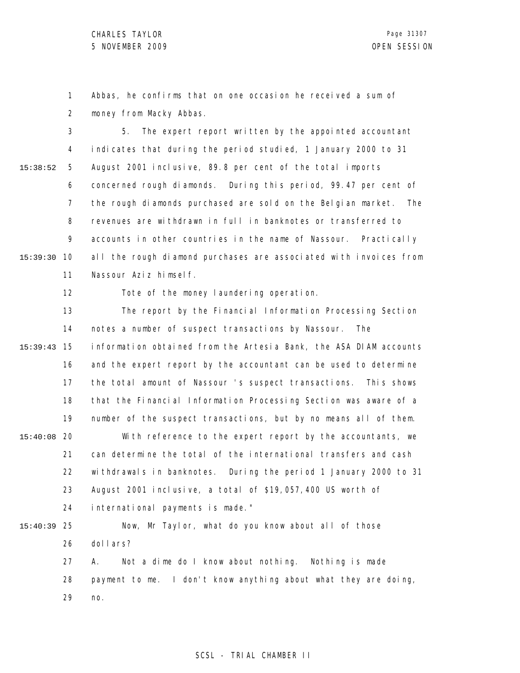1 2 Abbas, he confirms that on one occasion he received a sum of money from Macky Abbas.

3 4 5 6 7 8 9 10 15:39:30 11 15:38:52 5. The expert report written by the appointed accountant indicates that during the period studied, 1 January 2000 to 31 August 2001 inclusive, 89.8 per cent of the total imports concerned rough diamonds. During this period, 99.47 per cent of the rough diamonds purchased are sold on the Belgian market. The revenues are withdrawn in full in banknotes or transferred to accounts in other countries in the name of Nassour. Practically all the rough diamond purchases are associated with invoices from Nassour Aziz himself.

> 12 Tote of the money laundering operation.

13 14 15 15:39:43 16 17 18 19 20 15:40:08 21 22 23 24 25 15:40:39 26 27 28 The report by the Financial Information Processing Section notes a number of suspect transactions by Nassour. The information obtained from the Artesia Bank, the ASA DIAM accounts and the expert report by the accountant can be used to determine the total amount of Nassour 's suspect transactions. This shows that the Financial Information Processing Section was aware of a number of the suspect transactions, but by no means all of them. With reference to the expert report by the accountants, we can determine the total of the international transfers and cash withdrawals in banknotes. During the period 1 January 2000 to 31 August 2001 inclusive, a total of \$19,057,400 US worth of international payments is made." Now, Mr Taylor, what do you know about all of those dollars? A. Not a dime do I know about nothing. Nothing is made payment to me. I don't know anything about what they are doing,

> 29 no.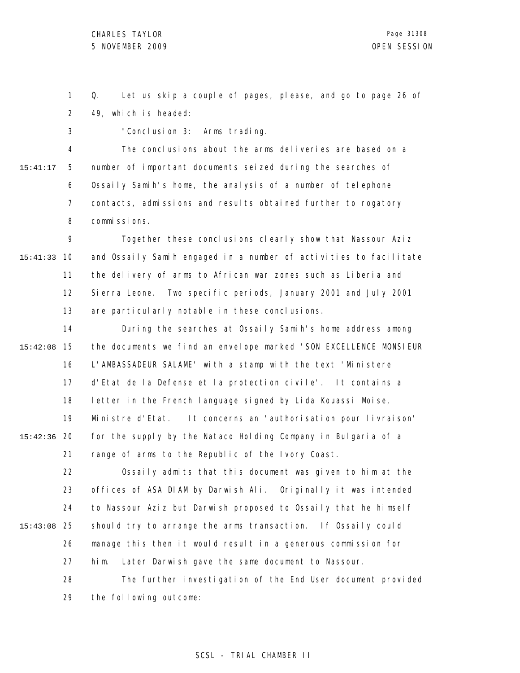3

1 2 Q. Let us skip a couple of pages, please, and go to page 26 of 49, which is headed:

4 5 6 7 8 15:41:17 The conclusions about the arms deliveries are based on a number of important documents seized during the searches of Ossaily Samih's home, the analysis of a number of telephone contacts, admissions and results obtained further to rogatory commissions.

"Conclusion 3: Arms trading.

9 10 15:41:33 11 12 13 Together these conclusions clearly show that Nassour Aziz and Ossaily Samih engaged in a number of activities to facilitate the delivery of arms to African war zones such as Liberia and Sierra Leone. Two specific periods, January 2001 and July 2001 are particularly notable in these conclusions.

14 15 15:42:08 16 17 18 19 20 15:42:36 21 During the searches at Ossaily Samih's home address among the documents we find an envelope marked 'SON EXCELLENCE MONSIEUR L'AMBASSADEUR SALAME' with a stamp with the text 'Ministere d'Etat de la Defense et la protection civile'. It contains a letter in the French language signed by Lida Kouassi Moise, Ministre d'Etat. It concerns an 'authorisation pour livraison' for the supply by the Nataco Holding Company in Bulgaria of a range of arms to the Republic of the Ivory Coast.

22 23 24 25 15:43:08 26 27 28 Ossaily admits that this document was given to him at the offices of ASA DIAM by Darwish Ali. Originally it was intended to Nassour Aziz but Darwish proposed to Ossaily that he himself should try to arrange the arms transaction. If Ossaily could manage this then it would result in a generous commission for him. Later Darwish gave the same document to Nassour. The further investigation of the End User document provided

29 the following outcome: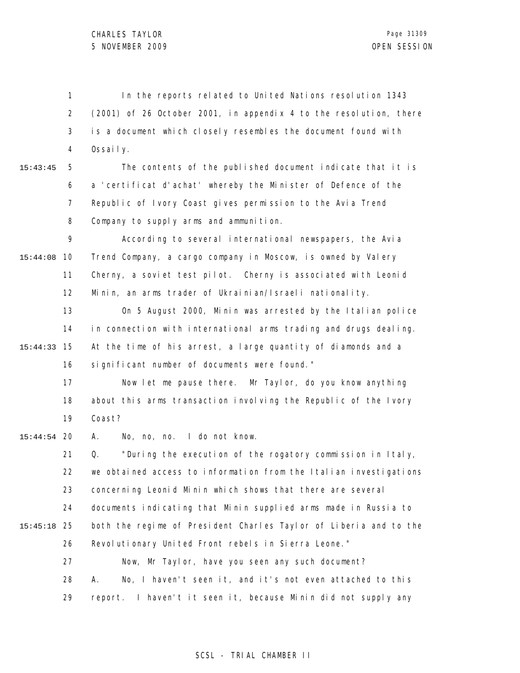1 2 3 4 In the reports related to United Nations resolution 1343 (2001) of 26 October 2001, in appendix 4 to the resolution, there is a document which closely resembles the document found with Ossaily.

15:43:45

5 6 7 8 The contents of the published document indicate that it is a 'certificat d'achat' whereby the Minister of Defence of the Republic of Ivory Coast gives permission to the Avia Trend Company to supply arms and ammunition.

9 10 15:44:08 11 12 According to several international newspapers, the Avia Trend Company, a cargo company in Moscow, is owned by Valery Cherny, a soviet test pilot. Cherny is associated with Leonid Minin, an arms trader of Ukrainian/Israeli nationality.

13 14 15 15:44:33 16 On 5 August 2000, Minin was arrested by the Italian police in connection with international arms trading and drugs dealing. At the time of his arrest, a large quantity of diamonds and a significant number of documents were found."

17 18 19 Now let me pause there. Mr Taylor, do you know anything about this arms transaction involving the Republic of the Ivory Coast?

20 15:44:54 A. No, no, no. I do not know.

21 22 23 24 25 15:45:18 26 27 28 29 Q. "During the execution of the rogatory commission in Italy, we obtained access to information from the Italian investigations concerning Leonid Minin which shows that there are several documents indicating that Minin supplied arms made in Russia to both the regime of President Charles Taylor of Liberia and to the Revolutionary United Front rebels in Sierra Leone." Now, Mr Taylor, have you seen any such document? A. No, I haven't seen it, and it's not even attached to this report. I haven't it seen it, because Minin did not supply any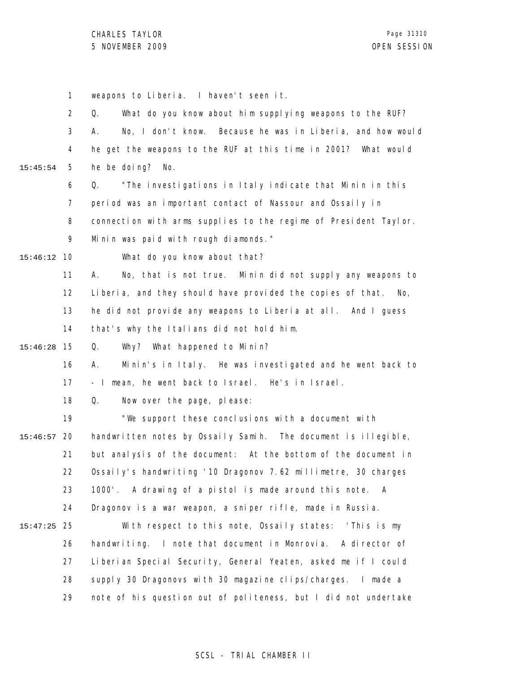1 2 3 4 5 6 7 8 9 10 15:46:12 11 12 13 14 15 15:46:28 16 17 18 19 20 15:46:57 21 22 23 24 25 15:47:25 26 27 28 29 15:45:54 weapons to Liberia. I haven't seen it. Q. What do you know about him supplying weapons to the RUF? A. No, I don't know. Because he was in Liberia, and how would he get the weapons to the RUF at this time in 2001? What would he be doing? No. Q. "The investigations in Italy indicate that Minin in this period was an important contact of Nassour and Ossaily in connection with arms supplies to the regime of President Taylor. Minin was paid with rough diamonds." What do you know about that? A. No, that is not true. Minin did not supply any weapons to Liberia, and they should have provided the copies of that. No, he did not provide any weapons to Liberia at all. And I guess that's why the Italians did not hold him. Q. Why? What happened to Minin? A. Minin's in Italy. He was investigated and he went back to - I mean, he went back to Israel. He's in Israel. Q. Now over the page, please: "We support these conclusions with a document with handwritten notes by Ossaily Samih. The document is illegible, but analysis of the document: At the bottom of the document in Ossaily's handwriting '10 Dragonov 7.62 millimetre, 30 charges 1000'. A drawing of a pistol is made around this note. A Dragonov is a war weapon, a sniper rifle, made in Russia. With respect to this note, Ossaily states: 'This is my handwriting. I note that document in Monrovia. A director of Liberian Special Security, General Yeaten, asked me if I could supply 30 Dragonovs with 30 magazine clips/charges. I made a note of his question out of politeness, but I did not undertake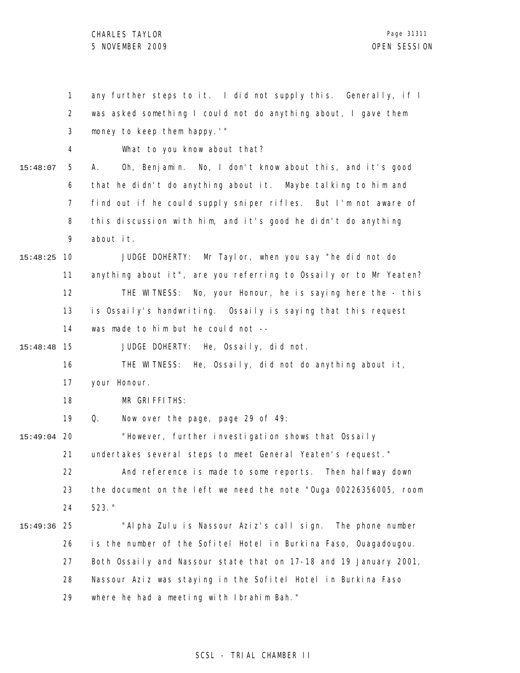CHARLES TAYLOR 5 NOVEMBER 2009 OPEN SESSION

|               | $\mathbf{1}$   | any further steps to it. I did not supply this. Generally, if I   |
|---------------|----------------|-------------------------------------------------------------------|
|               | 2              | was asked something I could not do anything about, I gave them    |
|               | 3              | money to keep them happy.'"                                       |
|               | 4              | What to you know about that?                                      |
| 15:48:07      | 5              | Oh, Benjamin. No, I don't know about this, and it's good<br>А.    |
|               | 6              | that he didn't do anything about it. Maybe talking to him and     |
|               | $\overline{7}$ | find out if he could supply sniper rifles. But I'm not aware of   |
|               | 8              | this discussion with him, and it's good he didn't do anything     |
|               | 9              | about it.                                                         |
| 15:48:25      | 10             | Mr Taylor, when you say "he did not do<br>JUDGE DOHERTY:          |
|               | 11             | anything about it", are you referring to Ossaily or to Mr Yeaten? |
|               | 12             | THE WITNESS: No, your Honour, he is saying here the - this        |
|               | 13             | is Ossaily's handwriting. Ossaily is saying that this request     |
|               | 14             | was made to him but he could not --                               |
| 15:48:48      | 15             | JUDGE DOHERTY: He, Ossaily, did not.                              |
|               | 16             | THE WITNESS: He, Ossaily, did not do anything about it,           |
|               | 17             | your Honour.                                                      |
|               | 18             | MR GRIFFITHS:                                                     |
|               | 19             | Now over the page, page 29 of 49:<br>Q.                           |
| $15:49:04$ 20 |                | "However, further investigation shows that Ossaily                |
|               | 21             | undertakes several steps to meet General Yeaten's request."       |
|               | 22             | And reference is made to some reports. Then halfway down          |
|               | 23             | the document on the left we need the note "Ouga 00226356005, room |
|               | 24             | 523. "                                                            |
| 15:49:36      | 25             | "Alpha Zulu is Nassour Aziz's call sign. The phone number         |
|               | 26             | is the number of the Sofitel Hotel in Burkina Faso, Ouagadougou.  |
|               | 27             | Both Ossaily and Nassour state that on 17-18 and 19 January 2001, |
|               | 28             | Nassour Aziz was staying in the Sofitel Hotel in Burkina Faso     |
|               | 29             | where he had a meeting with Ibrahim Bah."                         |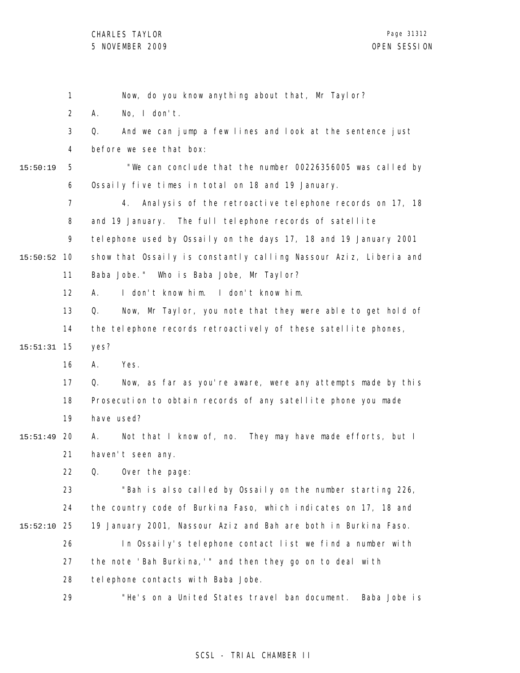|          | 1              | Now, do you know anything about that, Mr Taylor?                  |
|----------|----------------|-------------------------------------------------------------------|
|          | $\overline{2}$ | No, $I$ don't.<br>А.                                              |
|          | 3              | And we can jump a few lines and look at the sentence just<br>Q.   |
|          | 4              | before we see that box:                                           |
| 15:50:19 | 5              | "We can conclude that the number 00226356005 was called by        |
|          | 6              | Ossaily five times in total on 18 and 19 January.                 |
|          | $\overline{7}$ | Analysis of the retroactive telephone records on 17, 18<br>4.     |
|          | 8              | and 19 January. The full telephone records of satellite           |
|          | 9              | telephone used by Ossaily on the days 17, 18 and 19 January 2001  |
| 15:50:52 | 10             | show that Ossaily is constantly calling Nassour Aziz, Liberia and |
|          | 11             | Baba Jobe." Who is Baba Jobe, Mr Taylor?                          |
|          | 12             | I don't know him. I don't know him.<br>А.                         |
|          | 13             | Now, Mr Taylor, you note that they were able to get hold of<br>Q. |
|          | 14             | the telephone records retroactively of these satellite phones,    |
| 15:51:31 | 15             | yes?                                                              |
|          | 16             | Yes.<br>А.                                                        |
|          | 17             | Now, as far as you're aware, were any attempts made by this<br>Q. |
|          | 18             | Prosecution to obtain records of any satellite phone you made     |
|          | 19             | have used?                                                        |
| 15:51:49 | 20             | Not that I know of, no. They may have made efforts, but I<br>А.   |
|          | 21             | haven't seen any.                                                 |
|          | 22             | Q. Over the page:                                                 |
|          | 23             | "Bah is also called by Ossaily on the number starting 226,        |
|          | 24             | the country code of Burkina Faso, which indicates on 17, 18 and   |
| 15:52:10 | 25             | 19 January 2001, Nassour Aziz and Bah are both in Burkina Faso.   |
|          | 26             | In Ossaily's telephone contact list we find a number with         |
|          | 27             | the note 'Bah Burkina,'" and then they go on to deal with         |
|          | 28             | tel ephone contacts with Baba Jobe.                               |
|          | 29             | "He's on a United States travel ban document.<br>Baba Jobe is     |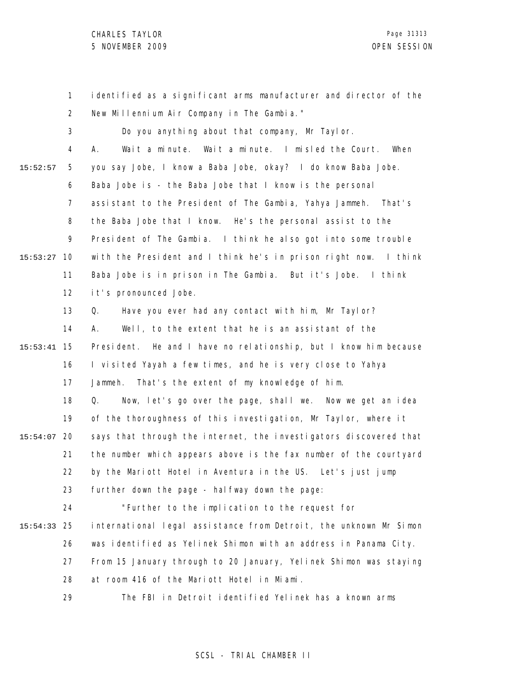1 2 3 4 5 6 7 8 9 10 15:53:27 11 12 13 14 15 15:53:41 16 17 18 19 20 15:54:07 21 22 23 24 25 15:54:33 26 27 28 29 15:52:57 identified as a significant arms manufacturer and director of the New Millennium Air Company in The Gambia." Do you anything about that company, Mr Taylor. A. Wait a minute. Wait a minute. I misled the Court. When you say Jobe, I know a Baba Jobe, okay? I do know Baba Jobe. Baba Jobe is - the Baba Jobe that I know is the personal assistant to the President of The Gambia, Yahya Jammeh. That's the Baba Jobe that I know. He's the personal assist to the President of The Gambia. I think he also got into some trouble with the President and I think he's in prison right now. I think Baba Jobe is in prison in The Gambia. But it's Jobe. I think it's pronounced Jobe. Q. Have you ever had any contact with him, Mr Taylor? A. Well, to the extent that he is an assistant of the President. He and I have no relationship, but I know him because I visited Yayah a few times, and he is very close to Yahya Jammeh. That's the extent of my knowledge of him. Q. Now, let's go over the page, shall we. Now we get an idea of the thoroughness of this investigation, Mr Taylor, where it says that through the internet, the investigators discovered that the number which appears above is the fax number of the courtyard by the Mariott Hotel in Aventura in the US. Let's just jump further down the page - hal fway down the page: "Further to the implication to the request for international legal assistance from Detroit, the unknown Mr Simon was identified as Yelinek Shimon with an address in Panama City. From 15 January through to 20 January, Yelinek Shimon was staying at room 416 of the Mariott Hotel in Miami. The FBI in Detroit identified Yelinek has a known arms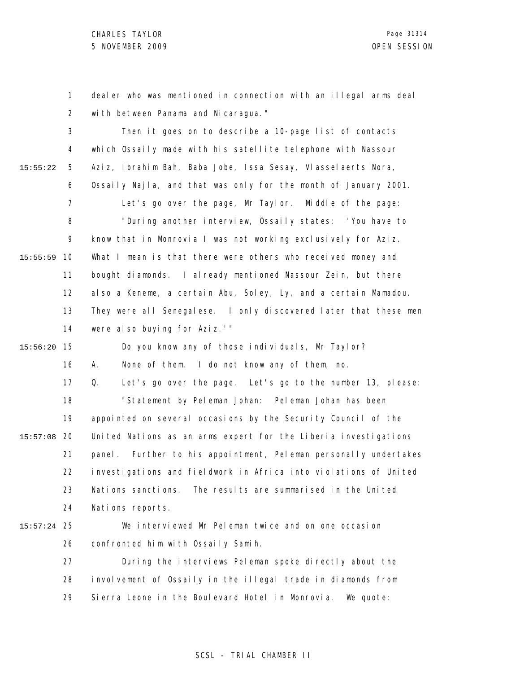1 2 dealer who was mentioned in connection with an illegal arms deal with between Panama and Nicaragua."

3 4 5 6 7 8 9 10 15:55:59 11 12 13 14 15 15:56:20 16 17 18 19 20 15:57:08 21 22 23 24 25 15:57:24 26 27 28 29 15:55:22 Then it goes on to describe a 10-page list of contacts which Ossaily made with his satellite telephone with Nassour Aziz, Ibrahim Bah, Baba Jobe, Issa Sesay, Vlasselaerts Nora, Ossaily Najla, and that was only for the month of January 2001. Let's go over the page, Mr Taylor. Middle of the page: "During another interview, Ossaily states: 'You have to know that in Monrovia I was not working exclusively for Aziz. What I mean is that there were others who received money and bought diamonds. I already mentioned Nassour Zein, but there also a Keneme, a certain Abu, Soley, Ly, and a certain Mamadou. They were all Senegalese. I only discovered later that these men were also buying for Aziz.'" Do you know any of those individuals, Mr Taylor? A. None of them. I do not know any of them, no. Q. Let's go over the page. Let's go to the number 13, please: "Statement by Peleman Johan: Peleman Johan has been appointed on several occasions by the Security Council of the United Nations as an arms expert for the Liberia investigations panel. Further to his appointment, Peleman personally undertakes investigations and fieldwork in Africa into violations of United Nations sanctions. The results are summarised in the United Nations reports. We interviewed Mr Peleman twice and on one occasion confronted him with Ossaily Samih. During the interviews Peleman spoke directly about the involvement of Ossaily in the illegal trade in diamonds from Sierra Leone in the Boulevard Hotel in Monrovia. We quote: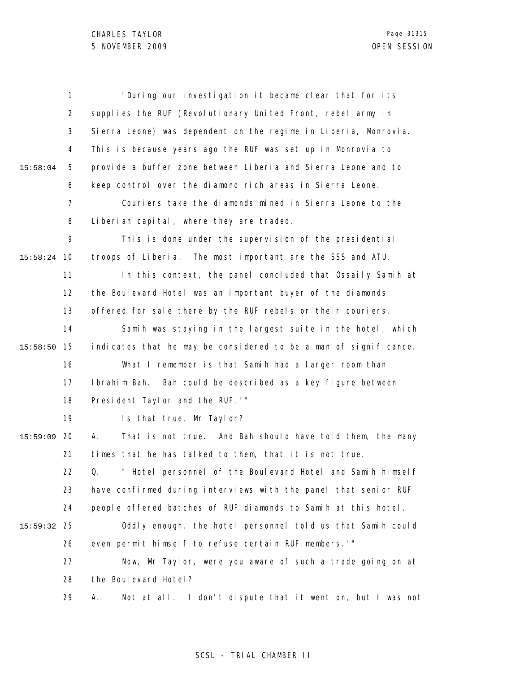|          | $\mathbf{1}$   | 'During our investigation it became clear that for its           |
|----------|----------------|------------------------------------------------------------------|
|          | 2              | supplies the RUF (Revolutionary United Front, rebel army in      |
|          | 3              | Sierra Leone) was dependent on the regime in Liberia, Monrovia.  |
|          | 4              | This is because years ago the RUF was set up in Monrovia to      |
| 15:58:04 | 5              | provide a buffer zone between Liberia and Sierra Leone and to    |
|          | 6              | keep control over the diamond rich areas in Sierra Leone.        |
|          | $\overline{7}$ | Couriers take the diamonds mined in Sierra Leone to the          |
|          | 8              | Liberian capital, where they are traded.                         |
|          | 9              | This is done under the supervision of the presidential           |
| 15:58:24 | 10             | troops of Liberia. The most important are the SSS and ATU.       |
|          | 11             | In this context, the panel concluded that Ossaily Samih at       |
|          | 12             | the Boulevard Hotel was an important buyer of the diamonds       |
|          | 13             | offered for sale there by the RUF rebels or their couriers.      |
|          | 14             | Samih was staying in the largest suite in the hotel, which       |
| 15:58:50 | 15             | indicates that he may be considered to be a man of significance. |
|          | 16             | What I remember is that Samih had a larger room than             |
|          | 17             | Ibrahim Bah.<br>Bah could be described as a key figure between   |
|          | 18             | President Taylor and the RUF.'"                                  |
|          | 19             | Is that true, Mr Taylor?                                         |
| 15:59:09 | 20             | Α.<br>That is not true. And Bah should have told them, the many  |
|          | 21             | times that he has talked to them, that it is not true.           |
|          | 22             | "'Hotel personnel of the Boulevard Hotel and Samih himself<br>Q. |
|          | 23             | have confirmed during interviews with the panel that senior RUF  |
|          | 24             | people offered batches of RUF diamonds to Samih at this hotel.   |
| 15:59:32 | 25             | Oddly enough, the hotel personnel told us that Samih could       |
|          | 26             | even permit himself to refuse certain RUF members.'"             |
|          | 27             | Now, Mr Taylor, were you aware of such a trade going on at       |
|          | 28             | the Boulevard Hotel?                                             |
|          | 29             | Not at all. I don't dispute that it went on, but I was not<br>Α. |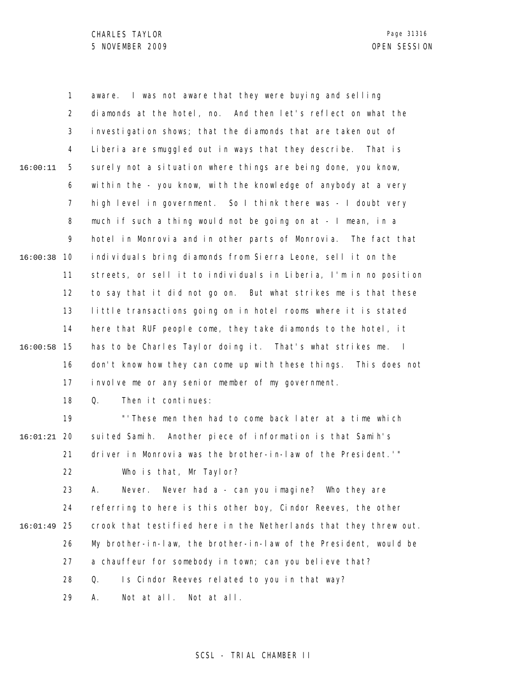1 2 3 4 5 6 7 8 9 10 16:00:38 11 12 13 14 15 16:00:58 16 17 18 19 20 16:01:21 21 22 23 24 25 16:01:49 26 27 28 29 16:00:11 aware. I was not aware that they were buying and selling diamonds at the hotel, no. And then let's reflect on what the investigation shows; that the diamonds that are taken out of Liberia are smuggled out in ways that they describe. That is surely not a situation where things are being done, you know, within the - you know, with the knowledge of anybody at a very high level in government. So I think there was - I doubt very much if such a thing would not be going on at - I mean, in a hotel in Monrovia and in other parts of Monrovia. The fact that individuals bring diamonds from Sierra Leone, sell it on the streets, or sell it to individuals in Liberia, I'm in no position to say that it did not go on. But what strikes me is that these little transactions going on in hotel rooms where it is stated here that RUF people come, they take diamonds to the hotel, it has to be Charles Taylor doing it. That's what strikes me. I don't know how they can come up with these things. This does not involve me or any senior member of my government. Q. Then it continues: "'These men then had to come back later at a time which suited Samih. Another piece of information is that Samih's driver in Monrovia was the brother-in-law of the President.'" Who is that, Mr Taylor? A. Never. Never had a - can you imagine? Who they are referring to here is this other boy, Cindor Reeves, the other crook that testified here in the Netherlands that they threw out. My brother-in-law, the brother-in-law of the President, would be a chauffeur for somebody in town; can you believe that? Q. Is Cindor Reeves related to you in that way? A. Not at all. Not at all.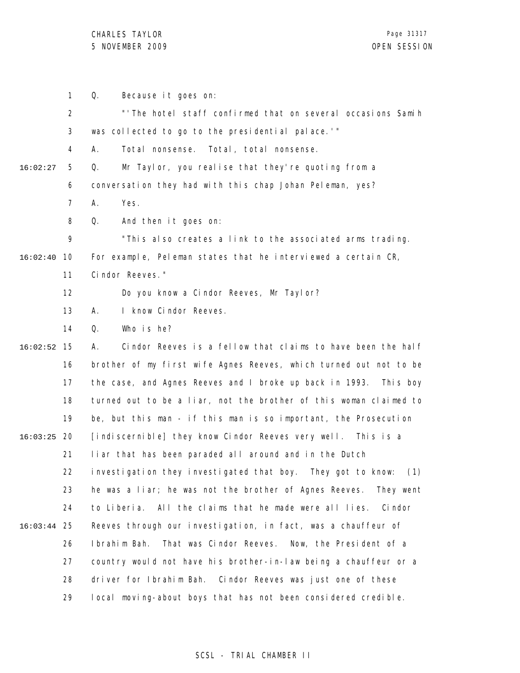1 Q. Because it goes on:

2 3 4 5 6 7 8 9 10 16:02:40 11 12 13 14 15 16:02:52 16 17 18 19 20 16:03:25 21 22 23 24 25 16:03:44 26 27 28 29 16:02:27 "'The hotel staff confirmed that on several occasions Samih was collected to go to the presidential palace.'" A. Total nonsense. Total, total nonsense. Q. Mr Taylor, you realise that they're quoting from a conversation they had with this chap Johan Peleman, yes? A. Yes. Q. And then it goes on: "This also creates a link to the associated arms trading. For example, Peleman states that he interviewed a certain CR, Cindor Reeves." Do you know a Cindor Reeves, Mr Taylor? A. I know Cindor Reeves. Q. Who is he? A. Cindor Reeves is a fellow that claims to have been the half brother of my first wife Agnes Reeves, which turned out not to be the case, and Agnes Reeves and I broke up back in 1993. This boy turned out to be a liar, not the brother of this woman claimed to be, but this man - if this man is so important, the Prosecution [indiscernible] they know Cindor Reeves very well. This is a liar that has been paraded all around and in the Dutch investigation they investigated that boy. They got to know: (1) he was a liar; he was not the brother of Agnes Reeves. They went to Liberia. All the claims that he made were all lies. Cindor Reeves through our investigation, in fact, was a chauffeur of Ibrahim Bah. That was Cindor Reeves. Now, the President of a country would not have his brother-in-law being a chauffeur or a driver for Ibrahim Bah. Cindor Reeves was just one of these local moving-about boys that has not been considered credible.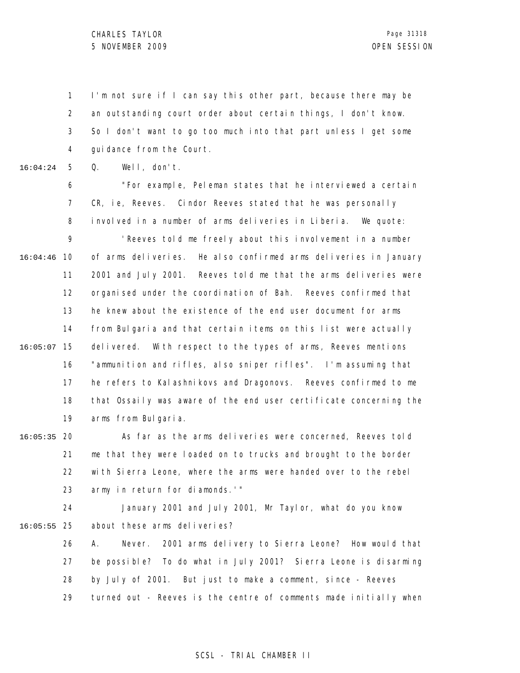1 2 3 4 I'm not sure if I can say this other part, because there may be an outstanding court order about certain things, I don't know. So I don't want to go too much into that part unless I get some guidance from the Court.

5 16:04:24 Q. Well, don't.

6 7 8 9 10 16:04:46 11 12 13 14 "For example, Peleman states that he interviewed a certain CR, ie, Reeves. Cindor Reeves stated that he was personally involved in a number of arms deliveries in Liberia. We quote: 'Reeves told me freely about this involvement in a number of arms deliveries. He also confirmed arms deliveries in January 2001 and July 2001. Reeves told me that the arms deliveries were organised under the coordination of Bah. Reeves confirmed that he knew about the existence of the end user document for arms from Bulgaria and that certain items on this list were actually

15 16:05:07 16 17 18 19 delivered. With respect to the types of arms, Reeves mentions "ammunition and rifles, also sniper rifles". I'm assuming that he refers to Kalashnikovs and Dragonovs. Reeves confirmed to me that Ossaily was aware of the end user certificate concerning the arms from Bulgaria.

20 16:05:35 21 22 23 As far as the arms deliveries were concerned, Reeves told me that they were loaded on to trucks and brought to the border with Sierra Leone, where the arms were handed over to the rebel army in return for diamonds.'"

24 25 16:05:55 January 2001 and July 2001, Mr Taylor, what do you know about these arms deliveries?

26 27 28 29 A. Never. 2001 arms delivery to Sierra Leone? How would that be possible? To do what in July 2001? Sierra Leone is disarming by July of 2001. But just to make a comment, since - Reeves turned out - Reeves is the centre of comments made initially when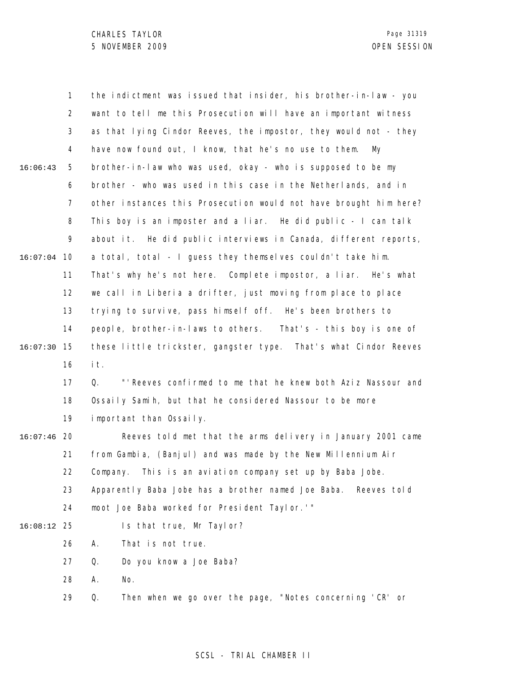|          | 1              | the indictment was issued that insider, his brother-in-law - you   |
|----------|----------------|--------------------------------------------------------------------|
|          | $\overline{2}$ | want to tell me this Prosecution will have an important witness    |
|          | 3              | as that lying Cindor Reeves, the impostor, they would not - they   |
|          | 4              | have now found out, I know, that he's no use to them.<br>My        |
| 16:06:43 | 5              | brother-in-law who was used, okay - who is supposed to be my       |
|          | 6              | brother - who was used in this case in the Netherlands, and in     |
|          | $\overline{7}$ | other instances this Prosecution would not have brought him here?  |
|          | 8              | This boy is an imposter and a liar. He did public $-1$ can talk    |
|          | 9              | about it. He did public interviews in Canada, different reports,   |
| 16:07:04 | 10             | a total, total - I guess they themselves couldn't take him.        |
|          | 11             | That's why he's not here. Complete impostor, a liar. He's what     |
|          | 12             | we call in Liberia a drifter, just moving from place to place      |
|          | 13             | trying to survive, pass himself off. He's been brothers to         |
|          | 14             | people, brother-in-laws to others. That's - this boy is one of     |
| 16:07:30 | 15             | these little trickster, gangster type. That's what Cindor Reeves   |
|          | 16             | it.                                                                |
|          | 17             | "' Reeves confirmed to me that he knew both Aziz Nassour and<br>Q. |
|          | 18             | Ossaily Samih, but that he considered Nassour to be more           |
|          | 19             | important than Ossaily.                                            |
| 16:07:46 | -20            | Reeves told met that the arms delivery in January 2001 came        |
|          | 21             | from Gambia, (Banjul) and was made by the New Millennium Air       |
|          | 22             | Company. This is an aviation company set up by Baba Jobe.          |
|          | 23             | Apparently Baba Jobe has a brother named Joe Baba.<br>Reeves told  |
|          | 24             | moot Joe Baba worked for President Taylor.'"                       |
| 16:08:12 | -25            | Is that true, Mr Taylor?                                           |
|          | 26             | That is not true.<br>А.                                            |
|          | 27             | Do you know a Joe Baba?<br>Q.                                      |
|          | 28             | Α.<br>No.                                                          |
|          | 29             | Then when we go over the page, "Notes concerning 'CR' or<br>Q.     |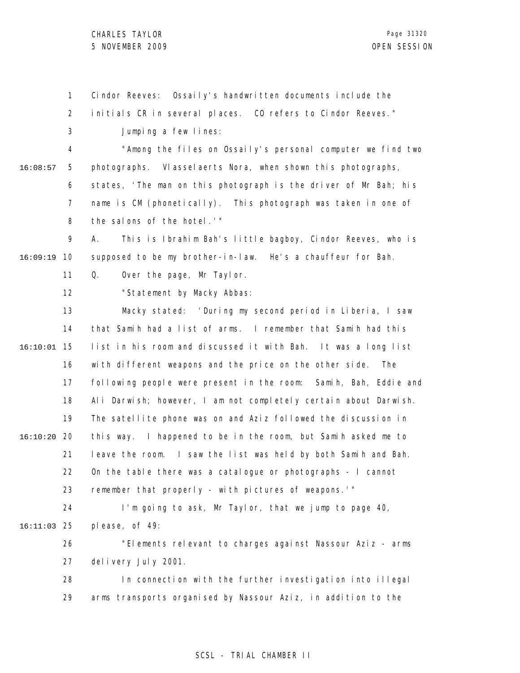CHARLES TAYLOR 5 NOVEMBER 2009 OPEN SESSION

1 2 3 4 5 6 7 8 9 10 16:09:19 11 12 13 14 15 16:10:01 16 17 18 19 20 16:10:20 21 22 23 24 25 16:11:03 26 27 28 29 16:08:57 Cindor Reeves: Ossaily's handwritten documents include the initials CR in several places. CO refers to Cindor Reeves." Jumping a few lines: "Among the files on Ossaily's personal computer we find two photographs. Vlasselaerts Nora, when shown this photographs, states, 'The man on this photograph is the driver of Mr Bah; his name is CM (phonetically). This photograph was taken in one of the salons of the hotel.'" A. This is Ibrahim Bah's little bagboy, Cindor Reeves, who is supposed to be my brother-in-law. He's a chauffeur for Bah. Q. Over the page, Mr Taylor. "Statement by Macky Abbas: Macky stated: 'During my second period in Liberia, I saw that Samih had a list of arms. I remember that Samih had this list in his room and discussed it with Bah. It was a long list with different weapons and the price on the other side. The following people were present in the room: Samih, Bah, Eddie and Ali Darwish; however, I am not completely certain about Darwish. The satellite phone was on and Aziz followed the discussion in this way. I happened to be in the room, but Samih asked me to leave the room. I saw the list was held by both Samih and Bah. On the table there was a catalogue or photographs - I cannot remember that properly - with pictures of weapons.'" I'm going to ask, Mr Taylor, that we jump to page 40, please, of 49: "Elements relevant to charges against Nassour Aziz - arms delivery July 2001. In connection with the further investigation into illegal arms transports organised by Nassour Aziz, in addition to the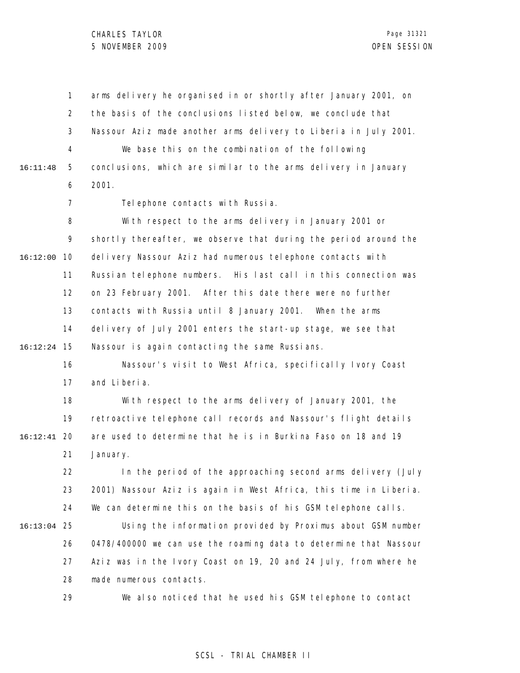1 2 3 4 5 6 7 8 9 10 16:12:00 11 12 13 14 15 16:12:24 16 17 18 19 20 16:12:41 21 22 23 24 25 16:13:04 26 27 28 29 16:11:48 arms delivery he organised in or shortly after January 2001, on the basis of the conclusions listed below, we conclude that Nassour Aziz made another arms delivery to Liberia in July 2001. We base this on the combination of the following conclusions, which are similar to the arms delivery in January 2001. Tel ephone contacts with Russia. With respect to the arms delivery in January 2001 or shortly thereafter, we observe that during the period around the delivery Nassour Aziz had numerous telephone contacts with Russian telephone numbers. His last call in this connection was on 23 February 2001. After this date there were no further contacts with Russia until 8 January 2001. When the arms delivery of July 2001 enters the start-up stage, we see that Nassour is again contacting the same Russians. Nassour's visit to West Africa, specifically Ivory Coast and Liberia. With respect to the arms delivery of January 2001, the retroactive telephone call records and Nassour's flight details are used to determine that he is in Burkina Faso on 18 and 19 January. In the period of the approaching second arms delivery (July 2001) Nassour Aziz is again in West Africa, this time in Liberia. We can determine this on the basis of his GSM telephone calls. Using the information provided by Proximus about GSM number 0478/400000 we can use the roaming data to determine that Nassour Aziz was in the Ivory Coast on 19, 20 and 24 July, from where he made numerous contacts. We also noticed that he used his GSM telephone to contact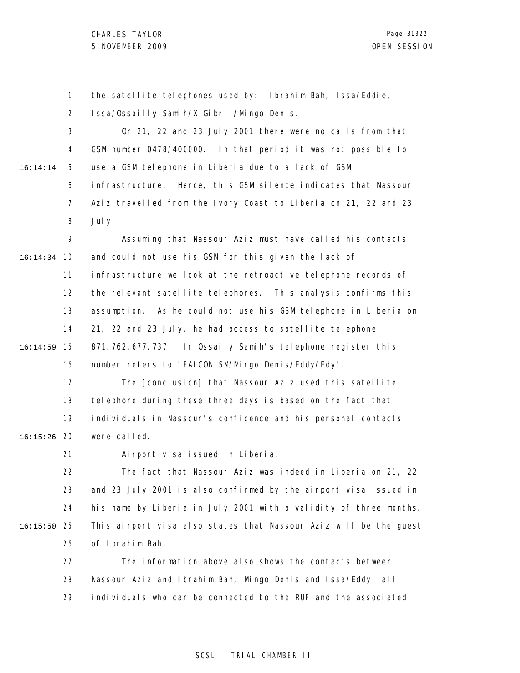1 2 3 4 5 6 7 8 9 10 16:14:34 11 12 13 14 15 16:14:59 16 17 18 19 20 16:15:26 21 22 23 24 25 16:15:50 26 27 28 29 16:14:14 the satellite telephones used by: Ibrahim Bah, Issa/Eddie, Issa/Ossailly Samih/X Gibril/Mingo Denis. On 21, 22 and 23 July 2001 there were no calls from that GSM number 0478/400000. In that period it was not possible to use a GSM telephone in Liberia due to a lack of GSM infrastructure. Hence, this GSM silence indicates that Nassour Aziz travelled from the Ivory Coast to Liberia on 21, 22 and 23 July. Assuming that Nassour Aziz must have called his contacts and could not use his GSM for this given the lack of infrastructure we look at the retroactive telephone records of the relevant satellite telephones. This analysis confirms this assumption. As he could not use his GSM telephone in Liberia on 21, 22 and 23 July, he had access to satellite telephone 871.762.677.737. In Ossaily Samih's telephone register this number refers to 'FALCON SM/Mingo Denis/Eddy/Edy'. The [conclusion] that Nassour Aziz used this satellite telephone during these three days is based on the fact that individuals in Nassour's confidence and his personal contacts were called. Airport visa issued in Liberia. The fact that Nassour Aziz was indeed in Liberia on 21, 22 and 23 July 2001 is also confirmed by the airport visa issued in his name by Liberia in July 2001 with a validity of three months. This airport visa also states that Nassour Aziz will be the guest of Ibrahim Bah. The information above also shows the contacts between Nassour Aziz and Ibrahim Bah, Mingo Denis and Issa/Eddy, all individuals who can be connected to the RUF and the associated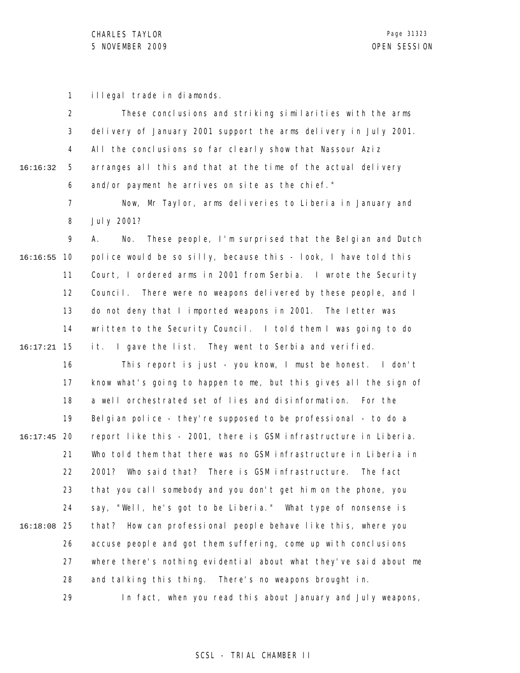16

1 illegal trade in diamonds.

|            |   | These conclusions and striking similarities with the arms        |
|------------|---|------------------------------------------------------------------|
|            |   | delivery of January 2001 support the arms delivery in July 2001. |
|            |   | 4 All the conclusions so far clearly show that Nassour Aziz      |
| :16:32   5 |   | arranges all this and that at the time of the actual delivery    |
|            | 6 | and/or payment he arrives on site as the chief."                 |

7 8 Now, Mr Taylor, arms deliveries to Liberia in January and July 2001?

9 10 16:16:55 11 12 13 14 15 16:17:21 A. No. These people, I'm surprised that the Belgian and Dutch police would be so silly, because this - look, I have told this Court, I ordered arms in 2001 from Serbia. I wrote the Security Council. There were no weapons delivered by these people, and I do not deny that I imported weapons in 2001. The letter was written to the Security Council. I told them I was going to do it. I gave the list. They went to Serbia and verified.

16 17 18 19 20 16:17:45 21 22 23 24 25 16:18:08 26 27 28 29 This report is just - you know, I must be honest. I don't know what's going to happen to me, but this gives all the sign of a well orchestrated set of lies and disinformation. For the Belgian police - they're supposed to be professional - to do a report like this - 2001, there is GSM infrastructure in Liberia. Who told them that there was no GSM infrastructure in Liberia in 2001? Who said that? There is GSM infrastructure. The fact that you call somebody and you don't get him on the phone, you say, "Well, he's got to be Liberia." What type of nonsense is that? How can professional people behave like this, where you accuse people and got them suffering, come up with conclusions where there's nothing evidential about what they've said about me and talking this thing. There's no weapons brought in. In fact, when you read this about January and July weapons,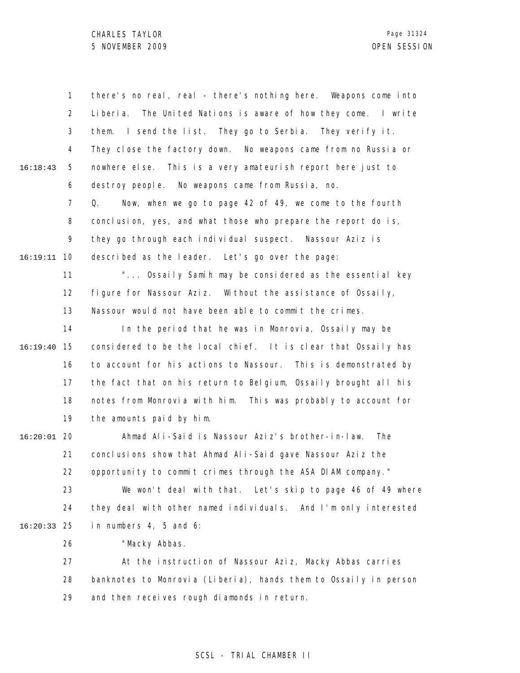|               | $\mathbf{1}$   | there's no real, real - there's nothing here. Weapons come into     |
|---------------|----------------|---------------------------------------------------------------------|
|               | $\overline{2}$ | The United Nations is aware of how they come. I write<br>Li beri a. |
|               | 3              | them. I send the list. They go to Serbia. They verify it.           |
|               | 4              | They close the factory down. No weapons came from no Russia or      |
| 16:18:43      | 5              | nowhere else. This is a very amateurish report here just to         |
|               | 6              | destroy people. No weapons came from Russia, no.                    |
|               | $\overline{7}$ | Q.<br>Now, when we go to page 42 of 49, we come to the fourth       |
|               | 8              | conclusion, yes, and what those who prepare the report do is,       |
|               | 9              | they go through each individual suspect. Nassour Aziz is            |
| 16:19:11      | 10             | described as the leader. Let's go over the page:                    |
|               | 11             | " Ossaily Samih may be considered as the essential key              |
|               | 12             | figure for Nassour Aziz. Without the assistance of Ossaily,         |
|               | 13             | Nassour would not have been able to commit the crimes.              |
|               | 14             | In the period that he was in Monrovia, Ossaily may be               |
| 16:19:40      | 15             | considered to be the local chief. It is clear that Ossaily has      |
|               | 16             | to account for his actions to Nassour. This is demonstrated by      |
|               | 17             | the fact that on his return to Belgium, Ossaily brought all his     |
|               | 18             | notes from Monrovia with him. This was probably to account for      |
|               | 19             | the amounts paid by him.                                            |
| $16:20:01$ 20 |                | Ahmad Ali-Said is Nassour Aziz's brother-in-law.<br>The             |
|               | 21             | conclusions show that Ahmad Ali-Said gave Nassour Aziz the          |
|               | 22             | opportunity to commit crimes through the ASA DIAM company."         |
|               | 23             | We won't deal with that. Let's skip to page 46 of 49 where          |
|               | 24             | they deal with other named individuals. And I'm only interested     |
| $16:20:33$ 25 |                | in numbers 4, 5 and 6:                                              |
|               | 26             | "Macky Abbas.                                                       |
|               | 27             | At the instruction of Nassour Aziz, Macky Abbas carries             |
|               | 28             | banknotes to Monrovia (Liberia), hands them to Ossaily in person    |
|               | 29             | and then receives rough diamonds in return.                         |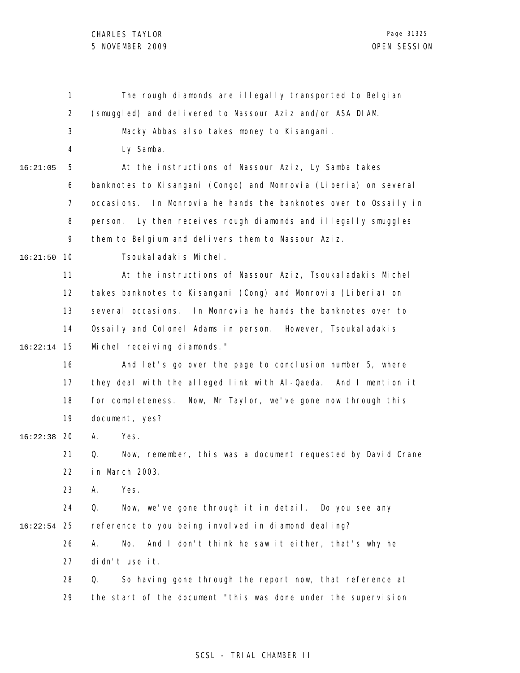|          | 1              | The rough diamonds are illegally transported to Belgian              |
|----------|----------------|----------------------------------------------------------------------|
|          | $\overline{2}$ | (smuggled) and delivered to Nassour Aziz and/or ASA DIAM.            |
|          | 3              | Macky Abbas also takes money to Kisangani.                           |
|          | 4              | Ly Samba.                                                            |
| 16:21:05 | 5              | At the instructions of Nassour Aziz, Ly Samba takes                  |
|          | 6              | banknotes to Kisangani (Congo) and Monrovia (Liberia) on several     |
|          | 7              | In Monrovia he hands the banknotes over to Ossaily in<br>occasi ons. |
|          | 8              | Ly then receives rough diamonds and illegally smuggles<br>person.    |
|          | 9              | them to Belgium and delivers them to Nassour Aziz.                   |
| 16:21:50 | 10             | Tsoukal adakis Michel.                                               |
|          | 11             | At the instructions of Nassour Aziz, Tsoukal adakis Michel           |
|          | 12             | takes banknotes to Kisangani (Cong) and Monrovia (Liberia) on        |
|          | 13             | several occasions. In Monrovia he hands the banknotes over to        |
|          | 14             | Ossaily and Colonel Adams in person. However, Tsoukaladakis          |
| 16:22:14 | 15             | Michel receiving diamonds."                                          |
|          | 16             | And let's go over the page to conclusion number 5, where             |
|          | 17             | they deal with the alleged link with Al-Qaeda. And I mention it      |
|          | 18             | for completeness. Now, Mr Taylor, we've gone now through this        |
|          | 19             | document, yes?                                                       |
| 16:22:38 | 20             | А.<br>Yes.                                                           |
|          | 21             | Now, remember, this was a document requested by David Crane<br>Q.    |
|          | 22             | in March 2003.                                                       |
|          | 23             | Yes.<br>А.                                                           |
|          | 24             | Q.<br>Now, we've gone through it in detail. Do you see any           |
| 16:22:54 | 25             | reference to you being involved in diamond dealing?                  |
|          | 26             | And I don't think he saw it either, that's why he<br>Α.<br>No.       |
|          | 27             | didn't use it.                                                       |
|          | 28             | So having gone through the report now, that reference at<br>Q.       |
|          | 29             | the start of the document "this was done under the supervision       |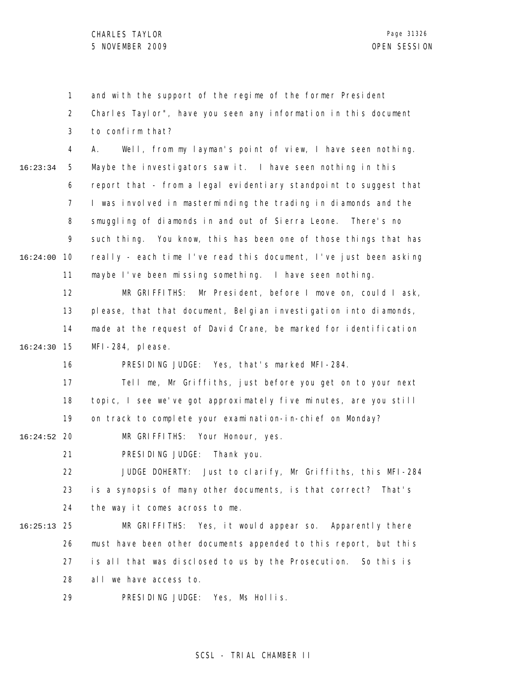1 2 3 4 5 6 7 8 9 10 16:24:00 11 12 13 14 15 16:24:30 16 17 18 19 20 16:24:52 21 22 23 24 25 16:25:13 26 27 28 29 16:23:34 and with the support of the regime of the former President Charles Taylor", have you seen any information in this document to confirm that? A. Well, from my layman's point of view, I have seen nothing. Maybe the investigators saw it. I have seen nothing in this report that - from a legal evidentiary standpoint to suggest that I was involved in masterminding the trading in diamonds and the smuggling of diamonds in and out of Sierra Leone. There's no such thing. You know, this has been one of those things that has really - each time I've read this document, I've just been asking maybe I've been missing something. I have seen nothing. MR GRIFFITHS: Mr President, before I move on, could I ask, please, that that document, Belgian investigation into diamonds, made at the request of David Crane, be marked for identification MFI-284, please. PRESIDING JUDGE: Yes, that's marked MFI-284. Tell me, Mr Griffiths, just before you get on to your next topic, I see we've got approximately five minutes, are you still on track to complete your examination-in-chief on Monday? MR GRIFFITHS: Your Honour, yes. PRESIDING JUDGE: Thank you. JUDGE DOHERTY: Just to clarify, Mr Griffiths, this MFI-284 is a synopsis of many other documents, is that correct? That's the way it comes across to me. MR GRIFFITHS: Yes, it would appear so. Apparently there must have been other documents appended to this report, but this is all that was disclosed to us by the Prosecution. So this is all we have access to. PRESIDING JUDGE: Yes, Ms Hollis.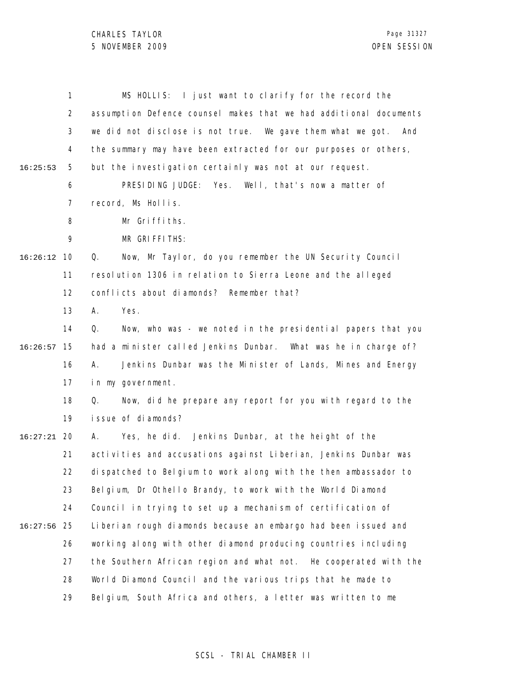|          | $\mathbf{1}$ | MS HOLLIS: I just want to clarify for the record the              |
|----------|--------------|-------------------------------------------------------------------|
|          | 2            | assumption Defence counsel makes that we had additional documents |
|          | 3            | we did not disclose is not true. We gave them what we got. And    |
|          | 4            | the summary may have been extracted for our purposes or others,   |
| 16:25:53 | 5            | but the investigation certainly was not at our request.           |
|          | 6            | PRESIDING JUDGE: Yes. Well, that's now a matter of                |
|          | 7            | record, Ms Hollis.                                                |
|          | 8            | Mr Griffiths.                                                     |
|          | 9            | MR GRIFFITHS:                                                     |
| 16:26:12 | 10           | Now, Mr Taylor, do you remember the UN Security Council<br>Q.     |
|          | 11           | resolution 1306 in relation to Sierra Leone and the alleged       |
|          | 12           | conflicts about diamonds? Remember that?                          |
|          | 13           | А.<br>Yes.                                                        |
|          | 14           | Q.<br>Now, who was - we noted in the presidential papers that you |
| 16:26:57 | 15           | had a minister called Jenkins Dunbar. What was he in charge of?   |
|          | 16           | Jenkins Dunbar was the Minister of Lands, Mines and Energy<br>А.  |
|          | 17           | in my government.                                                 |
|          | 18           | Now, did he prepare any report for you with regard to the<br>Q.   |
|          | 19           | issue of diamonds?                                                |
| 16:27:21 | 20           | Yes, he did. Jenkins Dunbar, at the height of the<br>А.           |
|          | 21           | activities and accusations against Liberian, Jenkins Dunbar was   |
|          | 22           | dispatched to Belgium to work along with the then ambassador to   |
|          | 23           | Belgium, Dr Othello Brandy, to work with the World Diamond        |
|          | 24           | Council in trying to set up a mechanism of certification of       |
| 16:27:56 | 25           | Liberian rough diamonds because an embargo had been issued and    |
|          | 26           | working along with other diamond producing countries including    |
|          | 27           | the Southern African region and what not. He cooperated with the  |
|          | 28           | World Diamond Council and the various trips that he made to       |
|          | 29           | Belgium, South Africa and others, a letter was written to me      |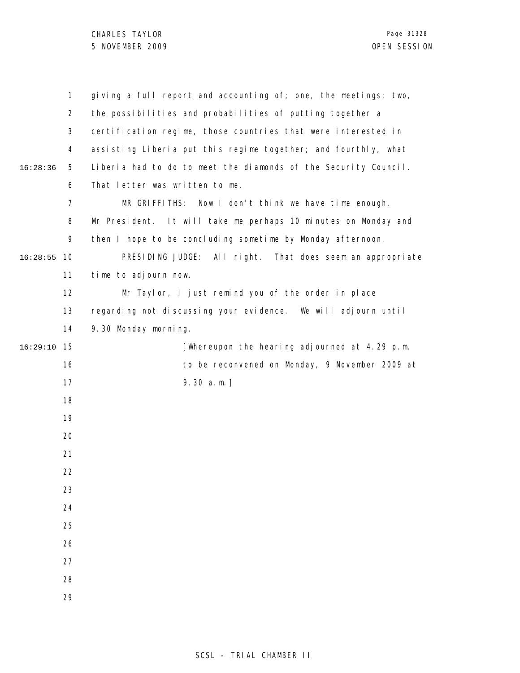|          | $\mathbf{1}$   | giving a full report and accounting of; one, the meetings; two, |
|----------|----------------|-----------------------------------------------------------------|
|          | $\overline{2}$ | the possibilities and probabilities of putting together a       |
|          | 3              | certification regime, those countries that were interested in   |
|          | 4              | assisting Liberia put this regime together; and fourthly, what  |
| 16:28:36 | 5              | Liberia had to do to meet the diamonds of the Security Council. |
|          | 6              | That letter was written to me.                                  |
|          | 7              | MR GRIFFITHS: Now I don't think we have time enough,            |
|          | 8              | Mr President. It will take me perhaps 10 minutes on Monday and  |
|          | 9              | then I hope to be concluding sometime by Monday afternoon.      |
| 16:28:55 | 10             | PRESIDING JUDGE: All right. That does seem an appropriate       |
|          | 11             | time to adjourn now.                                            |
|          | 12             | Mr Taylor, I just remind you of the order in place              |
|          | 13             | regarding not discussing your evidence. We will adjourn until   |
|          | 14             | 9.30 Monday morning.                                            |
| 16:29:10 | 15             | [Whereupon the hearing adjourned at 4.29 p.m.                   |
|          | 16             | to be reconvened on Monday, 9 November 2009 at                  |
|          | 17             | $9.30 a.m.$ ]                                                   |
|          | 18             |                                                                 |
|          | 19             |                                                                 |
|          | 20             |                                                                 |
|          | 21             |                                                                 |
|          | 22             |                                                                 |
|          | 23             |                                                                 |
|          | 24             |                                                                 |
|          | 25             |                                                                 |
|          | 26             |                                                                 |
|          | 27             |                                                                 |
|          | 28             |                                                                 |
|          | 29             |                                                                 |